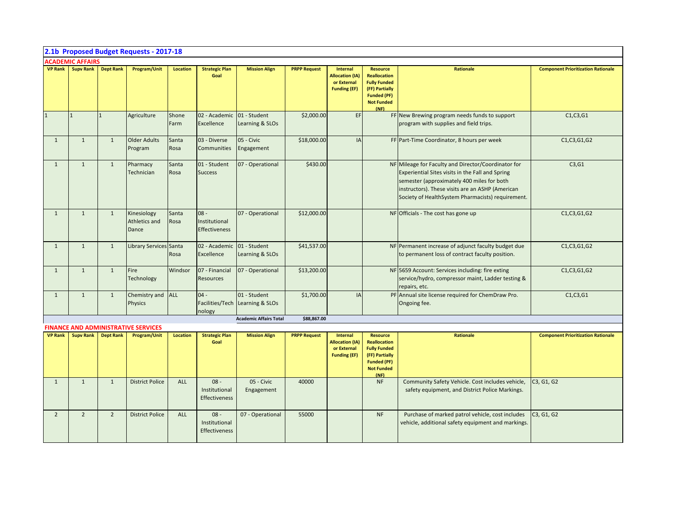|                |                          |                  | 2.1b Proposed Budget Requests - 2017-18    |                 |                                                 |                                 |                     |                                                                                 |                                                                                                                                    |                                                                                                                                                                                                                                                                |                                           |
|----------------|--------------------------|------------------|--------------------------------------------|-----------------|-------------------------------------------------|---------------------------------|---------------------|---------------------------------------------------------------------------------|------------------------------------------------------------------------------------------------------------------------------------|----------------------------------------------------------------------------------------------------------------------------------------------------------------------------------------------------------------------------------------------------------------|-------------------------------------------|
|                | <b>ACADEMIC AFFAIRS</b>  |                  |                                            |                 |                                                 |                                 |                     |                                                                                 |                                                                                                                                    |                                                                                                                                                                                                                                                                |                                           |
|                | <b>VP Rank</b> Supv Rank | <b>Dept Rank</b> | Program/Unit                               | Location        | <b>Strategic Plan</b><br>Goal                   | <b>Mission Align</b>            | <b>PRPP Request</b> | <b>Internal</b><br><b>Allocation (IA)</b><br>or External<br><b>Funding (EF)</b> | <b>Resource</b><br><b>Reallocation</b><br><b>Fully Funded</b><br>(FF) Partially<br><b>Funded (PF)</b><br><b>Not Funded</b><br>(NF) | Rationale                                                                                                                                                                                                                                                      | <b>Component Prioritization Rationale</b> |
| $\overline{1}$ | $\overline{1}$           | $\overline{1}$   | Agriculture                                | Shone<br>Farm   | 02 - Academic<br>Excellence                     | 01 - Student<br>Learning & SLOs | \$2,000.00          | EF                                                                              |                                                                                                                                    | FF New Brewing program needs funds to support<br>program with supplies and field trips.                                                                                                                                                                        | C1, C3, G1                                |
| $\mathbf{1}$   | $\mathbf{1}$             | $\mathbf{1}$     | <b>Older Adults</b><br>Program             | Santa<br>Rosa   | 03 - Diverse<br><b>Communities</b>              | 05 - Civic<br>Engagement        | \$18,000.00         | IA                                                                              |                                                                                                                                    | FF Part-Time Coordinator, 8 hours per week                                                                                                                                                                                                                     | C1, C3, G1, G2                            |
| $\mathbf{1}$   | $\mathbf{1}$             | $\mathbf{1}$     | Pharmacy<br>Technician                     | Santa<br>Rosa   | 01 - Student<br><b>Success</b>                  | 07 - Operational                | \$430.00            |                                                                                 |                                                                                                                                    | NF Mileage for Faculty and Director/Coordinator for<br>Experiential Sites visits in the Fall and Spring<br>semester (approximately 400 miles for both<br>instructors). These visits are an ASHP (American<br>Society of HealthSystem Pharmacists) requirement. | C3,G1                                     |
| 1              | $\mathbf{1}$             | 1                | Kinesiology<br>Athletics and<br>Dance      | Santa<br>Rosa   | $08 -$<br>Institutional<br><b>Effectiveness</b> | 07 - Operational                | \$12,000.00         |                                                                                 |                                                                                                                                    | NF Officials - The cost has gone up                                                                                                                                                                                                                            | C1, C3, G1, G2                            |
| $\mathbf{1}$   | $\mathbf{1}$             | $\mathbf{1}$     | <b>Library Services Santa</b>              | Rosa            | 02 - Academic 01 - Student<br>Excellence        | Learning & SLOs                 | \$41,537.00         |                                                                                 |                                                                                                                                    | NF Permanent increase of adjunct faculty budget due<br>to permanent loss of contract faculty position.                                                                                                                                                         | C1, C3, G1, G2                            |
| $\mathbf{1}$   | $\mathbf{1}$             | $\mathbf{1}$     | Fire<br>Technology                         | Windsor         | 07 - Financial<br><b>Resources</b>              | 07 - Operational                | \$13,200.00         |                                                                                 |                                                                                                                                    | NF 5659 Account: Services including: fire exting<br>service/hydro, compressor maint, Ladder testing &<br>repairs, etc.                                                                                                                                         | C1, C3, G1, G2                            |
| 1              | $\mathbf{1}$             | $\mathbf{1}$     | Chemistry and ALL<br><b>Physics</b>        |                 | $04 -$<br>Facilities/Tech<br>nology             | 01 - Student<br>Learning & SLOs | \$1,700.00          | IA                                                                              |                                                                                                                                    | PF Annual site license required for ChemDraw Pro.<br>Ongoing fee.                                                                                                                                                                                              | C1, C3, G1                                |
|                |                          |                  |                                            |                 |                                                 | <b>Academic Affairs Total</b>   | \$88,867.00         |                                                                                 |                                                                                                                                    |                                                                                                                                                                                                                                                                |                                           |
|                |                          |                  | <b>FINANCE AND ADMINISTRATIVE SERVICES</b> |                 |                                                 |                                 |                     |                                                                                 |                                                                                                                                    |                                                                                                                                                                                                                                                                |                                           |
| <b>VP Rank</b> | <b>Supy Rank</b>         | <b>Dept Rank</b> | Program/Unit                               | <b>Location</b> | <b>Strategic Plan</b><br>Goal                   | <b>Mission Align</b>            | <b>PRPP Request</b> | <b>Internal</b><br><b>Allocation (IA)</b><br>or External<br><b>Funding (EF)</b> | <b>Resource</b><br><b>Reallocation</b><br><b>Fully Funded</b><br>(FF) Partially<br><b>Funded (PF)</b><br><b>Not Funded</b><br>(NF) | <b>Rationale</b>                                                                                                                                                                                                                                               | <b>Component Prioritization Rationale</b> |
| $\mathbf{1}$   | $\mathbf{1}$             | $\mathbf{1}$     | <b>District Police</b>                     | ALL             | $08 -$<br>Institutional<br>Effectiveness        | 05 - Civic<br>Engagement        | 40000               |                                                                                 | <b>NF</b>                                                                                                                          | Community Safety Vehicle. Cost includes vehicle,<br>safety equipment, and District Police Markings.                                                                                                                                                            | C3, G1, G2                                |
| $\overline{2}$ | 2                        | $\overline{2}$   | <b>District Police</b>                     | ALL             | $08 -$<br>Institutional<br>Effectiveness        | 07 - Operational                | 55000               |                                                                                 | <b>NF</b>                                                                                                                          | Purchase of marked patrol vehicle, cost includes<br>vehicle, additional safety equipment and markings.                                                                                                                                                         | C3, G1, G2                                |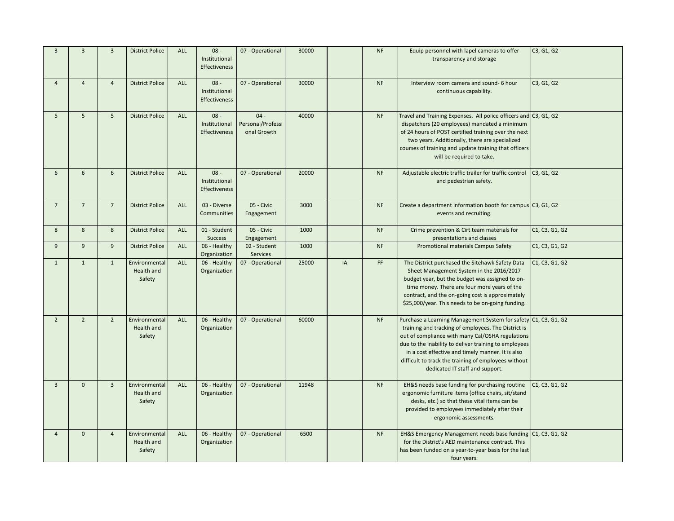| $\overline{3}$ | $\overline{3}$ | $\overline{3}$ | <b>District Police</b> | <b>ALL</b> | $08 -$                       | 07 - Operational                | 30000 |    | <b>NF</b> | Equip personnel with lapel cameras to offer                                                     | C3, G1, G2     |
|----------------|----------------|----------------|------------------------|------------|------------------------------|---------------------------------|-------|----|-----------|-------------------------------------------------------------------------------------------------|----------------|
|                |                |                |                        |            | Institutional                |                                 |       |    |           | transparency and storage                                                                        |                |
|                |                |                |                        |            | Effectiveness                |                                 |       |    |           |                                                                                                 |                |
| $\overline{4}$ | $\overline{4}$ | $\overline{4}$ | <b>District Police</b> | <b>ALL</b> | $08 -$                       | 07 - Operational                | 30000 |    | <b>NF</b> | Interview room camera and sound- 6 hour                                                         | C3, G1, G2     |
|                |                |                |                        |            | Institutional                |                                 |       |    |           | continuous capability.                                                                          |                |
|                |                |                |                        |            | Effectiveness                |                                 |       |    |           |                                                                                                 |                |
| 5              | 5              | 5              | <b>District Police</b> | <b>ALL</b> | $08 -$                       | $04 -$                          | 40000 |    | <b>NF</b> | Travel and Training Expenses. All police officers and C3, G1, G2                                |                |
|                |                |                |                        |            | Institutional                | Personal/Professi               |       |    |           | dispatchers (20 employees) mandated a minimum                                                   |                |
|                |                |                |                        |            | Effectiveness                | onal Growth                     |       |    |           | of 24 hours of POST certified training over the next                                            |                |
|                |                |                |                        |            |                              |                                 |       |    |           | two years. Additionally, there are specialized                                                  |                |
|                |                |                |                        |            |                              |                                 |       |    |           | courses of training and update training that officers<br>will be required to take.              |                |
|                |                |                |                        |            |                              |                                 |       |    |           |                                                                                                 |                |
| 6              | 6              | 6              | <b>District Police</b> | <b>ALL</b> | $08 -$                       | 07 - Operational                | 20000 |    | <b>NF</b> | Adjustable electric traffic trailer for traffic control                                         | C3, G1, G2     |
|                |                |                |                        |            | Institutional                |                                 |       |    |           | and pedestrian safety.                                                                          |                |
|                |                |                |                        |            | Effectiveness                |                                 |       |    |           |                                                                                                 |                |
| $\overline{7}$ | $\overline{7}$ | $\overline{7}$ | <b>District Police</b> | <b>ALL</b> | 03 - Diverse                 | 05 - Civic                      | 3000  |    | <b>NF</b> | Create a department information booth for campus C3, G1, G2                                     |                |
|                |                |                |                        |            | Communities                  | Engagement                      |       |    |           | events and recruiting.                                                                          |                |
| 8              | 8              | 8              | <b>District Police</b> | ALL        | 01 - Student                 | 05 - Civic                      | 1000  |    | NF        | Crime prevention & Cirt team materials for                                                      | C1, C3, G1, G2 |
|                |                |                |                        |            | Success                      | Engagement                      |       |    |           | presentations and classes                                                                       |                |
| 9              | 9              | 9              | <b>District Police</b> | ALL        | 06 - Healthy<br>Organization | 02 - Student<br><b>Services</b> | 1000  |    | <b>NF</b> | Promotional materials Campus Safety                                                             | C1, C3, G1, G2 |
| $\mathbf{1}$   | $\mathbf{1}$   | $\mathbf{1}$   | Environmental          | <b>ALL</b> | 06 - Healthy                 | 07 - Operational                | 25000 | IA | FF.       | The District purchased the Sitehawk Safety Data                                                 | C1, C3, G1, G2 |
|                |                |                | Health and             |            | Organization                 |                                 |       |    |           | Sheet Management System in the 2016/2017                                                        |                |
|                |                |                | Safety                 |            |                              |                                 |       |    |           | budget year, but the budget was assigned to on-<br>time money. There are four more years of the |                |
|                |                |                |                        |            |                              |                                 |       |    |           | contract, and the on-going cost is approximately                                                |                |
|                |                |                |                        |            |                              |                                 |       |    |           | \$25,000/year. This needs to be on-going funding.                                               |                |
| $\overline{2}$ | $\overline{2}$ | $\overline{2}$ | Environmental          | ALL        | 06 - Healthy                 | 07 - Operational                | 60000 |    | <b>NF</b> | Purchase a Learning Management System for safety C1, C3, G1, G2                                 |                |
|                |                |                | Health and             |            | Organization                 |                                 |       |    |           | training and tracking of employees. The District is                                             |                |
|                |                |                | Safety                 |            |                              |                                 |       |    |           | out of compliance with many Cal/OSHA regulations                                                |                |
|                |                |                |                        |            |                              |                                 |       |    |           | due to the inability to deliver training to employees                                           |                |
|                |                |                |                        |            |                              |                                 |       |    |           | in a cost effective and timely manner. It is also                                               |                |
|                |                |                |                        |            |                              |                                 |       |    |           | difficult to track the training of employees without                                            |                |
|                |                |                |                        |            |                              |                                 |       |    |           | dedicated IT staff and support.                                                                 |                |
| $\overline{3}$ | $\mathbf{0}$   | $\overline{3}$ | Environmental          | <b>ALL</b> | 06 - Healthy                 | 07 - Operational                | 11948 |    | <b>NF</b> | EH&S needs base funding for purchasing routine                                                  | C1, C3, G1, G2 |
|                |                |                | Health and             |            | Organization                 |                                 |       |    |           | ergonomic furniture items (office chairs, sit/stand                                             |                |
|                |                |                | Safety                 |            |                              |                                 |       |    |           | desks, etc.) so that these vital items can be                                                   |                |
|                |                |                |                        |            |                              |                                 |       |    |           | provided to employees immediately after their<br>ergonomic assessments.                         |                |
|                |                |                |                        |            |                              |                                 |       |    |           |                                                                                                 |                |
| $\overline{4}$ | $\mathbf 0$    | $\overline{4}$ | Environmental          | ALL        | 06 - Healthy                 | 07 - Operational                | 6500  |    | <b>NF</b> | EH&S Emergency Management needs base funding C1, C3, G1, G2                                     |                |
|                |                |                | Health and             |            | Organization                 |                                 |       |    |           | for the District's AED maintenance contract. This                                               |                |
|                |                |                | Safety                 |            |                              |                                 |       |    |           | has been funded on a year-to-year basis for the last                                            |                |
|                |                |                |                        |            |                              |                                 |       |    |           | four years.                                                                                     |                |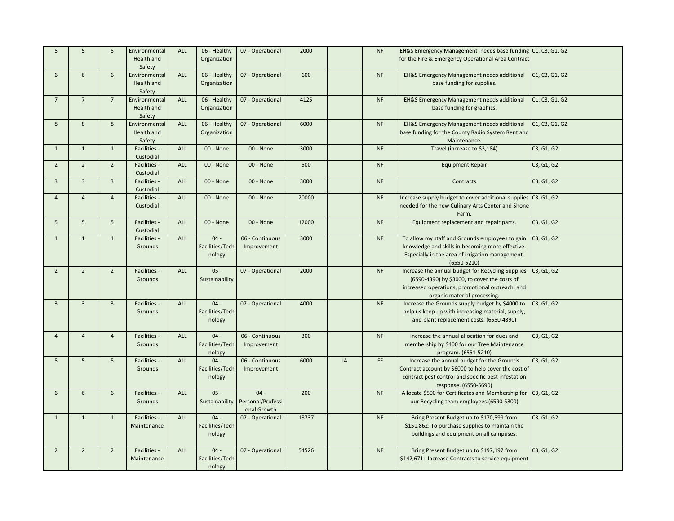| 5              | 5               | 5               | Environmental | ALL        | 06 - Healthy    | 07 - Operational  | 2000  |    | NF        | EH&S Emergency Management needs base funding C1, C3, G1, G2                     |                |
|----------------|-----------------|-----------------|---------------|------------|-----------------|-------------------|-------|----|-----------|---------------------------------------------------------------------------------|----------------|
|                |                 |                 | Health and    |            | Organization    |                   |       |    |           | for the Fire & Emergency Operational Area Contract                              |                |
|                |                 |                 | Safety        |            |                 |                   |       |    |           |                                                                                 |                |
| 6              | $6\phantom{1}$  | $6\phantom{1}$  | Environmental | <b>ALL</b> | 06 - Healthy    | 07 - Operational  | 600   |    | <b>NF</b> | EH&S Emergency Management needs additional                                      | C1, C3, G1, G2 |
|                |                 |                 | Health and    |            | Organization    |                   |       |    |           | base funding for supplies.                                                      |                |
|                |                 |                 | Safety        |            |                 |                   |       |    |           |                                                                                 |                |
| $\overline{7}$ | $7\overline{ }$ | $\overline{7}$  | Environmental | ALL        |                 |                   | 4125  |    | <b>NF</b> |                                                                                 |                |
|                |                 |                 |               |            | 06 - Healthy    | 07 - Operational  |       |    |           | EH&S Emergency Management needs additional                                      | C1, C3, G1, G2 |
|                |                 |                 | Health and    |            | Organization    |                   |       |    |           | base funding for graphics.                                                      |                |
|                |                 |                 | Safety        |            |                 |                   |       |    |           |                                                                                 |                |
| 8              | 8               | 8               | Environmental | ALL        | 06 - Healthy    | 07 - Operational  | 6000  |    | NF        | EH&S Emergency Management needs additional                                      | C1, C3, G1, G2 |
|                |                 |                 | Health and    |            | Organization    |                   |       |    |           | base funding for the County Radio System Rent and                               |                |
|                |                 |                 | Safety        |            |                 |                   |       |    |           | Maintenance.                                                                    |                |
| $\mathbf{1}$   | $\mathbf{1}$    | $\mathbf{1}$    | Facilities -  | ALL        | 00 - None       | 00 - None         | 3000  |    | NF        | Travel (increase to \$3,184)                                                    | C3, G1, G2     |
|                |                 |                 | Custodial     |            |                 |                   |       |    |           |                                                                                 |                |
| $\overline{2}$ | $\overline{2}$  | $\overline{2}$  | Facilities -  | ALL        | 00 - None       | 00 - None         | 500   |    | <b>NF</b> | <b>Equipment Repair</b>                                                         | C3, G1, G2     |
|                |                 |                 | Custodial     |            |                 |                   |       |    |           |                                                                                 |                |
| $\overline{3}$ | $\overline{3}$  | $\overline{3}$  | Facilities -  | ALL        | 00 - None       | 00 - None         | 3000  |    | NF        | Contracts                                                                       | C3, G1, G2     |
|                |                 |                 | Custodial     |            |                 |                   |       |    |           |                                                                                 |                |
| $\overline{4}$ | $\overline{4}$  | $\overline{4}$  | Facilities -  | ALL        | 00 - None       | 00 - None         | 20000 |    | <b>NF</b> | Increase supply budget to cover additional supplies C3, G1, G2                  |                |
|                |                 |                 | Custodial     |            |                 |                   |       |    |           | needed for the new Culinary Arts Center and Shone                               |                |
|                |                 |                 |               |            |                 |                   |       |    |           | Farm.                                                                           |                |
| 5              | 5               | $5\overline{5}$ | Facilities -  | ALL        | 00 - None       | 00 - None         | 12000 |    | NF        | Equipment replacement and repair parts.                                         | C3, G1, G2     |
|                |                 |                 | Custodial     |            |                 |                   |       |    |           |                                                                                 |                |
| $\mathbf{1}$   | $\mathbf{1}$    | $\mathbf{1}$    | Facilities -  | <b>ALL</b> | $04 -$          | 06 - Continuous   | 3000  |    | NF        | To allow my staff and Grounds employees to gain                                 | C3, G1, G2     |
|                |                 |                 | Grounds       |            | Facilities/Tech | Improvement       |       |    |           | knowledge and skills in becoming more effective.                                |                |
|                |                 |                 |               |            | nology          |                   |       |    |           | Especially in the area of irrigation management.                                |                |
|                |                 |                 |               |            |                 |                   |       |    |           | $(6550 - 5210)$                                                                 |                |
| $\overline{2}$ | $\overline{2}$  | $\overline{2}$  | Facilities -  | <b>ALL</b> | $05 -$          | 07 - Operational  | 2000  |    | <b>NF</b> | Increase the annual budget for Recycling Supplies                               | C3, G1, G2     |
|                |                 |                 | Grounds       |            | Sustainability  |                   |       |    |           | (6590-4390) by \$3000, to cover the costs of                                    |                |
|                |                 |                 |               |            |                 |                   |       |    |           | increased operations, promotional outreach, and                                 |                |
|                |                 |                 |               |            |                 |                   |       |    |           |                                                                                 |                |
| $\overline{3}$ | $\overline{3}$  | $\overline{3}$  | Facilities -  | <b>ALL</b> | $04 -$          | 07 - Operational  | 4000  |    | $\sf{NF}$ | organic material processing.<br>Increase the Grounds supply budget by \$4000 to | C3, G1, G2     |
|                |                 |                 |               |            | Facilities/Tech |                   |       |    |           |                                                                                 |                |
|                |                 |                 | Grounds       |            |                 |                   |       |    |           | help us keep up with increasing material, supply,                               |                |
|                |                 |                 |               |            | nology          |                   |       |    |           | and plant replacement costs. (6550-4390)                                        |                |
|                |                 |                 |               |            |                 |                   |       |    |           |                                                                                 |                |
| $\overline{4}$ | $\overline{4}$  | $\overline{4}$  | Facilities -  | ALL        | $04 -$          | 06 - Continuous   | 300   |    | NF        | Increase the annual allocation for dues and                                     | C3, G1, G2     |
|                |                 |                 | Grounds       |            | Facilities/Tech | Improvement       |       |    |           | membership by \$400 for our Tree Maintenance                                    |                |
|                |                 |                 |               |            | nology          |                   |       |    |           | program. (6551-5210)                                                            |                |
| 5              | $5\phantom{.0}$ | 5               | Facilities -  | <b>ALL</b> | $04 -$          | 06 - Continuous   | 6000  | IA | FF.       | Increase the annual budget for the Grounds                                      | C3, G1, G2     |
|                |                 |                 | Grounds       |            | Facilities/Tech | Improvement       |       |    |           | Contract account by \$6000 to help cover the cost of                            |                |
|                |                 |                 |               |            | nology          |                   |       |    |           | contract pest control and specific pest infestation                             |                |
|                |                 |                 |               |            |                 |                   |       |    |           | response. (6550-5690)                                                           |                |
| 6              | 6               | 6               | Facilities -  | ALL        | $05 -$          | $04 -$            | 200   |    | NF        | Allocate \$500 for Certificates and Membership for                              | C3, G1, G2     |
|                |                 |                 | Grounds       |            | Sustainability  | Personal/Professi |       |    |           | our Recycling team employees.(6590-5300)                                        |                |
|                |                 |                 |               |            |                 | onal Growth       |       |    |           |                                                                                 |                |
| $\mathbf{1}$   | $\mathbf{1}$    | $\mathbf{1}$    | Facilities -  | <b>ALL</b> | $04 -$          | 07 - Operational  | 18737 |    | <b>NF</b> | Bring Present Budget up to \$170,599 from                                       | C3, G1, G2     |
|                |                 |                 | Maintenance   |            | Facilities/Tech |                   |       |    |           | \$151,862: To purchase supplies to maintain the                                 |                |
|                |                 |                 |               |            | nology          |                   |       |    |           | buildings and equipment on all campuses.                                        |                |
|                |                 |                 |               |            |                 |                   |       |    |           |                                                                                 |                |
| $\overline{2}$ | $\overline{2}$  | $\overline{2}$  | Facilities -  | ALL        | $04 -$          | 07 - Operational  | 54526 |    | <b>NF</b> | Bring Present Budget up to \$197,197 from                                       | C3, G1, G2     |
|                |                 |                 | Maintenance   |            | Facilities/Tech |                   |       |    |           | \$142,671: Increase Contracts to service equipment                              |                |
|                |                 |                 |               |            | nology          |                   |       |    |           |                                                                                 |                |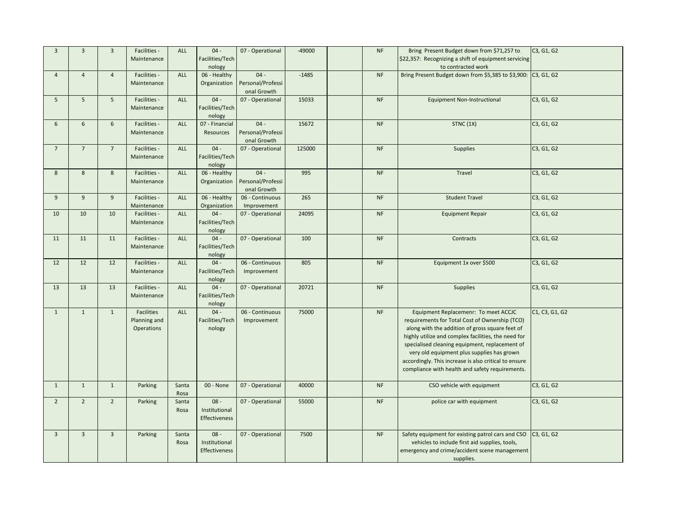| $\overline{3}$ | $\mathbf{3}$   | $\mathbf{3}$    | Facilities -      | ALL           | $04 -$                  | 07 - Operational            | $-49000$ | $\sf{NF}$ | Bring Present Budget down from \$71,257 to                                                          | C3, G1, G2     |
|----------------|----------------|-----------------|-------------------|---------------|-------------------------|-----------------------------|----------|-----------|-----------------------------------------------------------------------------------------------------|----------------|
|                |                |                 | Maintenance       |               | Facilities/Tech         |                             |          |           | \$22,357: Recognizing a shift of equipment servicing                                                |                |
|                |                |                 |                   |               | nology                  |                             |          |           | to contracted work                                                                                  |                |
| $\overline{4}$ | $\overline{4}$ | $\overline{4}$  | Facilities -      | ALL           | 06 - Healthy            | $04 -$<br>Personal/Professi | $-1485$  | <b>NF</b> | Bring Present Budget down from \$5,385 to \$3,900: C3, G1, G2                                       |                |
|                |                |                 | Maintenance       |               | Organization            | onal Growth                 |          |           |                                                                                                     |                |
| 5              | 5              | $5\overline{5}$ | Facilities -      | ALL           | $04 -$                  | 07 - Operational            | 15033    | <b>NF</b> | <b>Equipment Non-Instructional</b>                                                                  | C3, G1, G2     |
|                |                |                 | Maintenance       |               | Facilities/Tech         |                             |          |           |                                                                                                     |                |
|                |                |                 |                   |               | nology                  |                             |          |           |                                                                                                     |                |
| 6              | $6\phantom{1}$ | 6               | Facilities -      | ALL           | 07 - Financial          | $04 -$                      | 15672    | <b>NF</b> | STNC (1X)                                                                                           | C3, G1, G2     |
|                |                |                 | Maintenance       |               | Resources               | Personal/Professi           |          |           |                                                                                                     |                |
|                |                |                 |                   |               |                         | onal Growth                 |          |           |                                                                                                     |                |
| $\overline{7}$ | $\overline{7}$ | $\overline{7}$  | Facilities -      | ALL           | $04 -$                  | 07 - Operational            | 125000   | $\sf{NF}$ | <b>Supplies</b>                                                                                     | C3, G1, G2     |
|                |                |                 | Maintenance       |               | Facilities/Tech         |                             |          |           |                                                                                                     |                |
| 8              | 8              | 8               | Facilities -      | ALL           | nology<br>06 - Healthy  | $04 -$                      | 995      | <b>NF</b> | Travel                                                                                              | C3, G1, G2     |
|                |                |                 | Maintenance       |               | Organization            | Personal/Professi           |          |           |                                                                                                     |                |
|                |                |                 |                   |               |                         | onal Growth                 |          |           |                                                                                                     |                |
| $\overline{9}$ | 9              | $\overline{9}$  | Facilities -      | ALL           | 06 - Healthy            | 06 - Continuous             | 265      | NF        | <b>Student Travel</b>                                                                               | C3, G1, G2     |
|                |                |                 | Maintenance       |               | Organization            | Improvement                 |          |           |                                                                                                     |                |
| 10             | 10             | 10              | Facilities -      | ALL           | $04 -$                  | 07 - Operational            | 24095    | <b>NF</b> | <b>Equipment Repair</b>                                                                             | C3, G1, G2     |
|                |                |                 | Maintenance       |               | Facilities/Tech         |                             |          |           |                                                                                                     |                |
|                |                |                 |                   |               | nology                  |                             |          |           |                                                                                                     |                |
| 11             | 11             | 11              | Facilities -      | ALL           | $04 -$                  | 07 - Operational            | 100      | $\sf{NF}$ | Contracts                                                                                           | C3, G1, G2     |
|                |                |                 | Maintenance       |               | Facilities/Tech         |                             |          |           |                                                                                                     |                |
| 12             | 12             | 12              | Facilities -      | <b>ALL</b>    | nology<br>$04 -$        | 06 - Continuous             | 805      | NF        | Equipment 1x over \$500                                                                             | C3, G1, G2     |
|                |                |                 | Maintenance       |               | Facilities/Tech         | Improvement                 |          |           |                                                                                                     |                |
|                |                |                 |                   |               | nology                  |                             |          |           |                                                                                                     |                |
| 13             | 13             | 13              | Facilities -      | ALL           | $04 -$                  | 07 - Operational            | 20721    | <b>NF</b> | <b>Supplies</b>                                                                                     | C3, G1, G2     |
|                |                |                 | Maintenance       |               | Facilities/Tech         |                             |          |           |                                                                                                     |                |
|                |                |                 |                   |               | nology                  |                             |          |           |                                                                                                     |                |
| $\mathbf{1}$   | $\mathbf{1}$   | $\mathbf{1}$    | Facilities        | ALL           | $04 -$                  | 06 - Continuous             | 75000    | NF        | Equipment Replacemenr: To meet ACCJC                                                                | C1, C3, G1, G2 |
|                |                |                 | Planning and      |               | Facilities/Tech         | Improvement                 |          |           | requirements for Total Cost of Ownership (TCO)                                                      |                |
|                |                |                 | <b>Operations</b> |               | nology                  |                             |          |           | along with the addition of gross square feet of                                                     |                |
|                |                |                 |                   |               |                         |                             |          |           | highly utilize and complex facilities, the need for                                                 |                |
|                |                |                 |                   |               |                         |                             |          |           | specialised cleaning equipment, replacement of                                                      |                |
|                |                |                 |                   |               |                         |                             |          |           | very old equipment plus supplies has grown<br>accordingly. This increase is also critical to ensure |                |
|                |                |                 |                   |               |                         |                             |          |           | compliance with health and safety requirements.                                                     |                |
|                |                |                 |                   |               |                         |                             |          |           |                                                                                                     |                |
| $\mathbf{1}$   | $\mathbf{1}$   | $\mathbf{1}$    | Parking           | Santa         | 00 - None               | 07 - Operational            | 40000    | <b>NF</b> | CSO vehicle with equipment                                                                          | C3, G1, G2     |
|                |                |                 |                   | Rosa          |                         |                             |          |           |                                                                                                     |                |
| $\overline{2}$ | $\overline{2}$ | $\overline{2}$  | Parking           | Santa         | $08 -$                  | 07 - Operational            | 55000    | NF        | police car with equipment                                                                           | C3, G1, G2     |
|                |                |                 |                   | Rosa          | Institutional           |                             |          |           |                                                                                                     |                |
|                |                |                 |                   |               | Effectiveness           |                             |          |           |                                                                                                     |                |
|                |                |                 |                   |               |                         |                             |          |           |                                                                                                     |                |
| $\overline{3}$ | $\overline{3}$ | $\overline{3}$  | Parking           | Santa<br>Rosa | $08 -$<br>Institutional | 07 - Operational            | 7500     | <b>NF</b> | Safety equipment for existing patrol cars and CSO<br>vehicles to include first aid supplies, tools, | C3, G1, G2     |
|                |                |                 |                   |               | Effectiveness           |                             |          |           | emergency and crime/accident scene management                                                       |                |
|                |                |                 |                   |               |                         |                             |          |           | supplies.                                                                                           |                |
|                |                |                 |                   |               |                         |                             |          |           |                                                                                                     |                |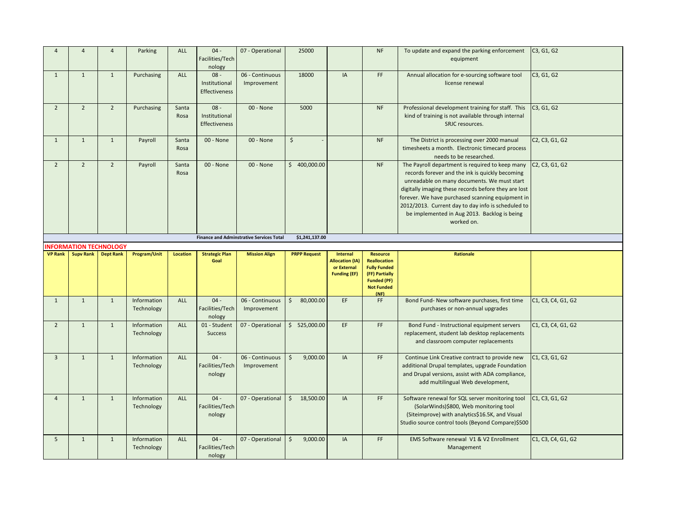| $\overline{A}$ | $\overline{4}$                | $\overline{4}$   | Parking                   | ALL             | $04 -$<br>Facilities/Tech<br>nology      | 07 - Operational                                | 25000                |                                                                          | <b>NF</b>                                                     | To update and expand the parking enforcement<br>equipment                                                                                                                                                                                                                                                                                                                         | C3, G1, G2                                                        |
|----------------|-------------------------------|------------------|---------------------------|-----------------|------------------------------------------|-------------------------------------------------|----------------------|--------------------------------------------------------------------------|---------------------------------------------------------------|-----------------------------------------------------------------------------------------------------------------------------------------------------------------------------------------------------------------------------------------------------------------------------------------------------------------------------------------------------------------------------------|-------------------------------------------------------------------|
| $\mathbf{1}$   | $\mathbf{1}$                  | $\mathbf{1}$     | Purchasing                | ALL             | $08 -$<br>Institutional<br>Effectiveness | 06 - Continuous<br>Improvement                  | 18000                | IA                                                                       | FF                                                            | Annual allocation for e-sourcing software tool<br>license renewal                                                                                                                                                                                                                                                                                                                 | C3, G1, G2                                                        |
| $\overline{2}$ | $\overline{2}$                | $\overline{2}$   | Purchasing                | Santa<br>Rosa   | $08 -$<br>Institutional<br>Effectiveness | 00 - None                                       | 5000                 |                                                                          | <b>NF</b>                                                     | Professional development training for staff. This<br>kind of training is not available through internal<br>SRJC resources.                                                                                                                                                                                                                                                        | C3, G1, G2                                                        |
| $\mathbf{1}$   | $\mathbf{1}$                  | $\mathbf{1}$     | Payroll                   | Santa<br>Rosa   | 00 - None                                | 00 - None                                       | $\zeta$              |                                                                          | <b>NF</b>                                                     | The District is processing over 2000 manual<br>timesheets a month. Electronic timecard process<br>needs to be researched.                                                                                                                                                                                                                                                         | C <sub>2</sub> , C <sub>3</sub> , G <sub>1</sub> , G <sub>2</sub> |
| $\overline{2}$ | $\overline{2}$                | $\overline{2}$   | Payroll                   | Santa<br>Rosa   | 00 - None                                | 00 - None                                       | \$400,000.00         |                                                                          | <b>NF</b>                                                     | The Payroll department is required to keep many<br>records forever and the ink is quickly becoming<br>unreadable on many documents. We must start<br>digitally imaging these records before they are lost<br>forever. We have purchased scanning equipment in<br>2012/2013. Current day to day info is scheduled to<br>be implemented in Aug 2013. Backlog is being<br>worked on. | C <sub>2</sub> , C <sub>3</sub> , G <sub>1</sub> , G <sub>2</sub> |
|                |                               |                  |                           |                 |                                          | <b>Finance and Adminstrative Services Total</b> | \$1,241,137.00       |                                                                          |                                                               |                                                                                                                                                                                                                                                                                                                                                                                   |                                                                   |
|                | <b>INFORMATION TECHNOLOGY</b> |                  |                           |                 |                                          |                                                 |                      |                                                                          |                                                               |                                                                                                                                                                                                                                                                                                                                                                                   |                                                                   |
| <b>VP Rank</b> | <b>Supv Rank</b>              | <b>Dept Rank</b> | Program/Unit              | <b>Location</b> | <b>Strategic Plan</b><br>Goal            | <b>Mission Align</b>                            | <b>PRPP Request</b>  | Internal<br><b>Allocation (IA)</b><br>or External<br><b>Funding (EF)</b> | <b>Resource</b><br><b>Reallocation</b><br><b>Fully Funded</b> | <b>Rationale</b>                                                                                                                                                                                                                                                                                                                                                                  |                                                                   |
|                |                               |                  |                           |                 |                                          |                                                 |                      |                                                                          | (FF) Partially<br><b>Funded (PF)</b><br><b>Not Funded</b>     |                                                                                                                                                                                                                                                                                                                                                                                   |                                                                   |
| $\mathbf{1}$   | $\mathbf{1}$                  | $\mathbf{1}$     | Information<br>Technology | ALL             | $04 -$<br>Facilities/Tech<br>nology      | 06 - Continuous<br>Improvement                  | 80,000.00<br>$\zeta$ | EF                                                                       | (NF)<br>FF                                                    | Bond Fund- New software purchases, first time<br>purchases or non-annual upgrades                                                                                                                                                                                                                                                                                                 | C1, C3, C4, G1, G2                                                |
| $\overline{2}$ | $\mathbf{1}$                  | $\mathbf{1}$     | Information<br>Technology | <b>ALL</b>      | 01 - Student<br><b>Success</b>           | 07 - Operational                                | \$525,000.00         | EF                                                                       | FF                                                            | Bond Fund - Instructional equipment servers<br>replacement, student lab desktop replacements<br>and classroom computer replacements                                                                                                                                                                                                                                               | C1, C3, C4, G1, G2                                                |
| $\overline{3}$ | $\mathbf{1}$                  | $\mathbf{1}$     | Information<br>Technology | ALL             | $04 -$<br>Facilities/Tech<br>nology      | 06 - Continuous<br>Improvement                  | 9,000.00<br>\$       | IA                                                                       | FF.                                                           | Continue Link Creative contract to provide new<br>additional Drupal templates, upgrade Foundation<br>and Drupal versions, assist with ADA compliance,<br>add multilingual Web development,                                                                                                                                                                                        | C1, C3, G1, G2                                                    |
| $\overline{4}$ | $\mathbf{1}$                  | $\mathbf{1}$     | Information<br>Technology | <b>ALL</b>      | $04 -$<br>Facilities/Tech<br>nology      | 07 - Operational                                | $\zeta$<br>18,500.00 | IA                                                                       | FF                                                            | Software renewal for SQL server monitoring tool<br>(SolarWinds)\$800, Web monitoring tool<br>(Siteimprove) with analytics\$16.5K, and Visual<br>Studio source control tools (Beyond Compare)\$500                                                                                                                                                                                 | C1, C3, G1, G2                                                    |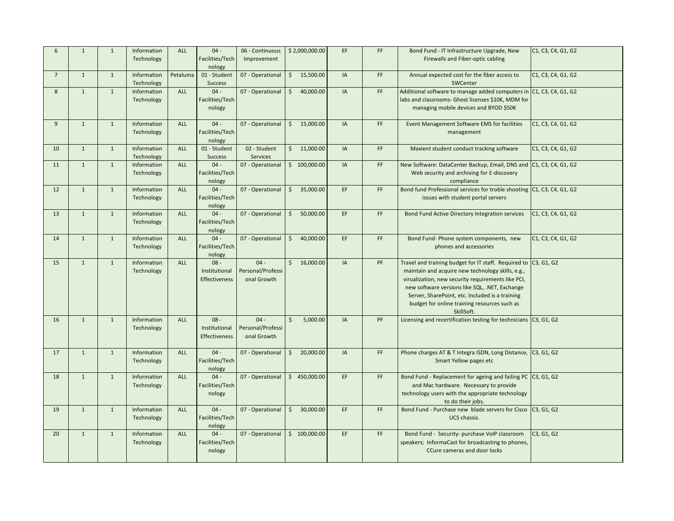| 6               | $\mathbf{1}$ | $\mathbf{1}$ | Information<br>Technology | <b>ALL</b> | $04 -$<br>Facilities/Tech<br>nology      | 06 - Continuous<br>Improvement             | \$2,000,000.00            | EF        | FF. | Bond Fund - IT Infrastructure Upgrade, New<br>Firewalls and Fiber-optic cabling                                                                                                                                                                                                                                                               | C1, C3, C4, G1, G2 |
|-----------------|--------------|--------------|---------------------------|------------|------------------------------------------|--------------------------------------------|---------------------------|-----------|-----|-----------------------------------------------------------------------------------------------------------------------------------------------------------------------------------------------------------------------------------------------------------------------------------------------------------------------------------------------|--------------------|
| $7\overline{ }$ | $\mathbf{1}$ | $\mathbf{1}$ | Information<br>Technology | Petaluma   | 01 - Student<br><b>Success</b>           | 07 - Operational                           | $\zeta$<br>15,500.00      | IA        | FF. | Annual expected cost for the fiber access to<br>SWCenter                                                                                                                                                                                                                                                                                      | C1, C3, C4, G1, G2 |
| 8               | 1            | $\mathbf{1}$ | Information<br>Technology | <b>ALL</b> | $04 -$<br>Facilities/Tech<br>nology      | 07 - Operational                           | $\zeta$<br>40,000.00      | <b>IA</b> | FF. | Additional software to manage added computers in C1, C3, C4, G1, G2<br>labs and classrooms- Ghost licenses \$10K, MDM for<br>managing mobile devices and BYOD \$50K                                                                                                                                                                           |                    |
| 9               | $\mathbf{1}$ | $\mathbf{1}$ | Information<br>Technology | ALL        | $04 -$<br>Facilities/Tech<br>nology      | 07 - Operational                           | \$15,000.00               | IA        | FF. | Event Management Software EMS for facilities<br>management                                                                                                                                                                                                                                                                                    | C1, C3, C4, G1, G2 |
| 10              | $\mathbf{1}$ | $\mathbf{1}$ | Information<br>Technology | <b>ALL</b> | 01 - Student<br><b>Success</b>           | 02 - Student<br><b>Services</b>            | \$11,000.00               | <b>IA</b> | FF  | Maxient student conduct tracking software                                                                                                                                                                                                                                                                                                     | C1, C3, C4, G1, G2 |
| 11              | $\mathbf{1}$ | $\mathbf{1}$ | Information<br>Technology | ALL        | $04 -$<br>Facilities/Tech<br>nology      | 07 - Operational                           | \$100,000.00              | IA        | FF. | New Software: DataCenter Backup, Email, DNS and C1, C3, C4, G1, G2<br>Web security and archiving for E-discovery<br>compliance                                                                                                                                                                                                                |                    |
| 12              | $\mathbf{1}$ | $\mathbf{1}$ | Information<br>Technology | <b>ALL</b> | $04 -$<br>Facilities/Tech<br>nology      | 07 - Operational                           | $\zeta$<br>35,000.00      | EF        | FF. | Bond fund Professional services for troble shooting C1, C3, C4, G1, G2<br>issues with student portal servers                                                                                                                                                                                                                                  |                    |
| 13              | 1            | $\mathbf{1}$ | Information<br>Technology | <b>ALL</b> | $04 -$<br>Facilities/Tech<br>nology      | 07 - Operational                           | $\mathsf{S}$<br>50,000.00 | EF        | FF. | Bond Fund Active Directory Integration services                                                                                                                                                                                                                                                                                               | C1, C3, C4, G1, G2 |
| 14              | $\mathbf{1}$ | $\mathbf{1}$ | Information<br>Technology | ALL        | $04 -$<br>Facilities/Tech<br>nology      | 07 - Operational                           | $\zeta$<br>40,000.00      | EF        | FF  | Bond Fund- Phone system components, new<br>phones and accessories                                                                                                                                                                                                                                                                             | C1, C3, C4, G1, G2 |
| 15              | $\mathbf{1}$ | $\mathbf{1}$ | Information<br>Technology | ALL        | $08 -$<br>Institutional<br>Effectiveness | $04 -$<br>Personal/Professi<br>onal Growth | \$16,000.00               | IA        | PF  | Travel and training budget for IT staff. Required to C3, G1, G2<br>maintain and acquire new technology skills, e.g.,<br>virualization, new security requirements like PCI,<br>new software versions like SQL, .NET, Exchange<br>Server, SharePoint, etc. Included is a training<br>budget for online training resources such as<br>SkillSoft. |                    |
| 16              | $\mathbf{1}$ | $\mathbf{1}$ | Information<br>Technology | ALL        | $08 -$<br>Institutional<br>Effectiveness | $04 -$<br>Personal/Professi<br>onal Growth | 5,000.00<br>\$            | IA        | PF  | Licensing and recertification testing for technicians C3, G1, G2                                                                                                                                                                                                                                                                              |                    |
| 17              | $\mathbf{1}$ | $\mathbf{1}$ | Information<br>Technology | <b>ALL</b> | $04 -$<br>Facilities/Tech<br>nology      | 07 - Operational                           | 20,000.00<br>$\mathsf{S}$ | IA        | FF. | Phone charges AT & T Integra ISDN, Long Distance, C3, G1, G2<br>Smart Yellow pages etc                                                                                                                                                                                                                                                        |                    |
| 18              | $\mathbf{1}$ | $\mathbf 1$  | Information<br>Technology | ALL        | $04 -$<br>Facilities/Tech<br>nology      | 07 - Operational                           | \$450,000.00              | EF        | FF. | Bond Fund - Replacement for ageing and failing PC C3, G1, G2<br>and Mac hardware. Necessary to provide<br>technology users with the appropriate technology<br>to do their jobs.                                                                                                                                                               |                    |
| 19              | $\mathbf{1}$ | $\mathbf{1}$ | Information<br>Technology | <b>ALL</b> | $04 -$<br>Facilities/Tech<br>nology      | 07 - Operational                           | 30,000.00<br>$\zeta$      | EF        | FF. | Bond Fund - Purchase new blade servers for Cisco C3, G1, G2<br>UCS chassis.                                                                                                                                                                                                                                                                   |                    |
| 20              | $\mathbf{1}$ | $\mathbf{1}$ | Information<br>Technology | ALL        | $04 -$<br>Facilities/Tech<br>nology      | 07 - Operational                           | \$100,000.00              | EF        | FF. | Bond Fund - Security- purchase VoIP classroom<br>speakers; InformaCast for broadcasting to phones,<br>CCure cameras and door locks                                                                                                                                                                                                            | C3, G1, G2         |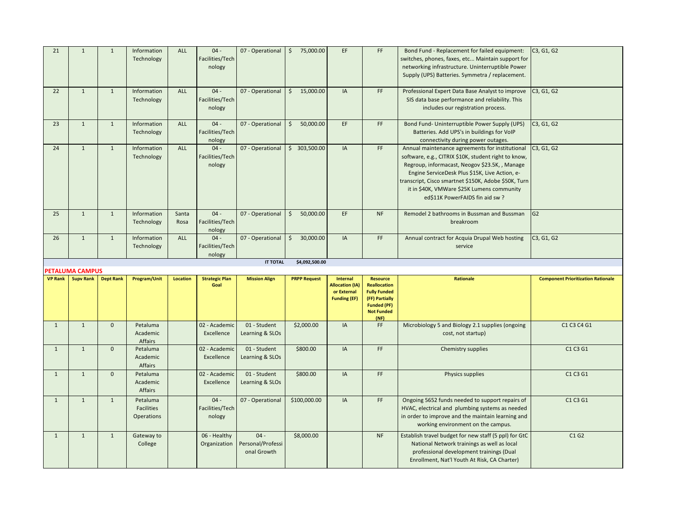| 21             | $\mathbf{1}$                        | $\mathbf{1}$     | Information<br>Technology                          | ALL             | $04 -$<br>Facilities/Tech<br>nology | 07 - Operational                | $\ddot{\mathsf{S}}$<br>75,000.00 | EF                                                                              | FF                                                                                                                                 | Bond Fund - Replacement for failed equipment:<br>switches, phones, faxes, etc Maintain support for<br>networking infrastructure. Uninterruptible Power<br>Supply (UPS) Batteries. Symmetra / replacement.                                                                                                                                           | C3, G1, G2                                |
|----------------|-------------------------------------|------------------|----------------------------------------------------|-----------------|-------------------------------------|---------------------------------|----------------------------------|---------------------------------------------------------------------------------|------------------------------------------------------------------------------------------------------------------------------------|-----------------------------------------------------------------------------------------------------------------------------------------------------------------------------------------------------------------------------------------------------------------------------------------------------------------------------------------------------|-------------------------------------------|
| 22             | $\mathbf{1}$                        | $\mathbf{1}$     | Information<br>Technology                          | <b>ALL</b>      | $04 -$<br>Facilities/Tech<br>nology | 07 - Operational                | $\mathsf{S}$<br>15,000.00        | IA                                                                              | FF.                                                                                                                                | Professional Expert Data Base Analyst to improve<br>SIS data base performance and reliability. This<br>includes our registration process.                                                                                                                                                                                                           | C3, G1, G2                                |
| 23             | $\mathbf{1}$                        | $\mathbf{1}$     | Information<br>Technology                          | <b>ALL</b>      | $04 -$<br>Facilities/Tech<br>nology | 07 - Operational                | $\mathsf{S}$<br>50,000.00        | EF                                                                              | FF                                                                                                                                 | Bond Fund- Uninterruptible Power Supply (UPS)<br>Batteries. Add UPS's in buildings for VoIP<br>connectivity during power outages.                                                                                                                                                                                                                   | C3, G1, G2                                |
| 24             | $\mathbf{1}$                        | $\mathbf{1}$     | Information<br>Technology                          | <b>ALL</b>      | $04 -$<br>Facilities/Tech<br>nology | 07 - Operational                | \$303,500.00                     | IA                                                                              | FF                                                                                                                                 | Annual maintenance agreements for institutional<br>software, e.g., CITRIX \$10K, student right to know,<br>Regroup, informacast, Neogov \$23.5K, , Manage<br>Engine ServiceDesk Plus \$15K, Live Action, e-<br>transcript, Cisco smartnet \$150K, Adobe \$50K, Turn<br>it in \$40K, VMWare \$25K Lumens community<br>ed\$11K PowerFAIDS fin aid sw? | C3, G1, G2                                |
| 25             | $\mathbf{1}$                        | $\mathbf{1}$     | Information<br>Technology                          | Santa<br>Rosa   | $04 -$<br>Facilities/Tech<br>nology | 07 - Operational                | \$<br>50,000.00                  | EF                                                                              | <b>NF</b>                                                                                                                          | Remodel 2 bathrooms in Bussman and Bussman<br>breakroom                                                                                                                                                                                                                                                                                             | G2                                        |
| 26             | $\mathbf{1}$                        | $\mathbf{1}$     | Information<br>Technology                          | ALL             | $04 -$<br>Facilities/Tech<br>nology | 07 - Operational                | 30,000.00<br>$\zeta$             | IA                                                                              | FF                                                                                                                                 | Annual contract for Acquia Drupal Web hosting<br>service                                                                                                                                                                                                                                                                                            | C3, G1, G2                                |
|                |                                     |                  |                                                    |                 |                                     |                                 |                                  |                                                                                 |                                                                                                                                    |                                                                                                                                                                                                                                                                                                                                                     |                                           |
|                |                                     |                  |                                                    |                 |                                     | <b>IT TOTAL</b>                 | \$4,092,500.00                   |                                                                                 |                                                                                                                                    |                                                                                                                                                                                                                                                                                                                                                     |                                           |
| <b>VP Rank</b> | PETALUMA CAMPUS<br><b>Supy Rank</b> | <b>Dept Rank</b> | Program/Unit                                       | <b>Location</b> | <b>Strategic Plan</b><br>Goal       | <b>Mission Align</b>            | <b>PRPP Request</b>              | <b>Internal</b><br><b>Allocation (IA)</b><br>or External<br><b>Funding (EF)</b> | <b>Resource</b><br><b>Reallocation</b><br><b>Fully Funded</b><br>(FF) Partially<br><b>Funded (PF)</b><br><b>Not Funded</b><br>(NF) | <b>Rationale</b>                                                                                                                                                                                                                                                                                                                                    | <b>Component Prioritization Rationale</b> |
| $\mathbf{1}$   | $\mathbf{1}$                        | $\mathbf{0}$     | Petaluma<br>Academic<br>Affairs                    |                 | 02 - Academic<br>Excellence         | 01 - Student<br>Learning & SLOs | \$2,000.00                       | IA                                                                              | FF.                                                                                                                                | Microbiology 5 and Biology 2.1 supplies (ongoing<br>cost, not startup)                                                                                                                                                                                                                                                                              | C1 C3 C4 G1                               |
| $\mathbf{1}$   | $\mathbf{1}$                        | $\mathbf{0}$     | Petaluma<br>Academic<br>Affairs                    |                 | 02 - Academic<br>Excellence         | 01 - Student<br>Learning & SLOs | \$800.00                         | IA                                                                              | FF                                                                                                                                 | Chemistry supplies                                                                                                                                                                                                                                                                                                                                  | C1 C3 G1                                  |
| $\mathbf{1}$   | $\mathbf{1}$                        | $\mathbf{0}$     | Petaluma<br>Academic<br>Affairs                    |                 | 02 - Academic<br>Excellence         | 01 - Student<br>Learning & SLOs | \$800.00                         | IA                                                                              | FF                                                                                                                                 | Physics supplies                                                                                                                                                                                                                                                                                                                                    | C1 C3 G1                                  |
| $\mathbf{1}$   | $\mathbf{1}$                        | $\mathbf{1}$     | Petaluma<br><b>Facilities</b><br><b>Operations</b> |                 | $04 -$<br>Facilities/Tech<br>nology | 07 - Operational                | \$100,000.00                     | IA                                                                              | FF                                                                                                                                 | Ongoing 5652 funds needed to support repairs of<br>HVAC, electrical and plumbing systems as needed<br>in order to improve and the maintain learning and<br>working environment on the campus.                                                                                                                                                       | C1 C3 G1                                  |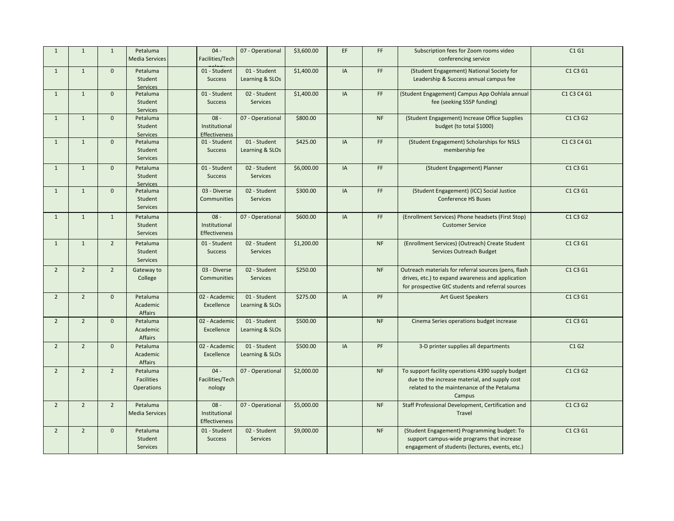| $\mathbf{1}$   | $\mathbf{1}$   | $\mathbf{1}$   | Petaluma<br><b>Media Services</b>                  | $04 -$<br>Facilities/Tech                       | 07 - Operational                | \$3,600.00 | EF | FF.       | Subscription fees for Zoom rooms video<br>conferencing service                                                                                                 | C1G1        |
|----------------|----------------|----------------|----------------------------------------------------|-------------------------------------------------|---------------------------------|------------|----|-----------|----------------------------------------------------------------------------------------------------------------------------------------------------------------|-------------|
| $\mathbf{1}$   | $\mathbf{1}$   | $\mathbf{0}$   | Petaluma<br>Student<br>Services                    | 01 - Student<br><b>Success</b>                  | 01 - Student<br>Learning & SLOs | \$1,400.00 | IA | FF.       | (Student Engagement) National Society for<br>Leadership & Success annual campus fee                                                                            | C1 C3 G1    |
| $\mathbf{1}$   | $\mathbf{1}$   | $\mathbf{0}$   | Petaluma<br>Student<br>Services                    | 01 - Student<br>Success                         | 02 - Student<br>Services        | \$1,400.00 | IA | FF        | (Student Engagement) Campus App Oohlala annual<br>fee (seeking SSSP funding)                                                                                   | C1 C3 C4 G1 |
| $\overline{1}$ | $\mathbf{1}$   | $\mathbf{0}$   | Petaluma<br>Student<br>Services                    | $08 -$<br>Institutional<br>Effectiveness        | 07 - Operational                | \$800.00   |    | <b>NF</b> | (Student Engagement) Increase Office Supplies<br>budget (to total \$1000)                                                                                      | C1 C3 G2    |
| $\mathbf{1}$   | $\mathbf{1}$   | $\mathbf{0}$   | Petaluma<br>Student<br>Services                    | 01 - Student<br><b>Success</b>                  | 01 - Student<br>Learning & SLOs | \$425.00   | IA | <b>FF</b> | (Student Engagement) Scholarships for NSLS<br>membership fee                                                                                                   | C1 C3 C4 G1 |
| $\mathbf{1}$   | $\mathbf{1}$   | $\mathbf{0}$   | Petaluma<br>Student<br>Services                    | 01 - Student<br>Success                         | 02 - Student<br>Services        | \$6,000.00 | IA | FF.       | (Student Engagement) Planner                                                                                                                                   | C1 C3 G1    |
| $\mathbf{1}$   | $\mathbf{1}$   | $\mathbf{0}$   | Petaluma<br>Student<br>Services                    | 03 - Diverse<br>Communities                     | 02 - Student<br>Services        | \$300.00   | IA | FF        | (Student Engagement) (ICC) Social Justice<br><b>Conference HS Buses</b>                                                                                        | C1 C3 G1    |
| $\mathbf{1}$   | $\mathbf{1}$   | $\mathbf{1}$   | Petaluma<br>Student<br>Services                    | $08 -$<br>Institutional<br><b>Effectiveness</b> | 07 - Operational                | \$600.00   | IA | FF.       | (Enrollment Services) Phone headsets (First Stop)<br><b>Customer Service</b>                                                                                   | C1 C3 G2    |
| $\mathbf{1}$   | $\mathbf{1}$   | $\overline{2}$ | Petaluma<br>Student<br>Services                    | 01 - Student<br><b>Success</b>                  | 02 - Student<br>Services        | \$1,200.00 |    | <b>NF</b> | (Enrollment Services) (Outreach) Create Student<br>Services Outreach Budget                                                                                    | C1 C3 G1    |
| $\overline{2}$ | $\overline{2}$ | $\overline{2}$ | Gateway to<br>College                              | 03 - Diverse<br><b>Communities</b>              | 02 - Student<br><b>Services</b> | \$250.00   |    | <b>NF</b> | Outreach materials for referral sources (pens, flash<br>drives, etc.) to expand awareness and application<br>for prospective GtC students and referral sources | C1 C3 G1    |
| $\overline{2}$ | $\overline{2}$ | $\mathbf{0}$   | Petaluma<br>Academic<br>Affairs                    | 02 - Academic<br>Excellence                     | 01 - Student<br>Learning & SLOs | \$275.00   | IA | PF        | <b>Art Guest Speakers</b>                                                                                                                                      | C1 C3 G1    |
| $\overline{2}$ | $\overline{2}$ | $\mathbf{0}$   | Petaluma<br>Academic<br>Affairs                    | 02 - Academic<br>Excellence                     | 01 - Student<br>Learning & SLOs | \$500.00   |    | <b>NF</b> | Cinema Series operations budget increase                                                                                                                       | C1 C3 G1    |
| $\overline{2}$ | $\overline{2}$ | $\mathbf{0}$   | Petaluma<br>Academic<br>Affairs                    | 02 - Academic<br>Excellence                     | 01 - Student<br>Learning & SLOs | \$500.00   | IA | PF        | 3-D printer supplies all departments                                                                                                                           | C1G2        |
| $\overline{2}$ | $\overline{2}$ | $\overline{2}$ | Petaluma<br><b>Facilities</b><br><b>Operations</b> | $04 -$<br>Facilities/Tech<br>nology             | 07 - Operational                | \$2,000.00 |    | <b>NF</b> | To support facility operations 4390 supply budget<br>due to the increase material, and supply cost<br>related to the maintenance of the Petaluma<br>Campus     | C1 C3 G2    |
| $\overline{2}$ | $\overline{2}$ | $\overline{2}$ | Petaluma<br><b>Media Services</b>                  | $08 -$<br>Institutional<br><b>Effectiveness</b> | 07 - Operational                | \$5,000.00 |    | <b>NF</b> | Staff Professional Development, Certification and<br>Travel                                                                                                    | C1 C3 G2    |
| $\overline{2}$ | $\overline{2}$ | $\mathbf{0}$   | Petaluma<br>Student<br>Services                    | 01 - Student<br><b>Success</b>                  | 02 - Student<br><b>Services</b> | \$9,000.00 |    | <b>NF</b> | (Student Engagement) Programming budget: To<br>support campus-wide programs that increase<br>engagement of students (lectures, events, etc.)                   | C1 C3 G1    |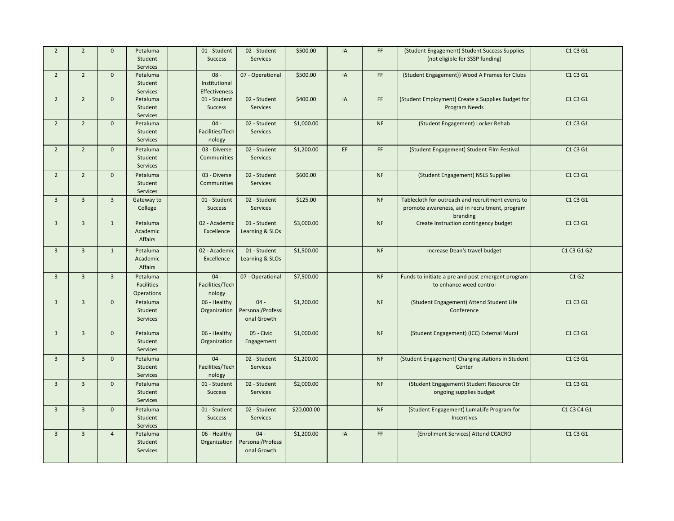| $\overline{2}$ | $\overline{2}$ | $\mathbf{0}$   | Petaluma<br>Student<br>Services                    | 01 - Student<br><b>Success</b>           | 02 - Student<br>Services                   | \$500.00    | IA | FF.       | (Student Engagement) Student Success Supplies<br>(not eligible for SSSP funding)                                | C1 C3 G1    |
|----------------|----------------|----------------|----------------------------------------------------|------------------------------------------|--------------------------------------------|-------------|----|-----------|-----------------------------------------------------------------------------------------------------------------|-------------|
| $\overline{2}$ | $\overline{2}$ | $\mathbf{0}$   | Petaluma<br>Student<br>Services                    | $08 -$<br>Institutional<br>Effectiveness | 07 - Operational                           | \$500.00    | IA | FF.       | (Student Engagement)) Wood A Frames for Clubs                                                                   | C1 C3 G1    |
| $\overline{2}$ | $\overline{2}$ | $\mathbf{0}$   | Petaluma<br>Student<br>Services                    | 01 - Student<br><b>Success</b>           | 02 - Student<br>Services                   | \$400.00    | IA | FF        | (Student Employment) Create a Supplies Budget for<br><b>Program Needs</b>                                       | C1 C3 G1    |
| $\overline{2}$ | $\overline{2}$ | $\mathbf{0}$   | Petaluma<br>Student<br>Services                    | $04 -$<br>Facilities/Tech<br>nology      | 02 - Student<br>Services                   | \$1,000.00  |    | <b>NF</b> | (Student Engagement) Locker Rehab                                                                               | C1 C3 G1    |
| $\overline{2}$ | $\overline{2}$ | $\mathbf{0}$   | Petaluma<br>Student<br>Services                    | 03 - Diverse<br>Communities              | 02 - Student<br>Services                   | \$1,200.00  | EF | FF.       | (Student Engagement) Student Film Festival                                                                      | C1 C3 G1    |
| $\overline{2}$ | $\overline{2}$ | $\mathbf{0}$   | Petaluma<br>Student<br>Services                    | 03 - Diverse<br><b>Communities</b>       | 02 - Student<br><b>Services</b>            | \$600.00    |    | <b>NF</b> | (Student Engagement) NSLS Supplies                                                                              | C1 C3 G1    |
| $\overline{3}$ | $\overline{3}$ | $\overline{3}$ | Gateway to<br>College                              | 01 - Student<br><b>Success</b>           | 02 - Student<br>Services                   | \$125.00    |    | <b>NF</b> | Tablecloth for outreach and recruitment events to<br>promote awareness, aid in recruitment, program<br>branding | C1 C3 G1    |
| $\overline{3}$ | $\overline{3}$ | $\mathbf{1}$   | Petaluma<br>Academic<br>Affairs                    | 02 - Academic<br>Excellence              | 01 - Student<br>Learning & SLOs            | \$3,000.00  |    | NF        | Create Instruction contingency budget                                                                           | C1 C3 G1    |
| $\overline{3}$ | $\overline{3}$ | $\mathbf{1}$   | Petaluma<br>Academic<br>Affairs                    | 02 - Academic<br>Excellence              | 01 - Student<br>Learning & SLOs            | \$1,500.00  |    | <b>NF</b> | Increase Dean's travel budget                                                                                   | C1 C3 G1 G2 |
| $\overline{3}$ | $\overline{3}$ | $\overline{3}$ | Petaluma<br><b>Facilities</b><br><b>Operations</b> | $04 -$<br>Facilities/Tech<br>nology      | 07 - Operational                           | \$7,500.00  |    | <b>NF</b> | Funds to initiate a pre and post emergent program<br>to enhance weed control                                    | C1G2        |
| $\overline{3}$ | $\overline{3}$ | $\mathbf{0}$   | Petaluma<br>Student<br>Services                    | 06 - Healthy<br>Organization             | $04 -$<br>Personal/Professi<br>onal Growth | \$1,200.00  |    | <b>NF</b> | (Student Engagement) Attend Student Life<br>Conference                                                          | C1 C3 G1    |
| $\overline{3}$ | $\overline{3}$ | $\mathbf{0}$   | Petaluma<br>Student<br>Services                    | 06 - Healthy<br>Organization             | 05 - Civic<br>Engagement                   | \$1,000.00  |    | <b>NF</b> | (Student Engagement) (ICC) External Mural                                                                       | C1 C3 G1    |
| $\overline{3}$ | $\overline{3}$ | $\mathbf{0}$   | Petaluma<br>Student<br><b>Services</b>             | $04 -$<br>Facilities/Tech<br>nology      | 02 - Student<br><b>Services</b>            | \$1,200.00  |    | <b>NF</b> | (Student Engagement) Charging stations in Student<br>Center                                                     | C1 C3 G1    |
| $\overline{3}$ | $\overline{3}$ | $\mathbf{0}$   | Petaluma<br>Student<br>Services                    | 01 - Student<br><b>Success</b>           | 02 - Student<br>Services                   | \$2,000.00  |    | <b>NF</b> | (Student Engagement) Student Resource Ctr<br>ongoing supplies budget                                            | C1 C3 G1    |
| $\overline{3}$ | $\overline{3}$ | $\mathbf{0}$   | Petaluma<br>Student<br>Services                    | 01 - Student<br><b>Success</b>           | 02 - Student<br>Services                   | \$20,000.00 |    | <b>NF</b> | (Student Engagement) LumaLife Program for<br>Incentives                                                         | C1 C3 C4 G1 |
| $\overline{3}$ | $\overline{3}$ | $\overline{4}$ | Petaluma<br>Student<br><b>Services</b>             | 06 - Healthy<br>Organization             | $04 -$<br>Personal/Professi<br>onal Growth | \$1,200.00  | IA | FF        | (Enrollment Services) Attend CCACRO                                                                             | C1 C3 G1    |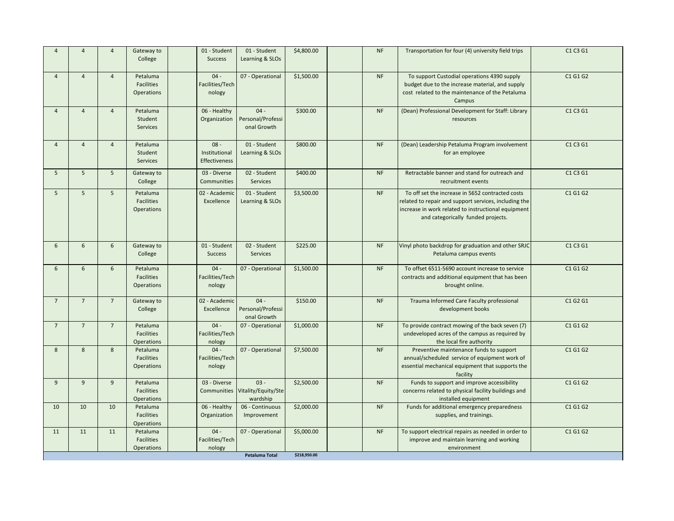| $\overline{A}$ | $\overline{4}$  | $\overline{4}$  | Gateway to<br>College                              | 01 - Student<br><b>Success</b>                  | 01 - Student<br>Learning & SLOs                       | \$4,800.00                 | <b>NF</b> | Transportation for four (4) university field trips                                                                                                                                                     | C1 C3 G1 |
|----------------|-----------------|-----------------|----------------------------------------------------|-------------------------------------------------|-------------------------------------------------------|----------------------------|-----------|--------------------------------------------------------------------------------------------------------------------------------------------------------------------------------------------------------|----------|
| $\overline{A}$ | $\overline{4}$  | $\overline{4}$  | Petaluma<br><b>Facilities</b><br><b>Operations</b> | $04 -$<br>Facilities/Tech<br>nology             | 07 - Operational                                      | \$1,500.00                 | <b>NF</b> | To support Custodial operations 4390 supply<br>budget due to the increase material, and supply<br>cost related to the maintenance of the Petaluma<br>Campus                                            | C1 G1 G2 |
| $\overline{A}$ | $\overline{4}$  | $\overline{4}$  | Petaluma<br>Student<br><b>Services</b>             | 06 - Healthy<br>Organization                    | $04 -$<br>Personal/Professi<br>onal Growth            | \$300.00                   | <b>NF</b> | (Dean) Professional Development for Staff: Library<br>resources                                                                                                                                        | C1 C3 G1 |
| $\overline{4}$ | $\overline{4}$  | $\overline{4}$  | Petaluma<br>Student<br><b>Services</b>             | $08 -$<br>Institutional<br><b>Effectiveness</b> | 01 - Student<br>Learning & SLOs                       | \$800.00                   | <b>NF</b> | (Dean) Leadership Petaluma Program involvement<br>for an employee                                                                                                                                      | C1 C3 G1 |
| 5              | $5\overline{5}$ | $5\overline{5}$ | Gateway to<br>College                              | 03 - Diverse<br>Communities                     | 02 - Student<br><b>Services</b>                       | \$400.00                   | <b>NF</b> | Retractable banner and stand for outreach and<br>recruitment events                                                                                                                                    | C1 C3 G1 |
| 5              | 5 <sup>5</sup>  | $5\overline{5}$ | Petaluma<br><b>Facilities</b><br><b>Operations</b> | 02 - Academic<br>Excellence                     | 01 - Student<br>Learning & SLOs                       | \$3,500.00                 | <b>NF</b> | To off set the increase in 5652 contracted costs<br>related to repair and support services, including the<br>increase in work related to instructional equipment<br>and categorically funded projects. | C1 G1 G2 |
| 6              | $6\overline{6}$ | 6               | Gateway to<br>College                              | 01 - Student<br><b>Success</b>                  | 02 - Student<br><b>Services</b>                       | \$225.00                   | <b>NF</b> | Vinyl photo backdrop for graduation and other SRJC<br>Petaluma campus events                                                                                                                           | C1 C3 G1 |
| 6              | 6               | 6               | Petaluma<br><b>Facilities</b><br><b>Operations</b> | $04 -$<br>Facilities/Tech<br>nology             | 07 - Operational                                      | \$1,500.00                 | <b>NF</b> | To offset 6511-5690 account increase to service<br>contracts and additional equipment that has been<br>brought online.                                                                                 | C1 G1 G2 |
| 7              | $7\overline{ }$ | $\overline{7}$  | Gateway to<br>College                              | 02 - Academic<br>Excellence                     | $04 -$<br>Personal/Professi<br>onal Growth            | \$150.00                   | <b>NF</b> | Trauma Informed Care Faculty professional<br>development books                                                                                                                                         | C1 G2 G1 |
| $\overline{7}$ | $\overline{7}$  | $\overline{7}$  | Petaluma<br><b>Facilities</b><br><b>Operations</b> | $04 -$<br>Facilities/Tech<br>nology             | 07 - Operational                                      | \$1,000.00                 | <b>NF</b> | To provide contract mowing of the back seven (7)<br>undeveloped acres of the campus as required by<br>the local fire authority                                                                         | C1 G1 G2 |
| 8              | 8               | 8               | Petaluma<br><b>Facilities</b><br><b>Operations</b> | $04 -$<br>Facilities/Tech<br>nology             | 07 - Operational                                      | \$7,500.00                 | <b>NF</b> | Preventive maintenance funds to support<br>annual/scheduled service of equipment work of<br>essential mechanical equipment that supports the<br>facility                                               | C1 G1 G2 |
| 9              | $\overline{9}$  | $\overline{9}$  | Petaluma<br><b>Facilities</b><br><b>Operations</b> | 03 - Diverse                                    | $03 -$<br>Communities Vitality/Equity/Ste<br>wardship | \$2,500.00                 | <b>NF</b> | Funds to support and improve accessibility<br>concerns related to physical facility buildings and<br>installed equipment                                                                               | C1 G1 G2 |
| 10             | 10              | 10              | Petaluma<br><b>Facilities</b><br><b>Operations</b> | 06 - Healthy<br>Organization                    | 06 - Continuous<br>Improvement                        | \$2,000.00                 | <b>NF</b> | Funds for additional emergency preparedness<br>supplies, and trainings.                                                                                                                                | C1 G1 G2 |
| 11             | 11              | 11              | Petaluma<br><b>Facilities</b><br><b>Operations</b> | $04 -$<br>Facilities/Tech<br>nology             | 07 - Operational<br>Petaluma Total                    | \$5,000.00<br>\$218,950.00 | <b>NF</b> | To support electrical repairs as needed in order to<br>improve and maintain learning and working<br>environment                                                                                        | C1 G1 G2 |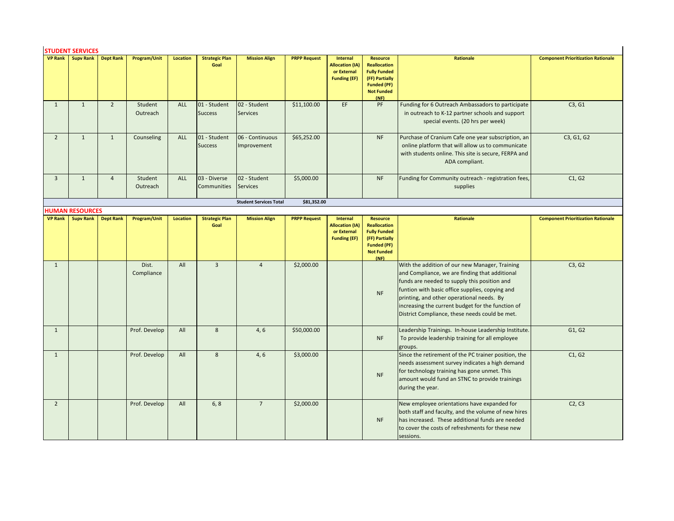# **STUDENT SERVICES**

|                | <b>STUDENT SERVICES</b>             |                  |                     |                 |                                    |                                 |                     |                                                                                 |                                                                                                                                    |                                                                                                                                                                                                                                                                                                                                                         |                                           |
|----------------|-------------------------------------|------------------|---------------------|-----------------|------------------------------------|---------------------------------|---------------------|---------------------------------------------------------------------------------|------------------------------------------------------------------------------------------------------------------------------------|---------------------------------------------------------------------------------------------------------------------------------------------------------------------------------------------------------------------------------------------------------------------------------------------------------------------------------------------------------|-------------------------------------------|
|                | <b>VP Rank</b> Supv Rank            | <b>Dept Rank</b> | Program/Unit        | <b>Location</b> | <b>Strategic Plan</b><br>Goal      | <b>Mission Align</b>            | <b>PRPP Request</b> | <b>Internal</b><br><b>Allocation (IA)</b><br>or External<br><b>Funding (EF)</b> | <b>Resource</b><br><b>Reallocation</b><br><b>Fully Funded</b><br>(FF) Partially<br><b>Funded (PF)</b><br><b>Not Funded</b><br>(NF) | Rationale                                                                                                                                                                                                                                                                                                                                               | <b>Component Prioritization Rationale</b> |
| $\mathbf{1}$   | $\mathbf{1}$                        | $\overline{2}$   | Student<br>Outreach | ALL             | 01 - Student<br><b>Success</b>     | 02 - Student<br><b>Services</b> | \$11,100.00         | EF.                                                                             | PF                                                                                                                                 | Funding for 6 Outreach Ambassadors to participate<br>in outreach to K-12 partner schools and support<br>special events. (20 hrs per week)                                                                                                                                                                                                               | C3, G1                                    |
| $\overline{2}$ | $\mathbf{1}$                        | $\mathbf{1}$     | Counseling          | <b>ALL</b>      | 01 - Student<br><b>Success</b>     | 06 - Continuous<br>Improvement  | \$65,252.00         |                                                                                 | <b>NF</b>                                                                                                                          | Purchase of Cranium Cafe one year subscription, an<br>online platform that will allow us to communicate<br>with students online. This site is secure, FERPA and<br>ADA compliant.                                                                                                                                                                       | C3, G1, G2                                |
| $\overline{3}$ | $\mathbf{1}$                        | $\overline{4}$   | Student<br>Outreach | ALL             | 03 - Diverse<br><b>Communities</b> | 02 - Student<br>Services        | \$5,000.00          |                                                                                 | <b>NF</b>                                                                                                                          | Funding for Community outreach - registration fees,<br>supplies                                                                                                                                                                                                                                                                                         | C1, G2                                    |
|                |                                     |                  |                     |                 |                                    | <b>Student Services Total</b>   | \$81,352.00         |                                                                                 |                                                                                                                                    |                                                                                                                                                                                                                                                                                                                                                         |                                           |
| <b>VP Rank</b> | <b>HUMAN RESOURCES</b><br>Supv Rank | <b>Dept Rank</b> | Program/Unit        | <b>Location</b> | <b>Strategic Plan</b>              | <b>Mission Align</b>            | <b>PRPP Request</b> | <b>Internal</b>                                                                 | <b>Resource</b>                                                                                                                    | Rationale                                                                                                                                                                                                                                                                                                                                               | <b>Component Prioritization Rationale</b> |
|                |                                     |                  |                     |                 | Goal                               |                                 |                     | <b>Allocation (IA)</b><br>or External<br><b>Funding (EF)</b>                    | <b>Reallocation</b><br><b>Fully Funded</b><br>(FF) Partially<br><b>Funded (PF)</b><br><b>Not Funded</b><br>(NF)                    |                                                                                                                                                                                                                                                                                                                                                         |                                           |
| $\mathbf{1}$   |                                     |                  | Dist.<br>Compliance | All             | $\overline{3}$                     | $\overline{4}$                  | \$2,000.00          |                                                                                 | <b>NF</b>                                                                                                                          | With the addition of our new Manager, Training<br>and Compliance, we are finding that additional<br>funds are needed to supply this position and<br>funtion with basic office supplies, copying and<br>printing, and other operational needs. By<br>increasing the current budget for the function of<br>District Compliance, these needs could be met. | C3, G2                                    |
| $\mathbf{1}$   |                                     |                  | Prof. Develop       | All             | 8                                  | 4, 6                            | \$50,000.00         |                                                                                 | <b>NF</b>                                                                                                                          | Leadership Trainings. In-house Leadership Institute.<br>To provide leadership training for all employee<br>groups.                                                                                                                                                                                                                                      | G1, G2                                    |
| $\mathbf{1}$   |                                     |                  | Prof. Develop       | All             | 8                                  | 4, 6                            | \$3,000.00          |                                                                                 | <b>NF</b>                                                                                                                          | Since the retirement of the PC trainer position, the<br>needs assessment survey indicates a high demand<br>for technology training has gone unmet. This<br>amount would fund an STNC to provide trainings<br>during the year.                                                                                                                           | C1, G2                                    |
| $\overline{2}$ |                                     |                  | Prof. Develop       | All             | 6, 8                               | $\overline{7}$                  | \$2,000.00          |                                                                                 | <b>NF</b>                                                                                                                          | New employee orientations have expanded for<br>both staff and faculty, and the volume of new hires<br>has increased. These additional funds are needed<br>to cover the costs of refreshments for these new<br>sessions.                                                                                                                                 | C2, C3                                    |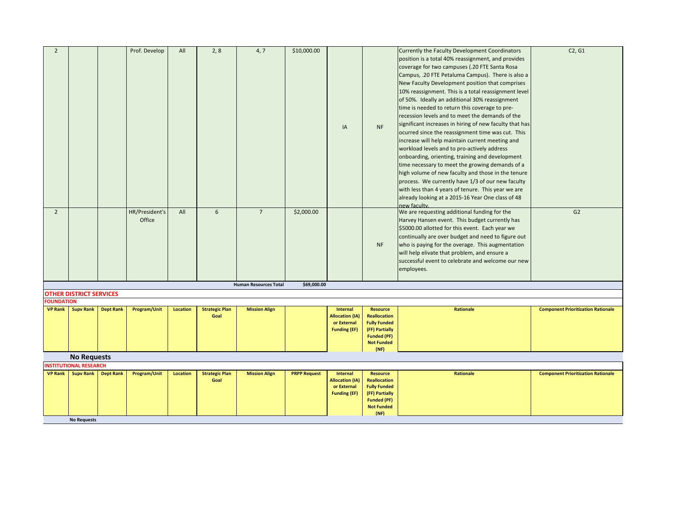| $\overline{2}$    |                                |                  | Prof. Develop  | All      | 2, 8                  | 4, 7                         | \$10,000.00         |                                       |                                            | Currently the Faculty Development Coordinators<br>position is a total 40% reassignment, and provides | C2, G1                                    |
|-------------------|--------------------------------|------------------|----------------|----------|-----------------------|------------------------------|---------------------|---------------------------------------|--------------------------------------------|------------------------------------------------------------------------------------------------------|-------------------------------------------|
|                   |                                |                  |                |          |                       |                              |                     |                                       |                                            |                                                                                                      |                                           |
|                   |                                |                  |                |          |                       |                              |                     |                                       |                                            | coverage for two campuses (.20 FTE Santa Rosa                                                        |                                           |
|                   |                                |                  |                |          |                       |                              |                     |                                       |                                            | Campus, .20 FTE Petaluma Campus). There is also a                                                    |                                           |
|                   |                                |                  |                |          |                       |                              |                     |                                       |                                            | New Faculty Development position that comprises                                                      |                                           |
|                   |                                |                  |                |          |                       |                              |                     |                                       |                                            | 10% reassignment. This is a total reassignment level                                                 |                                           |
|                   |                                |                  |                |          |                       |                              |                     |                                       |                                            | of 50%. Ideally an additional 30% reassignment                                                       |                                           |
|                   |                                |                  |                |          |                       |                              |                     |                                       |                                            | time is needed to return this coverage to pre-                                                       |                                           |
|                   |                                |                  |                |          |                       |                              |                     |                                       |                                            | recession levels and to meet the demands of the                                                      |                                           |
|                   |                                |                  |                |          |                       |                              |                     | IA                                    | <b>NF</b>                                  | significant increases in hiring of new faculty that has                                              |                                           |
|                   |                                |                  |                |          |                       |                              |                     |                                       |                                            | ocurred since the reassignment time was cut. This                                                    |                                           |
|                   |                                |                  |                |          |                       |                              |                     |                                       |                                            | increase will help maintain current meeting and                                                      |                                           |
|                   |                                |                  |                |          |                       |                              |                     |                                       |                                            | workload levels and to pro-actively address                                                          |                                           |
|                   |                                |                  |                |          |                       |                              |                     |                                       |                                            | onboarding, orienting, training and development                                                      |                                           |
|                   |                                |                  |                |          |                       |                              |                     |                                       |                                            | time necessary to meet the growing demands of a                                                      |                                           |
|                   |                                |                  |                |          |                       |                              |                     |                                       |                                            | high volume of new faculty and those in the tenure                                                   |                                           |
|                   |                                |                  |                |          |                       |                              |                     |                                       |                                            | process. We currently have 1/3 of our new faculty                                                    |                                           |
|                   |                                |                  |                |          |                       |                              |                     |                                       |                                            | with less than 4 years of tenure. This year we are                                                   |                                           |
|                   |                                |                  |                |          |                       |                              |                     |                                       |                                            | already looking at a 2015-16 Year One class of 48                                                    |                                           |
|                   |                                |                  |                |          |                       |                              |                     |                                       |                                            | new faculty                                                                                          |                                           |
| $\overline{2}$    |                                |                  | HR/President's | All      | 6                     | $\overline{7}$               | \$2,000.00          |                                       |                                            | We are requesting additional funding for the                                                         | G2                                        |
|                   |                                |                  | Office         |          |                       |                              |                     |                                       |                                            | Harvey Hansen event. This budget currently has                                                       |                                           |
|                   |                                |                  |                |          |                       |                              |                     |                                       |                                            | \$5000.00 allotted for this event. Each year we                                                      |                                           |
|                   |                                |                  |                |          |                       |                              |                     |                                       |                                            | continually are over budget and need to figure out                                                   |                                           |
|                   |                                |                  |                |          |                       |                              |                     |                                       | <b>NF</b>                                  | who is paying for the overage. This augmentation                                                     |                                           |
|                   |                                |                  |                |          |                       |                              |                     |                                       |                                            | will help elivate that problem, and ensure a                                                         |                                           |
|                   |                                |                  |                |          |                       |                              |                     |                                       |                                            | successful event to celebrate and welcome our new                                                    |                                           |
|                   |                                |                  |                |          |                       |                              |                     |                                       |                                            | employees.                                                                                           |                                           |
|                   |                                |                  |                |          |                       | <b>Human Resources Total</b> | \$69,000.00         |                                       |                                            |                                                                                                      |                                           |
|                   | <b>OTHER DISTRICT SERVICES</b> |                  |                |          |                       |                              |                     |                                       |                                            |                                                                                                      |                                           |
| <b>FOUNDATION</b> |                                |                  |                |          |                       |                              |                     |                                       |                                            |                                                                                                      |                                           |
| <b>VP Rank</b>    | <b>Supv Rank</b>               | <b>Dept Rank</b> | Program/Unit   | Location | <b>Strategic Plan</b> | <b>Mission Align</b>         |                     | <b>Internal</b>                       | <b>Resource</b>                            | Rationale                                                                                            | <b>Component Prioritization Rationale</b> |
|                   |                                |                  |                |          | Goal                  |                              |                     | <b>Allocation (IA)</b><br>or External | <b>Reallocation</b><br><b>Fully Funded</b> |                                                                                                      |                                           |
|                   |                                |                  |                |          |                       |                              |                     | <b>Funding (EF)</b>                   | (FF) Partially                             |                                                                                                      |                                           |
|                   |                                |                  |                |          |                       |                              |                     |                                       | <b>Funded (PF)</b>                         |                                                                                                      |                                           |
|                   |                                |                  |                |          |                       |                              |                     |                                       | <b>Not Funded</b>                          |                                                                                                      |                                           |
|                   |                                |                  |                |          |                       |                              |                     |                                       | (NF)                                       |                                                                                                      |                                           |
|                   | <b>No Requests</b>             |                  |                |          |                       |                              |                     |                                       |                                            |                                                                                                      |                                           |
|                   | <b>INSTITUTIONAL RESEARCH</b>  |                  |                |          |                       |                              |                     |                                       |                                            |                                                                                                      |                                           |
| <b>VP Rank</b>    | <b>Supv Rank</b>               | <b>Dept Rank</b> | Program/Unit   | Location | <b>Strategic Plan</b> | <b>Mission Align</b>         | <b>PRPP Request</b> | <b>Internal</b>                       | Resource                                   | Rationale                                                                                            | <b>Component Prioritization Rationale</b> |
|                   |                                |                  |                |          | Goal                  |                              |                     | <b>Allocation (IA)</b><br>or External | <b>Reallocation</b><br><b>Fully Funded</b> |                                                                                                      |                                           |
|                   |                                |                  |                |          |                       |                              |                     | <b>Funding (EF)</b>                   | (FF) Partially                             |                                                                                                      |                                           |
|                   |                                |                  |                |          |                       |                              |                     |                                       | <b>Funded (PF)</b>                         |                                                                                                      |                                           |
|                   |                                |                  |                |          |                       |                              |                     |                                       | <b>Not Funded</b>                          |                                                                                                      |                                           |
|                   |                                |                  |                |          |                       |                              |                     |                                       | (NF)                                       |                                                                                                      |                                           |
|                   | <b>No Requests</b>             |                  |                |          |                       |                              |                     |                                       |                                            |                                                                                                      |                                           |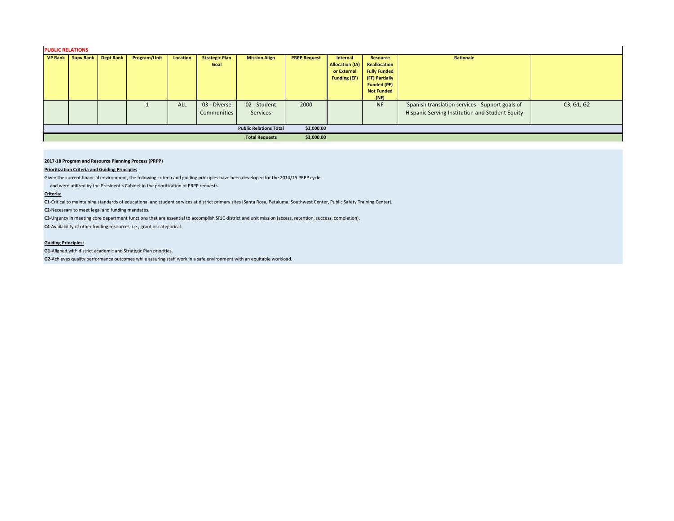# **PUBLIC RELATIONS**

| VP Rank   Supv Rank | Dept Rank | <b>Program/Unit</b> | Location   | <b>Strategic Plan</b><br>Goal | <b>Mission Align</b>          | <b>PRPP Request</b> | Internal<br><b>Allocation (IA)</b><br>or External<br><b>Funding (EF)</b> | Resource<br>Reallocation<br><b>Fully Funded</b><br>(FF) Partially<br><b>Funded (PF)</b><br><b>Not Funded</b><br>(NF) | Rationale                                                                                          |            |
|---------------------|-----------|---------------------|------------|-------------------------------|-------------------------------|---------------------|--------------------------------------------------------------------------|----------------------------------------------------------------------------------------------------------------------|----------------------------------------------------------------------------------------------------|------------|
|                     |           |                     | <b>ALL</b> | 03 - Diverse<br>Communities   | 02 - Student<br>Services      | 2000                |                                                                          | <b>NF</b>                                                                                                            | Spanish translation services - Support goals of<br>Hispanic Serving Institution and Student Equity | C3, G1, G2 |
|                     |           |                     |            |                               | <b>Public Relations Total</b> | \$2,000.00          |                                                                          |                                                                                                                      |                                                                                                    |            |
|                     |           |                     |            |                               | <b>Total Requests</b>         | \$2,000.00          |                                                                          |                                                                                                                      |                                                                                                    |            |

#### **2017-18 Program and Resource Planning Process (PRPP)**

# **Prioritization Criteria and Guiding Principles**

Given the current financial environment, the following criteria and guiding principles have been developed for the 2014/15 PRPP cycle

and were utilized by the President's Cabinet in the prioritization of PRPP requests.

#### **Criteria:**

**C1**-Critical to maintaining standards of educational and student services at district primary sites (Santa Rosa, Petaluma, Southwest Center, Public Safety Training Center).

**C2**-Necessary to meet legal and funding mandates.

**C3**-Urgency in meeting core department functions that are essential to accomplish SRJC district and unit mission (access, retention, success, completion).

**C4**-Availability of other funding resources, i.e., grant or categorical.

# **Guiding Principles:**

**G1**-Aligned with district academic and Strategic Plan priorities.

**G2**-Achieves quality performance outcomes while assuring staff work in a safe environment with an equitable workload.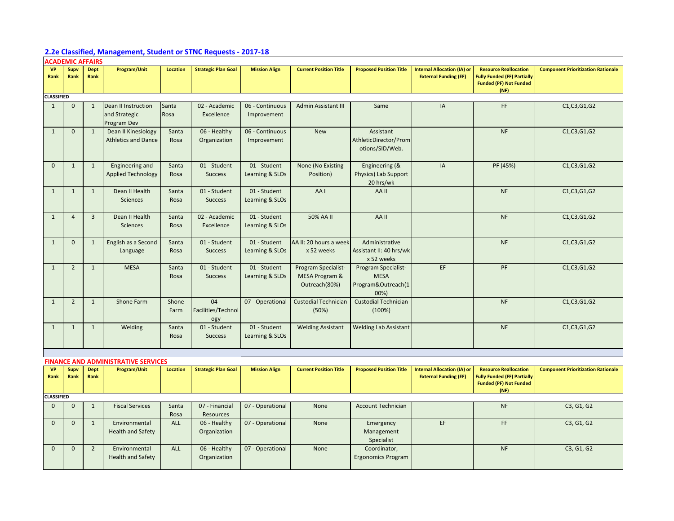# **2.2e Classified, Management, Student or STNC Requests - 2017-18**

| <b>ACADEMIC AFFAIRS</b> |                |                     |                                            |                 |                            |                      |                               |                                |                                                                    |                                                                                                     |                                           |
|-------------------------|----------------|---------------------|--------------------------------------------|-----------------|----------------------------|----------------------|-------------------------------|--------------------------------|--------------------------------------------------------------------|-----------------------------------------------------------------------------------------------------|-------------------------------------------|
| <b>VP</b><br>Rank       | Supv<br>Rank   | <b>Dept</b><br>Rank | Program/Unit                               | <b>Location</b> | <b>Strategic Plan Goal</b> | <b>Mission Align</b> | <b>Current Position Title</b> | <b>Proposed Position Title</b> | <b>Internal Allocation (IA) or</b><br><b>External Funding (EF)</b> | <b>Resource Reallocation</b><br><b>Fully Funded (FF) Partially</b><br><b>Funded (PF) Not Funded</b> | <b>Component Prioritization Rationale</b> |
|                         |                |                     |                                            |                 |                            |                      |                               |                                |                                                                    | (NF)                                                                                                |                                           |
| <b>CLASSIFIED</b>       |                |                     |                                            |                 |                            |                      |                               |                                |                                                                    |                                                                                                     |                                           |
| $\mathbf{1}$            | $\mathbf{0}$   | $\mathbf{1}$        | <b>Dean II Instruction</b>                 | Santa           | 02 - Academic              | 06 - Continuous      | <b>Admin Assistant III</b>    | Same                           | IA                                                                 | FF.                                                                                                 | C1, C3, G1, G2                            |
|                         |                |                     | and Strategic                              | Rosa            | Excellence                 | Improvement          |                               |                                |                                                                    |                                                                                                     |                                           |
|                         |                |                     | Program Dev                                |                 |                            |                      |                               |                                |                                                                    |                                                                                                     |                                           |
| $\mathbf{1}$            | $\mathbf{0}$   | $\mathbf{1}$        | Dean II Kinesiology                        | Santa           | 06 - Healthy               | 06 - Continuous      | <b>New</b>                    | Assistant                      |                                                                    | <b>NF</b>                                                                                           | C1, C3, G1, G2                            |
|                         |                |                     | <b>Athletics and Dance</b>                 | Rosa            | Organization               | Improvement          |                               | AthleticDirector/Prom          |                                                                    |                                                                                                     |                                           |
|                         |                |                     |                                            |                 |                            |                      |                               | otions/SID/Web.                |                                                                    |                                                                                                     |                                           |
|                         |                |                     |                                            |                 |                            |                      |                               |                                |                                                                    |                                                                                                     |                                           |
| $\Omega$                | $\mathbf{1}$   | $\mathbf{1}$        | Engineering and                            | Santa           | 01 - Student               | 01 - Student         | None (No Existing             | Engineering (&                 | IA                                                                 | PF (45%)                                                                                            | C1, C3, G1, G2                            |
|                         |                |                     | <b>Applied Technology</b>                  | Rosa            | <b>Success</b>             | Learning & SLOs      | Position)                     | Physics) Lab Support           |                                                                    |                                                                                                     |                                           |
|                         |                |                     |                                            |                 |                            |                      |                               | 20 hrs/wk                      |                                                                    |                                                                                                     |                                           |
| $\mathbf{1}$            | $\mathbf{1}$   | $\mathbf{1}$        | Dean II Health                             | Santa           | 01 - Student               | 01 - Student         | AA1                           | AA II                          |                                                                    | <b>NF</b>                                                                                           | C1, C3, G1, G2                            |
|                         |                |                     | <b>Sciences</b>                            | Rosa            | <b>Success</b>             | Learning & SLOs      |                               |                                |                                                                    |                                                                                                     |                                           |
|                         |                |                     |                                            |                 |                            |                      |                               |                                |                                                                    |                                                                                                     |                                           |
| $\mathbf{1}$            | $\overline{4}$ | $\overline{3}$      | Dean II Health                             | Santa           | 02 - Academic              | 01 - Student         | 50% AA II                     | AA II                          |                                                                    | <b>NF</b>                                                                                           | C1, C3, G1, G2                            |
|                         |                |                     | Sciences                                   | Rosa            | Excellence                 | Learning & SLOs      |                               |                                |                                                                    |                                                                                                     |                                           |
|                         |                |                     |                                            |                 |                            |                      |                               |                                |                                                                    |                                                                                                     |                                           |
| $\mathbf{1}$            | $\mathbf{0}$   | $\mathbf{1}$        | English as a Second                        | Santa           | 01 - Student               | 01 - Student         | AA II: 20 hours a week        | Administrative                 |                                                                    | <b>NF</b>                                                                                           | C1, C3, G1, G2                            |
|                         |                |                     | Language                                   | Rosa            | <b>Success</b>             | Learning & SLOs      | x 52 weeks                    | Assistant II: 40 hrs/wk        |                                                                    |                                                                                                     |                                           |
|                         |                |                     |                                            |                 |                            |                      |                               | x 52 weeks                     |                                                                    |                                                                                                     |                                           |
| $\mathbf{1}$            | $\overline{2}$ | $\mathbf{1}$        | <b>MESA</b>                                | Santa           | 01 - Student               | 01 - Student         | Program Specialist-           | Program Specialist-            | EF                                                                 | PF                                                                                                  | C1, C3, G1, G2                            |
|                         |                |                     |                                            | Rosa            | <b>Success</b>             | Learning & SLOs      | MESA Program &                | <b>MESA</b>                    |                                                                    |                                                                                                     |                                           |
|                         |                |                     |                                            |                 |                            |                      | Outreach(80%)                 | Program&Outreach(1             |                                                                    |                                                                                                     |                                           |
|                         |                |                     |                                            |                 |                            |                      |                               | 00%)                           |                                                                    |                                                                                                     |                                           |
| $\mathbf{1}$            | $\overline{2}$ | $\mathbf{1}$        | Shone Farm                                 | Shone           | $04 -$                     | 07 - Operational     | <b>Custodial Technician</b>   | <b>Custodial Technician</b>    |                                                                    | <b>NF</b>                                                                                           | C1, C3, G1, G2                            |
|                         |                |                     |                                            | Farm            | Facilities/Technol         |                      | (50%)                         | (100%)                         |                                                                    |                                                                                                     |                                           |
|                         |                |                     |                                            |                 | ogy                        |                      |                               |                                |                                                                    |                                                                                                     |                                           |
| $\mathbf{1}$            | $\mathbf{1}$   | $\mathbf{1}$        | Welding                                    | Santa           | 01 - Student               | 01 - Student         | <b>Welding Assistant</b>      | <b>Welding Lab Assistant</b>   |                                                                    | <b>NF</b>                                                                                           | C1, C3, G1, G2                            |
|                         |                |                     |                                            | Rosa            | <b>Success</b>             | Learning & SLOs      |                               |                                |                                                                    |                                                                                                     |                                           |
|                         |                |                     |                                            |                 |                            |                      |                               |                                |                                                                    |                                                                                                     |                                           |
|                         |                |                     |                                            |                 |                            |                      |                               |                                |                                                                    |                                                                                                     |                                           |
|                         |                |                     | <b>FINANCE AND ADMINISTRATIVE SERVICES</b> |                 |                            |                      |                               |                                |                                                                    |                                                                                                     |                                           |
| <b>VP</b>               | Supv           | <b>Dept</b>         | Program/Unit                               | Location        | <b>Strategic Plan Goal</b> | <b>Mission Align</b> | <b>Current Position Title</b> | <b>Proposed Position Title</b> | <b>Internal Allocation (IA) or</b>                                 | <b>Resource Reallocation</b>                                                                        | <b>Component Prioritization Rationale</b> |
| Rank                    | Rank           | Rank                |                                            |                 |                            |                      |                               |                                | <b>External Funding (EF)</b>                                       | <b>Fully Funded (FF) Partially</b>                                                                  |                                           |
|                         |                |                     |                                            |                 |                            |                      |                               |                                |                                                                    | <b>Funded (PF) Not Funded</b><br>(NF)                                                               |                                           |
| <b>CLASSIFIED</b>       |                |                     |                                            |                 |                            |                      |                               |                                |                                                                    |                                                                                                     |                                           |
| $\Omega$                | $\Omega$       | $\mathbf{1}$        | <b>Fiscal Services</b>                     | Santa           | 07 - Financial             | 07 - Operational     | None                          | <b>Account Technician</b>      |                                                                    | <b>NF</b>                                                                                           | C3, G1, G2                                |
|                         |                |                     |                                            | Rosa            | Resources                  |                      |                               |                                |                                                                    |                                                                                                     |                                           |
| $\mathbf{0}$            | $\mathbf{0}$   | $\mathbf{1}$        | Environmental                              | ALL             | 06 - Healthy               | 07 - Operational     | None                          | Emergency                      | EF                                                                 | FF                                                                                                  | C3, G1, G2                                |
|                         |                |                     | <b>Health and Safety</b>                   |                 | Organization               |                      |                               | Management                     |                                                                    |                                                                                                     |                                           |
|                         |                |                     |                                            |                 |                            |                      |                               | Specialist                     |                                                                    |                                                                                                     |                                           |
| $\Omega$                | $\mathbf{0}$   | $\overline{2}$      | Environmental                              | <b>ALL</b>      | 06 - Healthy               | 07 - Operational     | None                          | Coordinator,                   |                                                                    | <b>NF</b>                                                                                           | C3, G1, G2                                |
|                         |                |                     | <b>Health and Safety</b>                   |                 | Organization               |                      |                               | <b>Ergonomics Program</b>      |                                                                    |                                                                                                     |                                           |
|                         |                |                     |                                            |                 |                            |                      |                               |                                |                                                                    |                                                                                                     |                                           |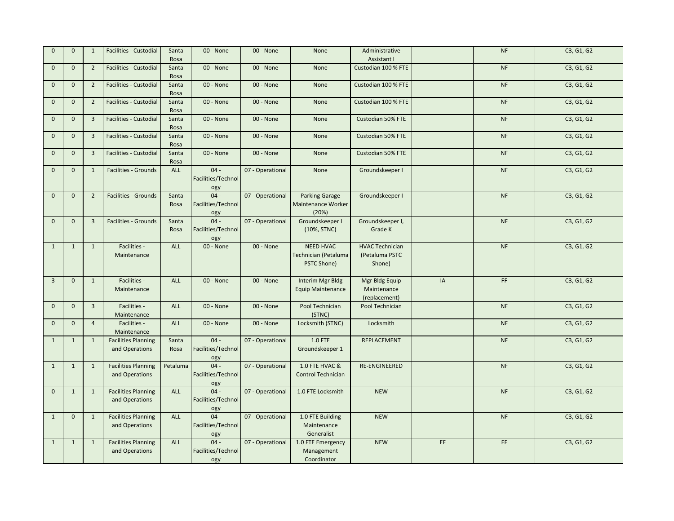| $\mathbf{0}$   | $\mathbf{0}$ | $\mathbf{1}$   | Facilities - Custodial                       | Santa<br>Rosa | 00 - None                           | 00 - None        | None                                                    | Administrative<br>Assistant I                      |    | NF                                                                      | C3, G1, G2 |
|----------------|--------------|----------------|----------------------------------------------|---------------|-------------------------------------|------------------|---------------------------------------------------------|----------------------------------------------------|----|-------------------------------------------------------------------------|------------|
| $\mathbf{0}$   | $\mathbf{0}$ | $\overline{2}$ | <b>Facilities - Custodial</b>                | Santa<br>Rosa | 00 - None                           | 00 - None        | None                                                    | Custodian 100 % FTE                                |    | <b>NF</b>                                                               | C3, G1, G2 |
| $\mathbf{0}$   | $\mathbf 0$  | $\overline{2}$ | Facilities - Custodial                       | Santa<br>Rosa | 00 - None                           | 00 - None        | None                                                    | Custodian 100 % FTE                                |    | NF                                                                      | C3, G1, G2 |
| $\mathbf 0$    | $\mathbf{0}$ | $\overline{2}$ | Facilities - Custodial                       | Santa<br>Rosa | 00 - None                           | 00 - None        | None                                                    | Custodian 100 % FTE                                |    | <b>NF</b>                                                               | C3, G1, G2 |
| $\Omega$       | $\mathbf{0}$ | $\overline{3}$ | <b>Facilities - Custodial</b>                | Santa<br>Rosa | 00 - None                           | 00 - None        | None                                                    | Custodian 50% FTE                                  |    | <b>NF</b>                                                               | C3, G1, G2 |
| $\mathbf{0}$   | $\mathbf 0$  | $\overline{3}$ | Facilities - Custodial                       | Santa<br>Rosa | 00 - None                           | 00 - None        | None                                                    | Custodian 50% FTE                                  |    | NF                                                                      | C3, G1, G2 |
| $\Omega$       | $\mathbf 0$  | $\overline{3}$ | <b>Facilities - Custodial</b>                | Santa<br>Rosa | 00 - None                           | 00 - None        | None                                                    | Custodian 50% FTE                                  |    | <b>NF</b>                                                               | C3, G1, G2 |
| $\mathbf{0}$   | $\mathbf{0}$ | $\mathbf{1}$   | Facilities - Grounds                         | <b>ALL</b>    | $04 -$<br>Facilities/Technol<br>ogy | 07 - Operational | None                                                    | Groundskeeper I                                    |    | <b>NF</b>                                                               | C3, G1, G2 |
| $\mathbf{0}$   | $\mathbf{0}$ | $\overline{2}$ | <b>Facilities - Grounds</b>                  | Santa<br>Rosa | $04 -$<br>Facilities/Technol<br>ogy | 07 - Operational | Parking Garage<br><b>Maintenance Worker</b><br>(20%)    | Groundskeeper I                                    |    | <b>NF</b>                                                               | C3, G1, G2 |
| $\Omega$       | $\mathbf 0$  | $\overline{3}$ | Facilities - Grounds                         | Santa<br>Rosa | $04 -$<br>Facilities/Technol<br>ogy | 07 - Operational | Groundskeeper I<br>(10%, STNC)                          | Groundskeeper I,<br>Grade K                        |    | <b>NF</b>                                                               | C3, G1, G2 |
| 1              | $\mathbf{1}$ | $\mathbf{1}$   | Facilities -<br>Maintenance                  | ALL           | 00 - None                           | 00 - None        | NEED HVAC<br>Technician (Petaluma<br><b>PSTC Shone)</b> | <b>HVAC Technician</b><br>(Petaluma PSTC<br>Shone) |    | NF                                                                      | C3, G1, G2 |
| $\overline{3}$ | $\mathbf 0$  | $\mathbf{1}$   | Facilities -<br>Maintenance                  | <b>ALL</b>    | 00 - None                           | 00 - None        | Interim Mgr Bldg<br><b>Equip Maintenance</b>            | Mgr Bldg Equip<br>Maintenance<br>(replacement)     | IA | FF.                                                                     | C3, G1, G2 |
| $\mathbf{0}$   | $\mathbf{0}$ | $\overline{3}$ | Facilities -<br>Maintenance                  | ALL           | 00 - None                           | 00 - None        | Pool Technician<br>(STNC)                               | Pool Technician                                    |    | NF                                                                      | C3, G1, G2 |
| $\mathbf{0}$   | $\mathbf{0}$ | $\overline{4}$ | Facilities -<br>Maintenance                  | <b>ALL</b>    | 00 - None                           | 00 - None        | Locksmith (STNC)                                        | Locksmith                                          |    | <b>NF</b>                                                               | C3, G1, G2 |
| $\mathbf{1}$   | $\mathbf{1}$ | $\mathbf{1}$   | <b>Facilities Planning</b><br>and Operations | Santa<br>Rosa | $04 -$<br>Facilities/Technol<br>ogy | 07 - Operational | 1.0 FTE<br>Groundskeeper 1                              | REPLACEMENT                                        |    | <b>NF</b>                                                               | C3, G1, G2 |
| $\mathbf{1}$   | $\mathbf{1}$ | $\mathbf{1}$   | <b>Facilities Planning</b><br>and Operations | Petaluma      | $04 -$<br>Facilities/Technol<br>ogy | 07 - Operational | 1.0 FTE HVAC &<br><b>Control Technician</b>             | RE-ENGINEERED                                      |    | <b>NF</b>                                                               | C3, G1, G2 |
| $\mathbf{0}$   | $\mathbf{1}$ | $\mathbf{1}$   | <b>Facilities Planning</b><br>and Operations | ALL           | $04 -$<br>Facilities/Technol<br>ogy | 07 - Operational | 1.0 FTE Locksmith                                       | <b>NEW</b>                                         |    | NF                                                                      | C3, G1, G2 |
| $\mathbf{1}$   | $\mathbf{0}$ | $\mathbf{1}$   | <b>Facilities Planning</b><br>and Operations | ALL           | $04 -$<br>Facilities/Technol<br>ogy | 07 - Operational | 1.0 FTE Building<br>Maintenance<br>Generalist           | <b>NEW</b>                                         |    | <b>NF</b>                                                               | C3, G1, G2 |
| 1              | 1            | $\overline{1}$ | <b>Facilities Planning</b><br>and Operations | <b>ALL</b>    | $04 -$<br>Facilities/Technol<br>ogy | 07 - Operational | 1.0 FTE Emergency<br>Management<br>Coordinator          | <b>NEW</b>                                         | EF | $\mathsf{FF}% _{0}\left( t\right) \equiv\mathsf{FF}_{0}\left( t\right)$ | C3, G1, G2 |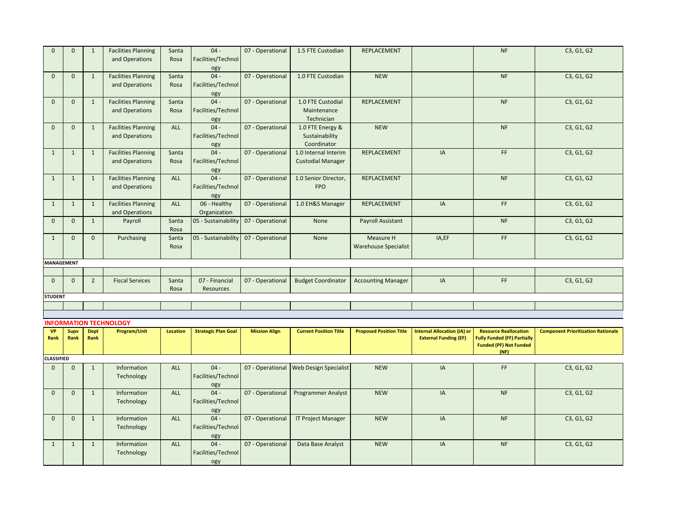| $\mathbf{0}$      |              |                |                               |                 |                            |                      |                               |                                |                                    |                                       |                                           |
|-------------------|--------------|----------------|-------------------------------|-----------------|----------------------------|----------------------|-------------------------------|--------------------------------|------------------------------------|---------------------------------------|-------------------------------------------|
|                   | $\mathbf{0}$ | $\mathbf{1}$   | <b>Facilities Planning</b>    | Santa           | $04 -$                     | 07 - Operational     | 1.5 FTE Custodian             | REPLACEMENT                    |                                    | <b>NF</b>                             | C3, G1, G2                                |
|                   |              |                | and Operations                | Rosa            | Facilities/Technol         |                      |                               |                                |                                    |                                       |                                           |
|                   |              |                |                               |                 | ogy                        |                      |                               |                                |                                    |                                       |                                           |
| $\mathbf{0}$      | $\mathbf{0}$ | $\mathbf{1}$   | <b>Facilities Planning</b>    | Santa           | $04 -$                     | 07 - Operational     | 1.0 FTE Custodian             | <b>NEW</b>                     |                                    | NF                                    | C3, G1, G2                                |
|                   |              |                | and Operations                | Rosa            | Facilities/Technol         |                      |                               |                                |                                    |                                       |                                           |
|                   |              |                |                               |                 |                            |                      |                               |                                |                                    |                                       |                                           |
|                   |              |                |                               |                 | ogy<br>$04 -$              |                      |                               |                                |                                    |                                       |                                           |
| $\mathbf{0}$      | $\mathbf{0}$ | $\mathbf{1}$   | <b>Facilities Planning</b>    | Santa           |                            | 07 - Operational     | 1.0 FTE Custodial             | <b>REPLACEMENT</b>             |                                    | <b>NF</b>                             | C3, G1, G2                                |
|                   |              |                | and Operations                | Rosa            | Facilities/Technol         |                      | Maintenance                   |                                |                                    |                                       |                                           |
|                   |              |                |                               |                 | ogy                        |                      | Technician                    |                                |                                    |                                       |                                           |
| $\mathbf{0}$      | $\mathbf 0$  | $\mathbf{1}$   | <b>Facilities Planning</b>    | ALL             | $04 -$                     | 07 - Operational     | 1.0 FTE Energy &              | <b>NEW</b>                     |                                    | <b>NF</b>                             | C3, G1, G2                                |
|                   |              |                | and Operations                |                 | Facilities/Technol         |                      | Sustainability                |                                |                                    |                                       |                                           |
|                   |              |                |                               |                 | ogy                        |                      | Coordinator                   |                                |                                    |                                       |                                           |
| $\mathbf{1}$      | $\mathbf{1}$ | $\mathbf{1}$   | <b>Facilities Planning</b>    | Santa           | $04 -$                     | 07 - Operational     | 1.0 Internal Interim          | REPLACEMENT                    | IA                                 | FF                                    | C3, G1, G2                                |
|                   |              |                | and Operations                | Rosa            | Facilities/Technol         |                      | <b>Custodial Manager</b>      |                                |                                    |                                       |                                           |
|                   |              |                |                               |                 | ogy                        |                      |                               |                                |                                    |                                       |                                           |
| $\mathbf{1}$      | $\mathbf{1}$ | $\mathbf 1$    | <b>Facilities Planning</b>    | <b>ALL</b>      | $04 -$                     | 07 - Operational     | 1.0 Senior Director,          | REPLACEMENT                    |                                    | <b>NF</b>                             | C3, G1, G2                                |
|                   |              |                | and Operations                |                 | Facilities/Technol         |                      | <b>FPO</b>                    |                                |                                    |                                       |                                           |
|                   |              |                |                               |                 |                            |                      |                               |                                |                                    |                                       |                                           |
|                   |              |                |                               |                 | ogy                        |                      |                               |                                |                                    |                                       |                                           |
| $\mathbf{1}$      | $\mathbf{1}$ | $\mathbf 1$    | <b>Facilities Planning</b>    | <b>ALL</b>      | 06 - Healthy               | 07 - Operational     | 1.0 EH&S Manager              | REPLACEMENT                    | IA                                 | FF                                    | C3, G1, G2                                |
|                   |              |                | and Operations                |                 | Organization               |                      |                               |                                |                                    |                                       |                                           |
| $\mathbf{0}$      | $\mathbf{0}$ | $\mathbf{1}$   | Payroll                       | Santa           | 05 - Sustainability        | 07 - Operational     | None                          | <b>Payroll Assistant</b>       |                                    | <b>NF</b>                             | C3, G1, G2                                |
|                   |              |                |                               | Rosa            |                            |                      |                               |                                |                                    |                                       |                                           |
| $\mathbf{1}$      | $\mathbf 0$  | $\mathbf 0$    | Purchasing                    | Santa           | 05 - Sustainability        | 07 - Operational     | None                          | Measure H                      | IA,EF                              | FF                                    | C3, G1, G2                                |
|                   |              |                |                               | Rosa            |                            |                      |                               | <b>Warehouse Specialist</b>    |                                    |                                       |                                           |
|                   |              |                |                               |                 |                            |                      |                               |                                |                                    |                                       |                                           |
| <b>MANAGEMENT</b> |              |                |                               |                 |                            |                      |                               |                                |                                    |                                       |                                           |
|                   |              |                |                               |                 |                            |                      |                               |                                |                                    |                                       |                                           |
|                   |              |                |                               |                 |                            |                      |                               |                                |                                    |                                       |                                           |
|                   |              |                |                               |                 |                            |                      |                               |                                |                                    |                                       |                                           |
| $\mathbf 0$       | $\mathbf{0}$ | $\overline{2}$ | <b>Fiscal Services</b>        | Santa           | 07 - Financial             | 07 - Operational     | <b>Budget Coordinator</b>     | <b>Accounting Manager</b>      | IA                                 | FF                                    | C3, G1, G2                                |
|                   |              |                |                               | Rosa            | Resources                  |                      |                               |                                |                                    |                                       |                                           |
| <b>STUDENT</b>    |              |                |                               |                 |                            |                      |                               |                                |                                    |                                       |                                           |
|                   |              |                |                               |                 |                            |                      |                               |                                |                                    |                                       |                                           |
|                   |              |                |                               |                 |                            |                      |                               |                                |                                    |                                       |                                           |
|                   |              |                | <b>INFORMATION TECHNOLOGY</b> |                 |                            |                      |                               |                                |                                    |                                       |                                           |
| <b>VP</b>         | Supv         | <b>Dept</b>    | Program/Unit                  | <b>Location</b> | <b>Strategic Plan Goal</b> | <b>Mission Align</b> | <b>Current Position Title</b> | <b>Proposed Position Title</b> | <b>Internal Allocation (IA) or</b> | <b>Resource Reallocation</b>          | <b>Component Prioritization Rationale</b> |
| Rank              | Rank         | Rank           |                               |                 |                            |                      |                               |                                | <b>External Funding (EF)</b>       | <b>Fully Funded (FF) Partially</b>    |                                           |
|                   |              |                |                               |                 |                            |                      |                               |                                |                                    | <b>Funded (PF) Not Funded</b><br>(NF) |                                           |
| <b>CLASSIFIED</b> |              |                |                               |                 |                            |                      |                               |                                |                                    |                                       |                                           |
| $\mathbf{0}$      | $\mathbf{0}$ | $\mathbf{1}$   | Information                   | ALL             | $04 -$                     |                      |                               | <b>NEW</b>                     | IA                                 | FF.                                   |                                           |
|                   |              |                |                               |                 |                            | 07 - Operational     | <b>Web Design Specialist</b>  |                                |                                    |                                       | C3, G1, G2                                |
|                   |              |                | Technology                    |                 | Facilities/Technol         |                      |                               |                                |                                    |                                       |                                           |
|                   |              |                |                               |                 | ogy                        |                      |                               |                                |                                    |                                       |                                           |
| $\mathbf{0}$      | $\mathbf{0}$ | $\mathbf{1}$   | Information                   | ALL             | $04 -$                     | 07 - Operational     | <b>Programmer Analyst</b>     | <b>NEW</b>                     | IA                                 | <b>NF</b>                             | C3, G1, G2                                |
|                   |              |                | Technology                    |                 | Facilities/Technol         |                      |                               |                                |                                    |                                       |                                           |
|                   |              |                |                               |                 | ogy                        |                      |                               |                                |                                    |                                       |                                           |
| $\Omega$          | $\mathbf{0}$ | $\mathbf{1}$   | Information                   | <b>ALL</b>      | $04 -$                     | 07 - Operational     | <b>IT Project Manager</b>     | <b>NEW</b>                     | IA                                 | <b>NF</b>                             | C3, G1, G2                                |
|                   |              |                | Technology                    |                 | Facilities/Technol         |                      |                               |                                |                                    |                                       |                                           |
|                   |              |                |                               |                 | ogy                        |                      |                               |                                |                                    |                                       |                                           |
| $\mathbf{1}$      | $\mathbf{1}$ | $\mathbf{1}$   | Information                   | <b>ALL</b>      | $04 -$                     | 07 - Operational     | Data Base Analyst             | <b>NEW</b>                     | IA                                 | <b>NF</b>                             | C3, G1, G2                                |
|                   |              |                | Technology                    |                 | Facilities/Technol         |                      |                               |                                |                                    |                                       |                                           |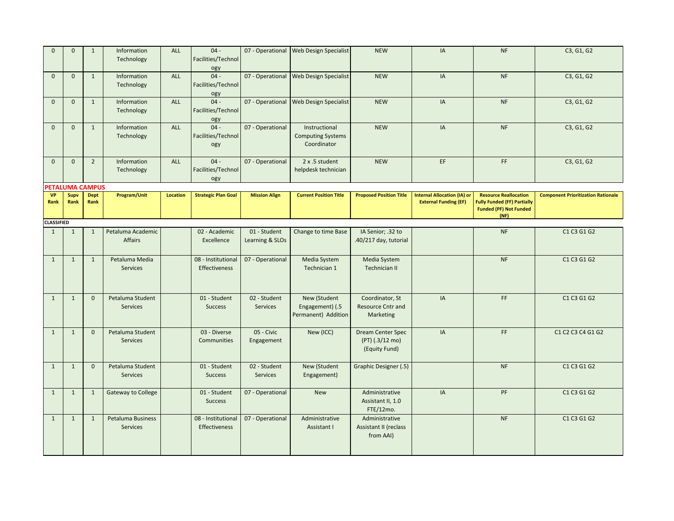| $\Omega$          | $\mathbf{0}$    | $\mathbf{1}$        | Information<br>Technology           | ALL      | $04 -$<br>Facilities/Technol<br>ogy |                                 | 07 - Operational   Web Design Specialist                 | <b>NEW</b>                                                   | IA                                                                 | NF                                                                                                          | C3, G1, G2                                |
|-------------------|-----------------|---------------------|-------------------------------------|----------|-------------------------------------|---------------------------------|----------------------------------------------------------|--------------------------------------------------------------|--------------------------------------------------------------------|-------------------------------------------------------------------------------------------------------------|-------------------------------------------|
| $\mathbf{0}$      | $\mathbf{0}$    | $\mathbf{1}$        | Information<br>Technology           | ALL      | $04 -$<br>Facilities/Technol<br>ogy |                                 | 07 - Operational Web Design Specialist                   | <b>NEW</b>                                                   | IA                                                                 | <b>NF</b>                                                                                                   | C3, G1, G2                                |
| $\mathbf{0}$      | $\mathbf{0}$    | $\mathbf{1}$        | Information<br>Technology           | ALL      | $04 -$<br>Facilities/Technol<br>ogy |                                 | 07 - Operational Web Design Specialist                   | <b>NEW</b>                                                   | IA                                                                 | <b>NF</b>                                                                                                   | C3, G1, G2                                |
| $\mathbf{0}$      | $\mathbf{0}$    | $\mathbf{1}$        | Information<br>Technology           | ALL      | $04 -$<br>Facilities/Technol<br>ogy | 07 - Operational                | Instructional<br><b>Computing Systems</b><br>Coordinator | <b>NEW</b>                                                   | IA                                                                 | <b>NF</b>                                                                                                   | C3, G1, G2                                |
| $\mathbf{0}$      | $\mathbf 0$     | $\overline{2}$      | Information<br>Technology           | ALL      | $04 -$<br>Facilities/Technol<br>ogy | 07 - Operational                | 2 x .5 student<br>helpdesk technician                    | <b>NEW</b>                                                   | EF                                                                 | FF                                                                                                          | C3, G1, G2                                |
|                   | PETALUMA CAMPUS |                     |                                     |          |                                     |                                 |                                                          |                                                              |                                                                    |                                                                                                             |                                           |
| <b>VP</b><br>Rank | Supv<br>Rank    | <b>Dept</b><br>Rank | Program/Unit                        | Location | <b>Strategic Plan Goal</b>          | <b>Mission Align</b>            | <b>Current Position Title</b>                            | <b>Proposed Position Title</b>                               | <b>Internal Allocation (IA) or</b><br><b>External Funding (EF)</b> | <b>Resource Reallocation</b><br><b>Fully Funded (FF) Partially</b><br><b>Funded (PF) Not Funded</b><br>(NF) | <b>Component Prioritization Rationale</b> |
| <b>CLASSIFIED</b> |                 |                     |                                     |          |                                     |                                 |                                                          |                                                              |                                                                    |                                                                                                             |                                           |
| $\mathbf{1}$      | $\mathbf{1}$    | $\mathbf{1}$        | Petaluma Academic<br>Affairs        |          | 02 - Academic<br>Excellence         | 01 - Student<br>Learning & SLOs | Change to time Base                                      | IA Senior; .32 to<br>.40/217 day, tutorial                   |                                                                    | <b>NF</b>                                                                                                   | C1 C3 G1 G2                               |
| $\mathbf{1}$      | $\mathbf{1}$    | $\mathbf{1}$        | Petaluma Media<br><b>Services</b>   |          | 08 - Institutional<br>Effectiveness | 07 - Operational                | Media System<br>Technician 1                             | Media System<br><b>Technician II</b>                         |                                                                    | <b>NF</b>                                                                                                   | C1 C3 G1 G2                               |
| $\mathbf{1}$      | $\mathbf{1}$    | $\mathbf 0$         | Petaluma Student<br><b>Services</b> |          | 01 - Student<br><b>Success</b>      | 02 - Student<br><b>Services</b> | New (Student<br>Engagement) (.5<br>Permanent) Addition   | Coordinator, St<br><b>Resource Cntr and</b><br>Marketing     | IA                                                                 | FF.                                                                                                         | C1 C3 G1 G2                               |
| $\mathbf{1}$      | $\mathbf{1}$    | $\mathbf{0}$        | Petaluma Student<br><b>Services</b> |          | 03 - Diverse<br>Communities         | 05 - Civic<br>Engagement        | New (ICC)                                                | <b>Dream Center Spec</b><br>(PT) (.3/12 mo)<br>(Equity Fund) | IA                                                                 | FF                                                                                                          | C1 C2 C3 C4 G1 G2                         |
| $\mathbf{1}$      | $\mathbf{1}$    | $\mathbf{0}$        | Petaluma Student<br><b>Services</b> |          | 01 - Student<br><b>Success</b>      | 02 - Student<br>Services        | New (Student<br>Engagement)                              | Graphic Designer (.5)                                        |                                                                    | <b>NF</b>                                                                                                   | C1 C3 G1 G2                               |
| $\mathbf{1}$      | $\mathbf{1}$    | $\mathbf{1}$        | <b>Gateway to College</b>           |          | 01 - Student<br><b>Success</b>      | 07 - Operational                | <b>New</b>                                               | Administrative<br>Assistant II, 1.0<br>FTE/12mo.             | IA                                                                 | PF                                                                                                          | C1 C3 G1 G2                               |
| $\mathbf{1}$      | $\mathbf{1}$    | $\mathbf{1}$        | Petaluma Business<br>Services       |          | 08 - Institutional<br>Effectiveness | 07 - Operational                | Administrative<br>Assistant I                            | Administrative<br>Assistant II (reclass<br>from AAI)         |                                                                    | <b>NF</b>                                                                                                   | C1 C3 G1 G2                               |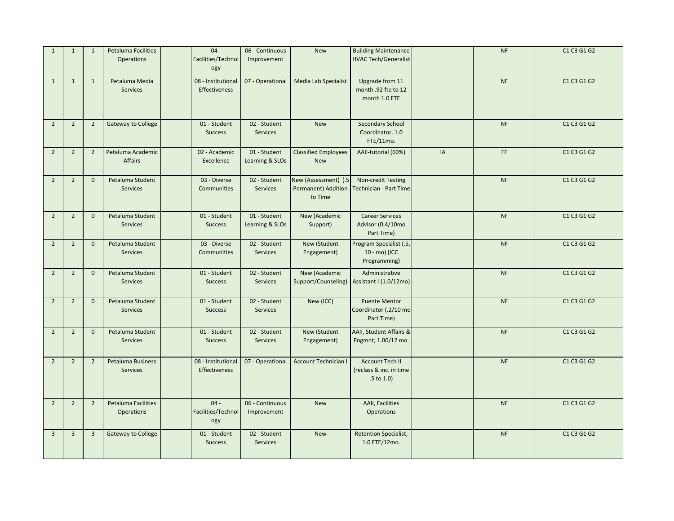| $\mathbf{1}$   | $\mathbf{1}$   | $\mathbf{1}$   | Petaluma Facilities<br><b>Operations</b>    | $04 -$<br>Facilities/Technol<br>ogy        | 06 - Continuous<br>Improvement  | New                                                    | <b>Building Maintenance</b><br><b>HVAC Tech/Generalist</b>           |    | <b>NF</b> | C1 C3 G1 G2 |
|----------------|----------------|----------------|---------------------------------------------|--------------------------------------------|---------------------------------|--------------------------------------------------------|----------------------------------------------------------------------|----|-----------|-------------|
| $\mathbf{1}$   | $\mathbf{1}$   | 1              | Petaluma Media<br><b>Services</b>           | 08 - Institutional<br>Effectiveness        | 07 - Operational                | Media Lab Specialist                                   | Upgrade from 11<br>month .92 fte to 12<br>month 1.0 FTE              |    | <b>NF</b> | C1 C3 G1 G2 |
| $\overline{2}$ | $\overline{2}$ | $\overline{2}$ | <b>Gateway to College</b>                   | 01 - Student<br><b>Success</b>             | 02 - Student<br><b>Services</b> | <b>New</b>                                             | <b>Secondary School</b><br>Coordinator, 1.0<br>FTE/11mo.             |    | <b>NF</b> | C1 C3 G1 G2 |
| $\overline{2}$ | $\overline{2}$ | $\overline{2}$ | Petaluma Academic<br>Affairs                | 02 - Academic<br>Excellence                | 01 - Student<br>Learning & SLOs | <b>Classified Employees</b><br><b>New</b>              | AAII-tutorial (60%)                                                  | IA | FF.       | C1 C3 G1 G2 |
| $\overline{2}$ | $\overline{2}$ | $\overline{0}$ | Petaluma Student<br><b>Services</b>         | 03 - Diverse<br>Communities                | 02 - Student<br><b>Services</b> | New (Assessment) (.5<br>Permanent) Addition<br>to Time | Non-credit Testing<br>Technician - Part Time                         |    | <b>NF</b> | C1 C3 G1 G2 |
| $\overline{2}$ | $\overline{2}$ | $\overline{0}$ | Petaluma Student<br><b>Services</b>         | 01 - Student<br><b>Success</b>             | 01 - Student<br>Learning & SLOs | New (Academic<br>Support)                              | <b>Career Services</b><br>Advisor (0.4/10mo<br>Part Time)            |    | <b>NF</b> | C1 C3 G1 G2 |
| $\overline{2}$ | $\overline{2}$ | $\mathbf{0}$   | Petaluma Student<br>Services                | 03 - Diverse<br>Communities                | 02 - Student<br>Services        | New (Student<br>Engagement)                            | Program Specialist (.5,<br>10 - mo) (ICC<br>Programming)             |    | NF        | C1 C3 G1 G2 |
| $\overline{2}$ | $\overline{2}$ | $\overline{0}$ | Petaluma Student<br><b>Services</b>         | 01 - Student<br><b>Success</b>             | 02 - Student<br>Services        | New (Academic<br>Support/Counseling)                   | Administrative<br>Assistant I (1.0/12mo)                             |    | <b>NF</b> | C1 C3 G1 G2 |
| $\overline{2}$ | $\overline{2}$ | $\overline{0}$ | Petaluma Student<br>Services                | 01 - Student<br><b>Success</b>             | 02 - Student<br>Services        | New (ICC)                                              | <b>Puente Mentor</b><br>Coordinator (.2/10 mo-<br>Part Time)         |    | $\sf{NF}$ | C1 C3 G1 G2 |
| $\overline{2}$ | $\overline{2}$ | $\mathbf 0$    | Petaluma Student<br>Services                | 01 - Student<br><b>Success</b>             | 02 - Student<br>Services        | New (Student<br>Engagement)                            | AAII, Student Affairs &<br>Engmnt; 1.00/12 mo.                       |    | <b>NF</b> | C1 C3 G1 G2 |
| $\overline{2}$ | $\overline{2}$ | $\overline{2}$ | <b>Petaluma Business</b><br><b>Services</b> | 08 - Institutional<br><b>Effectiveness</b> | 07 - Operational                | <b>Account Technician I</b>                            | <b>Account Tech II</b><br>(reclass & inc. in time<br>$.5$ to $1.0$ ) |    | NF        | C1 C3 G1 G2 |
| $\overline{2}$ | $\overline{2}$ | $\overline{2}$ | Petaluma Facilities<br>Operations           | $04 -$<br>Facilities/Technol<br>ogy        | 06 - Continuous<br>Improvement  | New                                                    | <b>AAII, Facilities</b><br><b>Operations</b>                         |    | <b>NF</b> | C1 C3 G1 G2 |
| $\overline{3}$ | $\overline{3}$ | $\overline{3}$ | <b>Gateway to College</b>                   | 01 - Student<br><b>Success</b>             | 02 - Student<br>Services        | <b>New</b>                                             | <b>Retention Specialist,</b><br>1.0 FTE/12mo.                        |    | NF        | C1 C3 G1 G2 |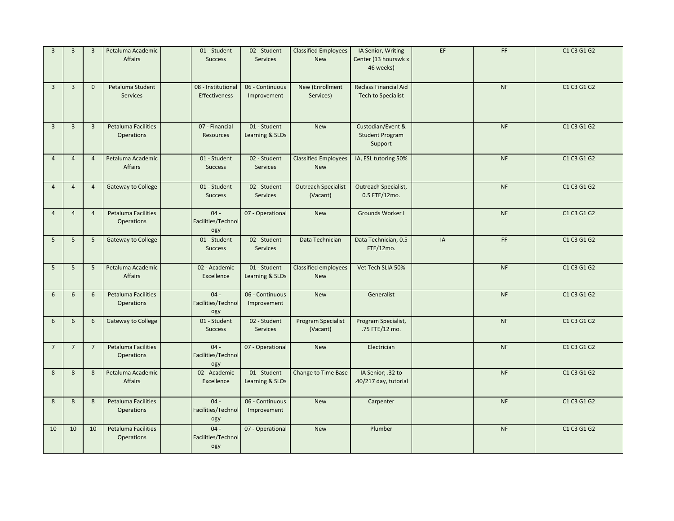| $\overline{3}$ | $\overline{3}$          | $\overline{3}$          | Petaluma Academic<br>Affairs             | 01 - Student<br><b>Success</b>      | 02 - Student<br><b>Services</b> | <b>Classified Employees</b><br><b>New</b> | IA Senior, Writing<br>Center (13 hourswk x<br>46 weeks)   | EF | FF        | C1 C3 G1 G2 |
|----------------|-------------------------|-------------------------|------------------------------------------|-------------------------------------|---------------------------------|-------------------------------------------|-----------------------------------------------------------|----|-----------|-------------|
| $\overline{3}$ | $\overline{3}$          | $\mathbf{0}$            | Petaluma Student<br><b>Services</b>      | 08 - Institutional<br>Effectiveness | 06 - Continuous<br>Improvement  | New (Enrollment<br>Services)              | <b>Reclass Financial Aid</b><br><b>Tech to Specialist</b> |    | <b>NF</b> | C1 C3 G1 G2 |
| $\overline{3}$ | $\overline{\mathbf{3}}$ | $\overline{\mathbf{3}}$ | Petaluma Facilities<br><b>Operations</b> | 07 - Financial<br><b>Resources</b>  | 01 - Student<br>Learning & SLOs | New                                       | Custodian/Event &<br><b>Student Program</b><br>Support    |    | NF        | C1 C3 G1 G2 |
| $\overline{4}$ | $\overline{4}$          | $\overline{4}$          | Petaluma Academic<br>Affairs             | 01 - Student<br><b>Success</b>      | 02 - Student<br><b>Services</b> | <b>Classified Employees</b><br><b>New</b> | IA, ESL tutoring 50%                                      |    | <b>NF</b> | C1 C3 G1 G2 |
| $\overline{4}$ | $\overline{4}$          | $\overline{4}$          | Gateway to College                       | 01 - Student<br><b>Success</b>      | 02 - Student<br><b>Services</b> | <b>Outreach Specialist</b><br>(Vacant)    | Outreach Specialist,<br>0.5 FTE/12mo.                     |    | NF        | C1 C3 G1 G2 |
| $\overline{4}$ | $\overline{4}$          | $\overline{4}$          | Petaluma Facilities<br>Operations        | $04 -$<br>Facilities/Technol<br>ogy | 07 - Operational                | <b>New</b>                                | Grounds Worker I                                          |    | <b>NF</b> | C1 C3 G1 G2 |
| 5              | 5                       | 5                       | <b>Gateway to College</b>                | 01 - Student<br><b>Success</b>      | 02 - Student<br><b>Services</b> | Data Technician                           | Data Technician, 0.5<br>FTE/12mo.                         | IA | FF        | C1 C3 G1 G2 |
| 5              | $5\phantom{.0}$         | 5                       | Petaluma Academic<br>Affairs             | 02 - Academic<br>Excellence         | 01 - Student<br>Learning & SLOs | Classified employees<br><b>New</b>        | Vet Tech SLIA 50%                                         |    | <b>NF</b> | C1 C3 G1 G2 |
| 6              | 6                       | 6                       | Petaluma Facilities<br><b>Operations</b> | $04 -$<br>Facilities/Technol<br>ogy | 06 - Continuous<br>Improvement  | <b>New</b>                                | Generalist                                                |    | <b>NF</b> | C1 C3 G1 G2 |
| 6              | 6                       | 6                       | <b>Gateway to College</b>                | 01 - Student<br><b>Success</b>      | 02 - Student<br>Services        | <b>Program Specialist</b><br>(Vacant)     | Program Specialist,<br>.75 FTE/12 mo.                     |    | <b>NF</b> | C1 C3 G1 G2 |
| 7              | $\overline{7}$          | $\overline{7}$          | Petaluma Facilities<br><b>Operations</b> | $04 -$<br>Facilities/Technol<br>ogy | 07 - Operational                | <b>New</b>                                | Electrician                                               |    | NF        | C1 C3 G1 G2 |
| 8              | 8                       | 8                       | Petaluma Academic<br><b>Affairs</b>      | 02 - Academic<br>Excellence         | 01 - Student<br>Learning & SLOs | Change to Time Base                       | IA Senior; .32 to<br>.40/217 day, tutorial                |    | <b>NF</b> | C1 C3 G1 G2 |
| 8              | $\boldsymbol{8}$        | 8                       | Petaluma Facilities<br><b>Operations</b> | $04 -$<br>Facilities/Technol<br>ogy | 06 - Continuous<br>Improvement  | <b>New</b>                                | Carpenter                                                 |    | NF        | C1 C3 G1 G2 |
| 10             | 10                      | 10                      | Petaluma Facilities<br><b>Operations</b> | $04 -$<br>Facilities/Technol<br>ogy | 07 - Operational                | <b>New</b>                                | Plumber                                                   |    | <b>NF</b> | C1 C3 G1 G2 |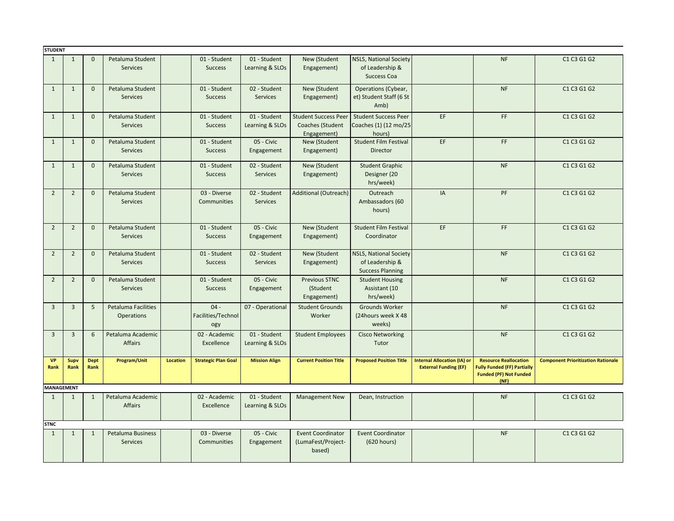| <b>STUDENT</b>    |                |                     |                                                 |                 |                                     |                                 |                                                                |                                                                             |                                                                    |                                                                                                             |                                           |
|-------------------|----------------|---------------------|-------------------------------------------------|-----------------|-------------------------------------|---------------------------------|----------------------------------------------------------------|-----------------------------------------------------------------------------|--------------------------------------------------------------------|-------------------------------------------------------------------------------------------------------------|-------------------------------------------|
| $\mathbf{1}$      | $\mathbf{1}$   | $\Omega$            | Petaluma Student<br><b>Services</b>             |                 | 01 - Student<br><b>Success</b>      | 01 - Student<br>Learning & SLOs | New (Student<br>Engagement)                                    | <b>NSLS, National Society</b><br>of Leadership &<br>Success Coa             |                                                                    | <b>NF</b>                                                                                                   | C1 C3 G1 G2                               |
| $\mathbf{1}$      | $\mathbf{1}$   | $\mathbf{0}$        | Petaluma Student<br><b>Services</b>             |                 | 01 - Student<br><b>Success</b>      | 02 - Student<br><b>Services</b> | New (Student<br>Engagement)                                    | Operations (Cybear,<br>et) Student Staff (6 St<br>Amb)                      |                                                                    | <b>NF</b>                                                                                                   | C1 C3 G1 G2                               |
| $\mathbf{1}$      | $\mathbf{1}$   | $\mathbf{0}$        | Petaluma Student<br><b>Services</b>             |                 | 01 - Student<br><b>Success</b>      | 01 - Student<br>Learning & SLOs | <b>Student Success Peer</b><br>Coaches (Student<br>Engagement) | <b>Student Success Peer</b><br>Coaches (1) (12 mo/25<br>hours)              | EF                                                                 | FF.                                                                                                         | C1 C3 G1 G2                               |
| $\mathbf{1}$      | $\mathbf{1}$   | $\mathbf{0}$        | Petaluma Student<br><b>Services</b>             |                 | 01 - Student<br><b>Success</b>      | 05 - Civic<br>Engagement        | New (Student<br>Engagement)                                    | <b>Student Film Festival</b><br><b>Director</b>                             | EF                                                                 | FF.                                                                                                         | C1 C3 G1 G2                               |
| $\mathbf{1}$      | $\mathbf{1}$   | $\mathbf 0$         | Petaluma Student<br><b>Services</b>             |                 | 01 - Student<br><b>Success</b>      | 02 - Student<br><b>Services</b> | New (Student<br>Engagement)                                    | <b>Student Graphic</b><br>Designer (20<br>hrs/week)                         |                                                                    | <b>NF</b>                                                                                                   | C1 C3 G1 G2                               |
| $\overline{2}$    | $\overline{2}$ | $\mathbf 0$         | Petaluma Student<br><b>Services</b>             |                 | 03 - Diverse<br>Communities         | 02 - Student<br><b>Services</b> | <b>Additional (Outreach)</b>                                   | Outreach<br>Ambassadors (60<br>hours)                                       | IA                                                                 | PF                                                                                                          | C1 C3 G1 G2                               |
| $\overline{2}$    | $\overline{2}$ | $\mathbf{0}$        | Petaluma Student<br><b>Services</b>             |                 | 01 - Student<br><b>Success</b>      | 05 - Civic<br>Engagement        | New (Student<br>Engagement)                                    | <b>Student Film Festival</b><br>Coordinator                                 | EF                                                                 | FF                                                                                                          | C1 C3 G1 G2                               |
| $\overline{2}$    | $\overline{2}$ | $\overline{0}$      | Petaluma Student<br><b>Services</b>             |                 | 01 - Student<br><b>Success</b>      | 02 - Student<br><b>Services</b> | New (Student<br>Engagement)                                    | <b>NSLS, National Society</b><br>of Leadership &<br><b>Success Planning</b> |                                                                    | <b>NF</b>                                                                                                   | C1 C3 G1 G2                               |
| $\overline{2}$    | $\overline{2}$ | $\mathbf{0}$        | Petaluma Student<br><b>Services</b>             |                 | 01 - Student<br><b>Success</b>      | 05 - Civic<br>Engagement        | <b>Previous STNC</b><br>(Student<br>Engagement)                | <b>Student Housing</b><br>Assistant (10<br>hrs/week)                        |                                                                    | <b>NF</b>                                                                                                   | C1 C3 G1 G2                               |
| $\overline{3}$    | $\overline{3}$ | 5                   | <b>Petaluma Facilities</b><br><b>Operations</b> |                 | $04 -$<br>Facilities/Technol<br>ogy | 07 - Operational                | <b>Student Grounds</b><br>Worker                               | Grounds Worker<br>(24hours week X 48<br>weeks)                              |                                                                    | <b>NF</b>                                                                                                   | C1 C3 G1 G2                               |
| $\overline{3}$    | $\overline{3}$ | 6                   | Petaluma Academic<br><b>Affairs</b>             |                 | 02 - Academic<br>Excellence         | 01 - Student<br>Learning & SLOs | <b>Student Employees</b>                                       | <b>Cisco Networking</b><br>Tutor                                            |                                                                    | <b>NF</b>                                                                                                   | C1 C3 G1 G2                               |
| <b>VP</b><br>Rank | Supv<br>Rank   | <b>Dept</b><br>Rank | Program/Unit                                    | <b>Location</b> | <b>Strategic Plan Goal</b>          | <b>Mission Align</b>            | <b>Current Position Title</b>                                  | <b>Proposed Position Title</b>                                              | <b>Internal Allocation (IA) or</b><br><b>External Funding (EF)</b> | <b>Resource Reallocation</b><br><b>Fully Funded (FF) Partially</b><br><b>Funded (PF) Not Funded</b><br>(NF) | <b>Component Prioritization Rationale</b> |
| <b>MANAGEMENT</b> |                |                     |                                                 |                 |                                     |                                 |                                                                |                                                                             |                                                                    |                                                                                                             |                                           |
| $\mathbf{1}$      | $\mathbf{1}$   | $\mathbf{1}$        | Petaluma Academic<br><b>Affairs</b>             |                 | 02 - Academic<br>Excellence         | 01 - Student<br>Learning & SLOs | <b>Management New</b>                                          | Dean, Instruction                                                           |                                                                    | <b>NF</b>                                                                                                   | C1 C3 G1 G2                               |
| <b>STNC</b>       |                |                     |                                                 |                 |                                     |                                 |                                                                |                                                                             |                                                                    |                                                                                                             |                                           |
| $\mathbf{1}$      | $\mathbf{1}$   | $\mathbf{1}$        | <b>Petaluma Business</b><br><b>Services</b>     |                 | 03 - Diverse<br>Communities         | 05 - Civic<br>Engagement        | <b>Event Coordinator</b><br>(LumaFest/Project-<br>based)       | <b>Event Coordinator</b><br>(620 hours)                                     |                                                                    | <b>NF</b>                                                                                                   | C1 C3 G1 G2                               |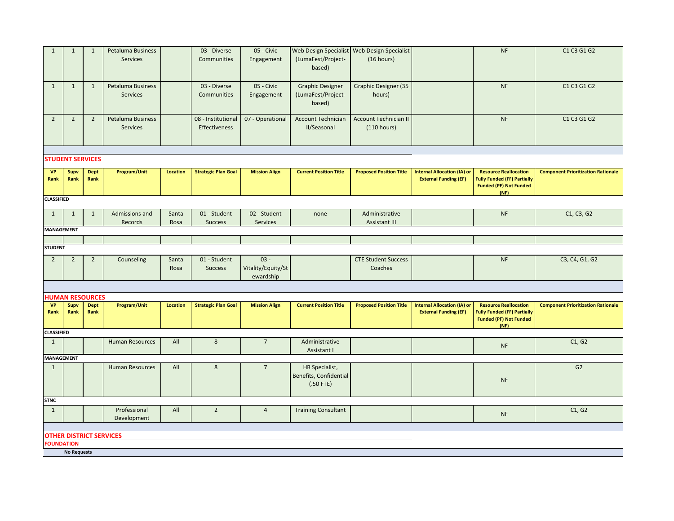| $\mathbf{1}$      | $\mathbf{1}$       | 1                              | <b>Petaluma Business</b><br><b>Services</b> |                 | 03 - Diverse<br>Communities         | 05 - Civic<br>Engagement                  | Web Design Specialist<br>(LumaFest/Project-<br>based)   | Web Design Specialist<br>(16 hours)         |                                                                    | NF                                                                                                          | C1 C3 G1 G2                               |
|-------------------|--------------------|--------------------------------|---------------------------------------------|-----------------|-------------------------------------|-------------------------------------------|---------------------------------------------------------|---------------------------------------------|--------------------------------------------------------------------|-------------------------------------------------------------------------------------------------------------|-------------------------------------------|
| $\mathbf{1}$      | $\mathbf{1}$       | $\mathbf{1}$                   | Petaluma Business<br><b>Services</b>        |                 | 03 - Diverse<br>Communities         | 05 - Civic<br>Engagement                  | <b>Graphic Designer</b><br>(LumaFest/Project-<br>based) | <b>Graphic Designer (35</b><br>hours)       |                                                                    | NF                                                                                                          | C1 C3 G1 G2                               |
| $\overline{2}$    | $\overline{2}$     | $\overline{2}$                 | Petaluma Business<br><b>Services</b>        |                 | 08 - Institutional<br>Effectiveness | 07 - Operational                          | <b>Account Technician</b><br>II/Seasonal                | <b>Account Technician II</b><br>(110 hours) |                                                                    | <b>NF</b>                                                                                                   | C1 C3 G1 G2                               |
|                   |                    | <b>STUDENT SERVICES</b>        |                                             |                 |                                     |                                           |                                                         |                                             |                                                                    |                                                                                                             |                                           |
| <b>VP</b><br>Rank | Supv<br>Rank       | <b>Dept</b><br>Rank            | Program/Unit                                | <b>Location</b> | <b>Strategic Plan Goal</b>          | <b>Mission Align</b>                      | <b>Current Position Title</b>                           | <b>Proposed Position Title</b>              | <b>Internal Allocation (IA) or</b><br><b>External Funding (EF)</b> | <b>Resource Reallocation</b><br><b>Fully Funded (FF) Partially</b><br><b>Funded (PF) Not Funded</b><br>(NF) | <b>Component Prioritization Rationale</b> |
| <b>CLASSIFIED</b> |                    |                                |                                             |                 |                                     |                                           |                                                         |                                             |                                                                    |                                                                                                             |                                           |
| $\mathbf{1}$      | $\mathbf{1}$       | $\mathbf{1}$                   | Admissions and<br>Records                   | Santa<br>Rosa   | 01 - Student<br><b>Success</b>      | 02 - Student<br>Services                  | none                                                    | Administrative<br>Assistant III             |                                                                    | NF                                                                                                          | C1, C3, G2                                |
| MANAGEMENT        |                    |                                |                                             |                 |                                     |                                           |                                                         |                                             |                                                                    |                                                                                                             |                                           |
| <b>STUDENT</b>    |                    |                                |                                             |                 |                                     |                                           |                                                         |                                             |                                                                    |                                                                                                             |                                           |
|                   |                    |                                |                                             |                 |                                     |                                           |                                                         |                                             |                                                                    |                                                                                                             |                                           |
| $2^{\circ}$       | $\overline{2}$     | $\overline{2}$                 | Counseling                                  | Santa<br>Rosa   | 01 - Student<br><b>Success</b>      | $03 -$<br>Vitality/Equity/St<br>ewardship |                                                         | <b>CTE Student Success</b><br>Coaches       |                                                                    | <b>NF</b>                                                                                                   | C3, C4, G1, G2                            |
|                   |                    |                                |                                             |                 |                                     |                                           |                                                         |                                             |                                                                    |                                                                                                             |                                           |
|                   |                    | <b>HUMAN RESOURCES</b>         |                                             |                 |                                     |                                           |                                                         |                                             |                                                                    |                                                                                                             |                                           |
| <b>VP</b><br>Rank | Supv<br>Rank       | <b>Dept</b><br>Rank            | Program/Unit                                | <b>Location</b> | <b>Strategic Plan Goal</b>          | <b>Mission Align</b>                      | <b>Current Position Title</b>                           | <b>Proposed Position Title</b>              | <b>Internal Allocation (IA) or</b><br><b>External Funding (EF)</b> | <b>Resource Reallocation</b><br><b>Fully Funded (FF) Partially</b><br><b>Funded (PF) Not Funded</b><br>(NF) | <b>Component Prioritization Rationale</b> |
| <b>CLASSIFIED</b> |                    |                                |                                             |                 |                                     |                                           |                                                         |                                             |                                                                    |                                                                                                             |                                           |
| $\mathbf{1}$      |                    |                                | <b>Human Resources</b>                      | All             | $\bf 8$                             | $7\overline{ }$                           | Administrative<br>Assistant I                           |                                             |                                                                    | <b>NF</b>                                                                                                   | C1, G2                                    |
| MANAGEMENT        |                    |                                |                                             |                 |                                     |                                           |                                                         |                                             |                                                                    |                                                                                                             |                                           |
| $\mathbf{1}$      |                    |                                | <b>Human Resources</b>                      | All             | 8                                   | $\overline{7}$                            | HR Specialist,<br>Benefits, Confidential<br>$(.50$ FTE) |                                             |                                                                    | <b>NF</b>                                                                                                   | G <sub>2</sub>                            |
| <b>STNC</b>       |                    |                                |                                             |                 |                                     |                                           |                                                         |                                             |                                                                    |                                                                                                             |                                           |
| $\mathbf{1}$      |                    |                                | Professional<br>Development                 | All             | $\overline{2}$                      | $\overline{4}$                            | <b>Training Consultant</b>                              |                                             |                                                                    | <b>NF</b>                                                                                                   | C1, G2                                    |
|                   |                    | <b>OTHER DISTRICT SERVICES</b> |                                             |                 |                                     |                                           |                                                         |                                             |                                                                    |                                                                                                             |                                           |
| <b>FOUNDATION</b> |                    |                                |                                             |                 |                                     |                                           |                                                         |                                             |                                                                    |                                                                                                             |                                           |
|                   | <b>No Requests</b> |                                |                                             |                 |                                     |                                           |                                                         |                                             |                                                                    |                                                                                                             |                                           |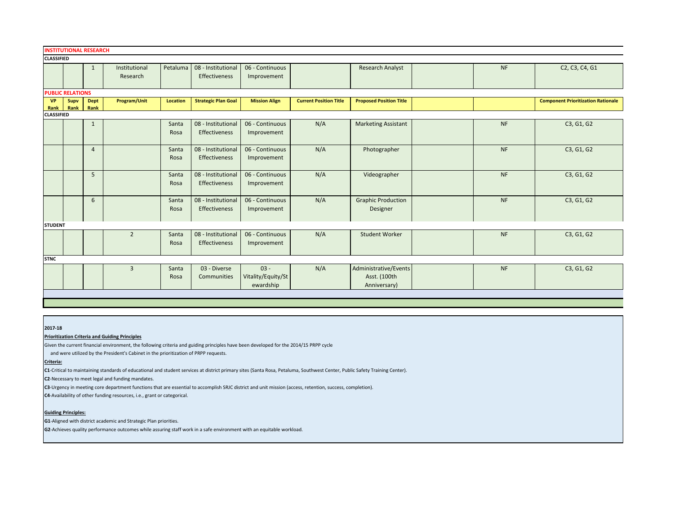|                   | <b>INSTITUTIONAL RESEARCH</b> |                     |                           |                 |                                            |                                           |                               |                                                       |           |                                           |
|-------------------|-------------------------------|---------------------|---------------------------|-----------------|--------------------------------------------|-------------------------------------------|-------------------------------|-------------------------------------------------------|-----------|-------------------------------------------|
| <b>CLASSIFIED</b> |                               |                     |                           |                 |                                            |                                           |                               |                                                       |           |                                           |
|                   |                               | $\mathbf{1}$        | Institutional<br>Research | Petaluma        | 08 - Institutional<br><b>Effectiveness</b> | 06 - Continuous<br>Improvement            |                               | <b>Research Analyst</b>                               | NF        | C2, C3, C4, G1                            |
|                   | <b>PUBLIC RELATIONS</b>       |                     |                           |                 |                                            |                                           |                               |                                                       |           |                                           |
| <b>VP</b><br>Rank | Supv<br>Rank                  | <b>Dept</b><br>Rank | Program/Unit              | <b>Location</b> | <b>Strategic Plan Goal</b>                 | <b>Mission Align</b>                      | <b>Current Position Title</b> | <b>Proposed Position Title</b>                        |           | <b>Component Prioritization Rationale</b> |
| <b>CLASSIFIED</b> |                               |                     |                           |                 |                                            |                                           |                               |                                                       |           |                                           |
|                   |                               | $\mathbf{1}$        |                           | Santa<br>Rosa   | 08 - Institutional<br>Effectiveness        | 06 - Continuous<br>Improvement            | N/A                           | <b>Marketing Assistant</b>                            | NF        | C3, G1, G2                                |
|                   |                               | $\overline{4}$      |                           | Santa<br>Rosa   | 08 - Institutional<br>Effectiveness        | 06 - Continuous<br>Improvement            | N/A                           | Photographer                                          | NF        | C3, G1, G2                                |
|                   |                               | 5                   |                           | Santa<br>Rosa   | 08 - Institutional<br>Effectiveness        | 06 - Continuous<br>Improvement            | N/A                           | Videographer                                          | <b>NF</b> | C3, G1, G2                                |
|                   |                               | 6                   |                           | Santa<br>Rosa   | 08 - Institutional<br>Effectiveness        | 06 - Continuous<br>Improvement            | N/A                           | <b>Graphic Production</b><br>Designer                 | NF        | C3, G1, G2                                |
| <b>STUDENT</b>    |                               |                     |                           |                 |                                            |                                           |                               |                                                       |           |                                           |
|                   |                               |                     | $\overline{2}$            | Santa<br>Rosa   | 08 - Institutional<br>Effectiveness        | 06 - Continuous<br>Improvement            | N/A                           | <b>Student Worker</b>                                 | NF        | C3, G1, G2                                |
| <b>STNC</b>       |                               |                     |                           |                 |                                            |                                           |                               |                                                       |           |                                           |
|                   |                               |                     | $\overline{3}$            | Santa<br>Rosa   | 03 - Diverse<br>Communities                | $03 -$<br>Vitality/Equity/St<br>ewardship | N/A                           | Administrative/Events<br>Asst. (100th<br>Anniversary) | NF        | C3, G1, G2                                |
|                   |                               |                     |                           |                 |                                            |                                           |                               |                                                       |           |                                           |

#### **2017-18**

# **Prioritization Criteria and Guiding Principles**

Given the current financial environment, the following criteria and guiding principles have been developed for the 2014/15 PRPP cycle

and were utilized by the President's Cabinet in the prioritization of PRPP requests.

# **Criteria:**

**C1**-Critical to maintaining standards of educational and student services at district primary sites (Santa Rosa, Petaluma, Southwest Center, Public Safety Training Center).

**C2**-Necessary to meet legal and funding mandates.

**C3**-Urgency in meeting core department functions that are essential to accomplish SRJC district and unit mission (access, retention, success, completion).

**C4**-Availability of other funding resources, i.e., grant or categorical.

# **Guiding Principles:**

**G1**-Aligned with district academic and Strategic Plan priorities.

**G2**-Achieves quality performance outcomes while assuring staff work in a safe environment with an equitable workload.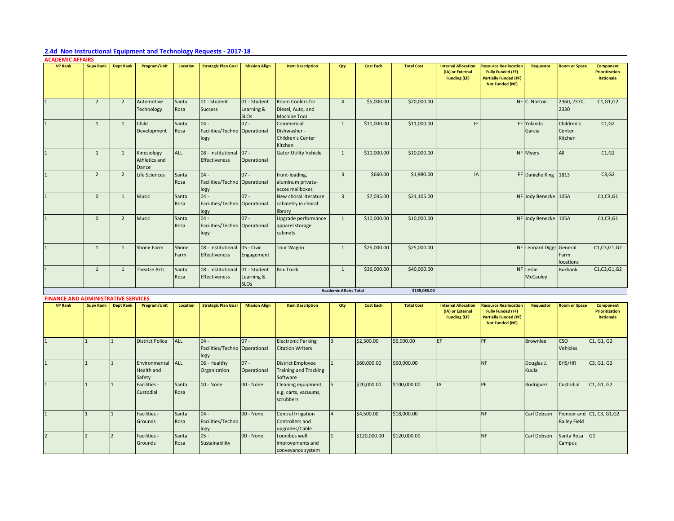# **2.4d Non Instructional Equipment and Technology Requests - 2017-18**

| <b>ACADEMIC AFFAIRS</b> |                  |                  |                                       |                 |                                                 |                                           |                                                                   |                               |                  |                   |                                                                       |                                                                                                                    |                              |                                 |                                                 |
|-------------------------|------------------|------------------|---------------------------------------|-----------------|-------------------------------------------------|-------------------------------------------|-------------------------------------------------------------------|-------------------------------|------------------|-------------------|-----------------------------------------------------------------------|--------------------------------------------------------------------------------------------------------------------|------------------------------|---------------------------------|-------------------------------------------------|
| <b>VP Rank</b>          | <b>Supv Rank</b> | <b>Dept Rank</b> | Program/Unit                          | <b>Location</b> | <b>Strategic Plan Goal</b>                      | <b>Mission Align</b>                      | <b>Item Description</b>                                           | Qty                           | <b>Cost Each</b> | <b>Total Cost</b> | <b>Internal Allocation</b><br>(IA) or External<br><b>Funding (EF)</b> | <b>Resource Reallocation</b><br><b>Fully Funded (FF)</b><br><b>Partially Funded (PF)</b><br><b>Not Funded (NF)</b> | <b>Requestor</b>             | <b>Room or Space</b>            | Component<br><b>Prioritization</b><br>Rationale |
|                         | $\overline{2}$   | $\overline{2}$   | Automotive<br>Technology              | Santa<br>Rosa   | 01 - Student<br><b>Success</b>                  | 01 - Student<br>Learning &<br><b>SLOs</b> | Room Coolers for<br>Diesel, Auto, and<br><b>Machine Tool</b>      | $\overline{4}$                | \$5,000.00       | \$20,000.00       |                                                                       |                                                                                                                    | NF C. Norton                 | 2360, 2370,<br>2330             | C1, G1, G2                                      |
|                         | 1                | 1                | Child<br>Development                  | Santa<br>Rosa   | $04 -$<br>Facilities/Techno Operational<br>logy | $07 -$                                    | Commerical<br>Dishwasher -<br><b>Children's Center</b><br>Kitchen | 1                             | \$11,000.00      | \$11,000.00       | EF                                                                    |                                                                                                                    | FF Yolanda<br>Garcia         | Children's<br>Center<br>Kitchen | C1, G2                                          |
|                         | 1                | 1                | Kinesiology<br>Athletics and<br>Dance | <b>ALL</b>      | 08 - Institutional 07 -<br><b>Effectiveness</b> | Operational                               | <b>Gator Utility Vehicle</b>                                      | 1                             | \$10,000.00      | \$10,000.00       |                                                                       |                                                                                                                    | NF Myers                     | <b>All</b>                      | C1, G2                                          |
|                         | $\overline{2}$   | $\overline{2}$   | Life Sciences                         | Santa<br>Rosa   | $04 -$<br>Facilities/Techno Operational<br>logy | $07 -$                                    | front-loading,<br>aluminum private-<br>acces mailboxes            | $\overline{3}$                | \$660.00         | \$1,980.00        | IA                                                                    |                                                                                                                    | FF Danielle King 1813        |                                 | C3,G2                                           |
|                         | $\overline{0}$   | $\mathbf{1}$     | Music                                 | Santa<br>Rosa   | $04 -$<br>Facilities/Techno Operational<br>logy | $07 -$                                    | New choral literature<br>cabinetry in choral<br>library           | $\overline{3}$                | \$7,035.00       | \$21,105.00       |                                                                       |                                                                                                                    | NF Jody Benecke 105A         |                                 | C1, C3, G1                                      |
|                         | $\mathbf{0}$     | $\overline{2}$   | <b>Music</b>                          | Santa<br>Rosa   | $04 -$<br>Facilities/Techno Operational<br>logy | $07 -$                                    | Upgrade performance<br>apparel storage<br>cabinets                | 1                             | \$10,000.00      | \$10,000.00       |                                                                       |                                                                                                                    | NF Jody Benecke 105A         |                                 | C1, C3, G1                                      |
|                         | $\mathbf{1}$     | $\mathbf{1}$     | Shone Farm                            | Shone<br>Farm   | 08 - Institutional<br><b>Effectiveness</b>      | $\bigcup$ 05 - Civic<br>Engagement        | <b>Tour Wagon</b>                                                 | $\mathbf{1}$                  | \$25,000.00      | \$25,000.00       |                                                                       |                                                                                                                    | NF Leonard Diggs General     | Farm<br>locations               | C1, C3, G1, G2                                  |
|                         | 1                | 1                | Theatre Arts                          | Santa<br>Rosa   | 08 - Institutional<br><b>Effectiveness</b>      | 01 - Student<br>Learning &<br><b>SLOs</b> | <b>Box Truck</b>                                                  | 1                             | \$36,000.00      | \$40,000.00       |                                                                       |                                                                                                                    | NF Leslie<br><b>McCauley</b> | Burbank                         | C1, C3, G1, G2                                  |
|                         |                  |                  |                                       |                 |                                                 |                                           |                                                                   | <b>Academic Affairs Total</b> |                  | \$139,085.00      |                                                                       |                                                                                                                    |                              |                                 |                                                 |

| <b>FINANCE AND ADMINISTRATIVE SERVICES</b> |                            |                                       |                 |                                                  |                       |                                                                      |     |                  |                   |                                                                       |                                                                                                                    |                     |                               |                                                        |
|--------------------------------------------|----------------------------|---------------------------------------|-----------------|--------------------------------------------------|-----------------------|----------------------------------------------------------------------|-----|------------------|-------------------|-----------------------------------------------------------------------|--------------------------------------------------------------------------------------------------------------------|---------------------|-------------------------------|--------------------------------------------------------|
| <b>VP Rank</b>                             | <b>Supy Rank Dept Rank</b> | Program/Unit                          | <b>Location</b> | <b>Strategic Plan Goal</b>                       | <b>Mission Align</b>  | <b>Item Description</b>                                              | Qty | <b>Cost Each</b> | <b>Total Cost</b> | <b>Internal Allocation</b><br>(IA) or External<br><b>Funding (EF)</b> | <b>Resource Reallocation</b><br><b>Fully Funded (FF)</b><br><b>Partially Funded (PF)</b><br><b>Not Funded (NF)</b> | Requestor           | <b>Room or Space</b>          | <b>Component</b><br><b>Prioritization</b><br>Rationale |
|                                            |                            | <b>District Police</b>                | <b>ALL</b>      | $ 04 -$<br>Facilities/Techno Operational<br>logy | $07 -$                | <b>Electronic Parking</b><br><b>Citation Writers</b>                 |     | \$2,300.00       | \$6,900.00        | EF                                                                    | <b>DF</b>                                                                                                          | Brownlee            | <b>CSO</b><br><b>Vehicles</b> | C1, G1, G2                                             |
|                                            |                            | Environmental<br>Health and<br>Safety | <b>ALL</b>      | 06 - Healthy<br>Organization                     | $07 -$<br>Operational | <b>District Employee</b><br><b>Training and Tracking</b><br>Software |     | \$60,000.00      | \$60,000.00       |                                                                       | <b>NF</b>                                                                                                          | Douglas J.<br>Kuula | EHS/HR                        | C3, G1, G2                                             |
|                                            |                            | Facilities -<br>Custodial             | Santa<br>Rosa   | $00 - None$                                      | 00 - None             | Cleaning equipment,<br>e.g. carts, vacuums,<br>scrubbers             |     | \$20,000.00      | \$100,000.00      | IA                                                                    | <b>DF</b>                                                                                                          | Rodriguez           | Custodial                     | C1, G1, G2                                             |
|                                            |                            | Facilities -<br>Grounds               | Santa<br>Rosa   | $04 -$<br>Facilities/Techno<br>logy              | $00 - None$           | Central Irrigation<br>Controllers and<br>upgrades/Cable              |     | \$4,500.00       | \$18,000.00       |                                                                       | <b>NF</b>                                                                                                          | Carl Dobson         | <b>Bailey Field</b>           | Pioneer and C1, C3, G1, G2                             |
|                                            |                            | Facilities -<br>Grounds               | Santa<br>Rosa   | $105 -$<br>Sustainability                        | 00 - None             | Lounibos well<br>improvements and<br>conveyance system               |     | \$120,000.00     | \$120,000.00      |                                                                       | <b>NF</b>                                                                                                          | Carl Dobson         | Santa Rosa<br>Campus          | G <sub>1</sub>                                         |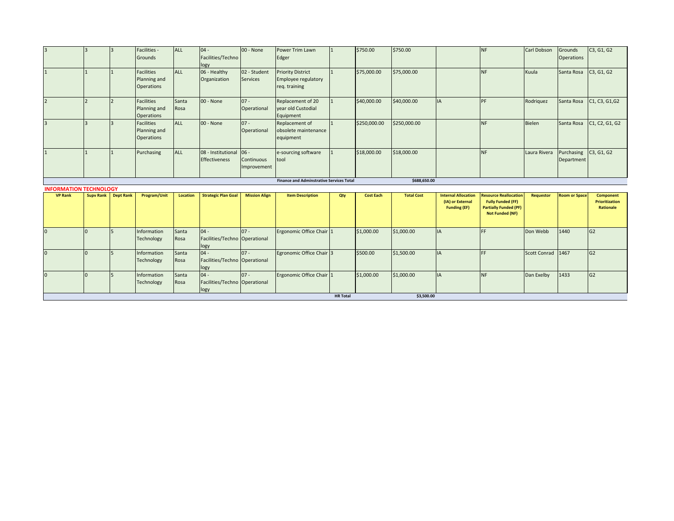|                                                 | $\overline{\mathbf{z}}$                                         |                  | Facilities -<br>Grounds                                | ALL             | $04 -$<br>Facilities/Techno<br>logy             | 00 - None                       | Power Trim Lawn<br>Edger                                         |                 | \$750.00         | \$750.00          |                                         | <b>NF</b>                                                                          | Carl Dobson       | Grounds<br><b>Operations</b> | C3, G1, G2                         |
|-------------------------------------------------|-----------------------------------------------------------------|------------------|--------------------------------------------------------|-----------------|-------------------------------------------------|---------------------------------|------------------------------------------------------------------|-----------------|------------------|-------------------|-----------------------------------------|------------------------------------------------------------------------------------|-------------------|------------------------------|------------------------------------|
|                                                 |                                                                 |                  | <b>Facilities</b><br>Planning and<br><b>Operations</b> | ALL             | 06 - Healthy<br>Organization                    | 02 - Student<br><b>Services</b> | <b>Priority District</b><br>Employee regulatory<br>req. training |                 | \$75,000.00      | \$75,000.00       |                                         | <b>NF</b>                                                                          | Kuula             | Santa Rosa                   | C3, G1, G2                         |
|                                                 |                                                                 |                  | <b>Facilities</b><br>Planning and<br><b>Operations</b> | Santa<br>Rosa   | 00 - None                                       | $07 -$<br>Operational           | Replacement of 20<br>vear old Custodial<br>Equipment             |                 | \$40,000.00      | \$40,000.00       | IA                                      | PF                                                                                 | Rodriguez         | Santa Rosa                   | C1, C3, G1, G2                     |
| $\mathbf{R}$                                    | $\overline{a}$                                                  |                  | <b>Facilities</b><br>Planning and<br><b>Operations</b> | ALL             | 00 - None                                       | $07 -$<br>Operational           | Replacement of<br>obsolete maintenance<br>equipment              |                 | \$250,000.00     | \$250,000.00      |                                         | <b>NF</b>                                                                          | <b>Bielen</b>     | Santa Rosa                   | C1, C2, G1, G2                     |
|                                                 |                                                                 |                  | Purchasing                                             | ALL             | 08 - Institutional 06 -<br><b>Effectiveness</b> | Continuous<br>Improvement       | e-sourcing software<br>tool                                      |                 | \$18,000.00      | \$18,000.00       |                                         | <b>NF</b>                                                                          | Laura Rivera      | Purchasing<br>Department     | C3, G1, G2                         |
|                                                 | <b>Finance and Adminstrative Services Total</b><br>\$688,650.00 |                  |                                                        |                 |                                                 |                                 |                                                                  |                 |                  |                   |                                         |                                                                                    |                   |                              |                                    |
| <b>INFORMATION TECHNOLOGY</b><br><b>VP Rank</b> | <b>Supv Rank</b>                                                | <b>Dept Rank</b> | Program/Unit                                           | <b>Location</b> | <b>Strategic Plan Goal</b>                      | <b>Mission Align</b>            | <b>Item Description</b>                                          | Qty             | <b>Cost Each</b> | <b>Total Cost</b> | <b>Internal Allocation</b>              | <b>Resource Reallocation</b>                                                       | <b>Requestor</b>  | <b>Room or Space</b>         | Component                          |
|                                                 |                                                                 |                  |                                                        |                 |                                                 |                                 |                                                                  |                 |                  |                   | (IA) or External<br><b>Funding (EF)</b> | <b>Fully Funded (FF)</b><br><b>Partially Funded (PF)</b><br><b>Not Funded (NF)</b> |                   |                              | <b>Prioritization</b><br>Rationale |
|                                                 | $\Omega$                                                        |                  | Information<br>Technology                              | Santa<br>Rosa   | $04 -$<br>Facilities/Techno Operational<br>logy | $07 -$                          | Ergonomic Office Chair 1                                         |                 | \$1,000.00       | \$1,000.00        | IA                                      | FF.                                                                                | Don Webb          | 1440                         | G <sub>2</sub>                     |
|                                                 | $\Omega$                                                        |                  | Information<br>Technology                              | Santa<br>Rosa   | $04 -$<br>Facilities/Techno Operational<br>logy | $07 -$                          | Egronomic Office Chair 3                                         |                 | \$500.00         | \$1,500.00        | <b>IA</b>                               | FF.                                                                                | Scott Conrad 1467 |                              | G <sub>2</sub>                     |
| 0                                               | $\Omega$                                                        |                  | Information<br>Technology                              | Santa<br>Rosa   | $04 -$<br>Facilities/Techno Operational         | $07 -$                          | Ergonomic Office Chair 1                                         |                 | \$1,000.00       | \$1,000.00        | IA                                      | <b>NF</b>                                                                          | Dan Exelby        | 1433                         | G2                                 |
|                                                 |                                                                 |                  |                                                        |                 | logy                                            |                                 |                                                                  | <b>HR Total</b> |                  | \$3,500.00        |                                         |                                                                                    |                   |                              |                                    |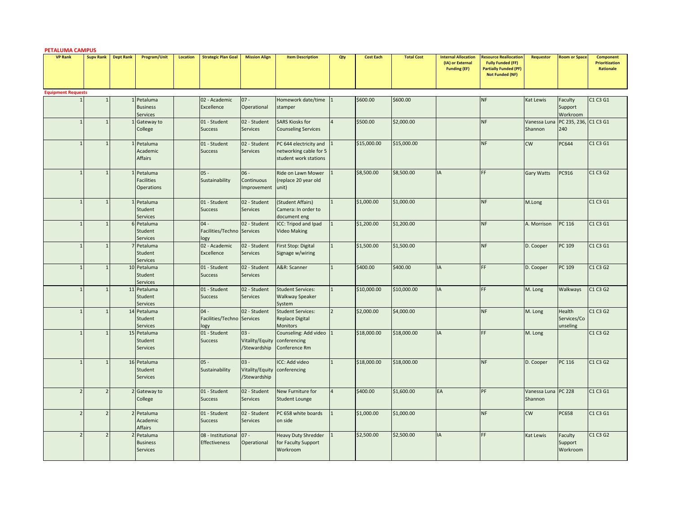| <b>PETALUMA CAMPUS</b>    |                  |                  |                                                      |                 |                                              |                                                        |                                                                           |     |                  |                   |                                                                       |                                                                                                                    |                         |                                   |                                                 |
|---------------------------|------------------|------------------|------------------------------------------------------|-----------------|----------------------------------------------|--------------------------------------------------------|---------------------------------------------------------------------------|-----|------------------|-------------------|-----------------------------------------------------------------------|--------------------------------------------------------------------------------------------------------------------|-------------------------|-----------------------------------|-------------------------------------------------|
| <b>VP Rank</b>            | <b>Supv Rank</b> | <b>Dept Rank</b> | Program/Unit                                         | <b>Location</b> | <b>Strategic Plan Goal</b>                   | <b>Mission Align</b>                                   | <b>Item Description</b>                                                   | Qty | <b>Cost Each</b> | <b>Total Cost</b> | <b>Internal Allocation</b><br>(IA) or External<br><b>Funding (EF)</b> | <b>Resource Reallocation</b><br><b>Fully Funded (FF)</b><br><b>Partially Funded (PF)</b><br><b>Not Funded (NF)</b> | <b>Requestor</b>        | <b>Room or Space</b>              | Component<br><b>Prioritization</b><br>Rationale |
| <b>Equipment Requests</b> |                  |                  |                                                      |                 |                                              |                                                        |                                                                           |     |                  |                   |                                                                       |                                                                                                                    |                         |                                   |                                                 |
|                           |                  |                  | 1 Petaluma<br><b>Business</b><br>Services            |                 | 02 - Academic<br>Excellence                  | $07 -$<br>Operational                                  | Homework date/time<br>stamper                                             | 1   | \$600.00         | \$600.00          |                                                                       | <b>NF</b>                                                                                                          | Kat Lewis               | Faculty<br>Support<br>Workroom    | C1 C3 G1                                        |
|                           |                  |                  | Gateway to<br>College                                |                 | 01 - Student<br><b>Success</b>               | 02 - Student<br><b>Services</b>                        | <b>SARS Kiosks for</b><br><b>Counseling Services</b>                      |     | \$500.00         | \$2,000.00        |                                                                       | <b>NF</b>                                                                                                          | Vanessa Luna<br>Shannon | PC 235, 236, C1 C3 G1<br>240      |                                                 |
|                           |                  |                  | 1 Petaluma<br>Academic<br><b>Affairs</b>             |                 | 01 - Student<br><b>Success</b>               | 02 - Student<br><b>Services</b>                        | PC 644 electricity and<br>networking cable for 5<br>student work stations |     | \$15,000.00      | \$15,000.00       |                                                                       | <b>NF</b>                                                                                                          | cw                      | PC644                             | C1 C3 G1                                        |
|                           |                  |                  | 1 Petaluma<br><b>Facilities</b><br><b>Operations</b> |                 | $05 -$<br>Sustainability                     | $06 -$<br>Continuous<br>Improvement                    | Ride on Lawn Mower<br>replace 20 year old<br>unit)                        |     | \$8,500.00       | \$8,500.00        | IA                                                                    | <b>FF</b>                                                                                                          | Gary Watts              | PC916                             | C1 C3 G2                                        |
|                           |                  |                  | 1 Petaluma<br>Student<br>Services                    |                 | 01 - Student<br><b>Success</b>               | 02 - Student<br><b>Services</b>                        | (Student Affairs)<br>Camera: In order to<br>document eng                  |     | \$1,000.00       | \$1,000.00        |                                                                       | <b>NF</b>                                                                                                          | M.Long                  |                                   | C1 C3 G1                                        |
|                           |                  |                  | 6 Petaluma<br>Student<br><b>Services</b>             |                 | $04 -$<br>Facilities/Techno Services<br>logy | 02 - Student                                           | ICC: Tripod and Ipad<br><b>Video Making</b>                               |     | \$1,200.00       | \$1,200.00        |                                                                       | <b>NF</b>                                                                                                          | A. Morrison             | PC 116                            | C1 C3 G1                                        |
|                           |                  |                  | 7 Petaluma<br>Student<br>Services                    |                 | 02 - Academic<br>Excellence                  | 02 - Student<br><b>Services</b>                        | First Stop: Digital<br>Signage w/wiring                                   |     | \$1,500.00       | \$1,500.00        |                                                                       | <b>NF</b>                                                                                                          | D. Cooper               | PC 109                            | C1 C3 G1                                        |
|                           |                  |                  | 10 Petaluma<br><b>Student</b><br>Services            |                 | 01 - Student<br><b>Success</b>               | 02 - Student<br>Services                               | A&R: Scanner                                                              |     | \$400.00         | \$400.00          | <b>IA</b>                                                             | <b>FF</b>                                                                                                          | D. Cooper               | PC 109                            | C <sub>1</sub> C <sub>3</sub> G <sub>2</sub>    |
|                           |                  |                  | 11 Petaluma<br><b>Student</b><br>Services            |                 | 01 - Student<br><b>Success</b>               | 02 - Student<br><b>Services</b>                        | <b>Student Services:</b><br><b>Walkway Speaker</b><br>System              |     | \$10,000.00      | \$10,000.00       | IA                                                                    | FF                                                                                                                 | M. Long                 | Walkways                          | C1 C3 G2                                        |
|                           |                  |                  | 14 Petaluma<br>Student<br>Services                   |                 | $04 -$<br>Facilities/Techno Services<br>logy | 02 - Student                                           | <b>Student Services:</b><br><b>Replace Digital</b><br>Monitors            |     | \$2,000.00       | \$4,000.00        |                                                                       | <b>NF</b>                                                                                                          | M. Long                 | Health<br>Services/Co<br>unseling | C1 C3 G2                                        |
|                           | $\overline{1}$   |                  | 15 Petaluma<br>Student<br><b>Services</b>            |                 | 01 - Student<br><b>Success</b>               | $03 -$<br>Vitality/Equity<br>/Stewardship              | Counseling: Add video 1<br>conferencing<br>Conference Rm                  |     | \$18,000.00      | \$18,000.00       | <b>IA</b>                                                             | FF                                                                                                                 | M. Long                 |                                   | C1 C3 G2                                        |
|                           |                  |                  | 16 Petaluma<br>Student<br><b>Services</b>            |                 | $05 -$<br>Sustainability                     | $03 -$<br>Vitality/Equity conferencing<br>/Stewardship | ICC: Add video                                                            |     | \$18,000.00      | \$18,000.00       |                                                                       | <b>NF</b>                                                                                                          | D. Cooper               | PC 116                            | C1 C3 G2                                        |
|                           |                  |                  | 2 Gateway to<br>College                              |                 | 01 - Student<br><b>Success</b>               | 02 - Student<br><b>Services</b>                        | New Furniture for<br><b>Student Lounge</b>                                |     | \$400.00         | \$1,600.00        | EA                                                                    | PF                                                                                                                 | Vanessa Luna<br>Shannon | <b>PC 228</b>                     | C1 C3 G1                                        |
|                           |                  |                  | 2 Petaluma<br>Academic<br><b>Affairs</b>             |                 | 01 - Student<br><b>Success</b>               | 02 - Student<br>Services                               | PC 658 white boards<br>on side                                            |     | \$1,000.00       | \$1,000.00        |                                                                       | <b>NF</b>                                                                                                          | cw                      | <b>PC658</b>                      | C1 C3 G1                                        |
|                           |                  |                  | 2 Petaluma<br><b>Business</b><br><b>Services</b>     |                 | 08 - Institutional<br><b>Effectiveness</b>   | $07 -$<br>Operational                                  | <b>Heavy Duty Shredder</b><br>for Faculty Support<br>Workroom             |     | \$2,500.00       | \$2,500.00        | IA                                                                    | <b>FF</b>                                                                                                          | <b>Kat Lewis</b>        | Faculty<br>Support<br>Workroom    | C1 C3 G2                                        |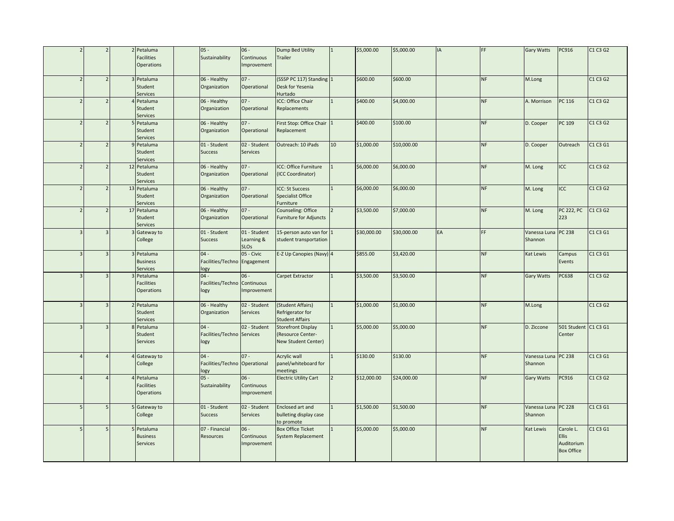|                          | $\overline{z}$           |                | 2 Petaluma<br><b>Facilities</b><br><b>Operations</b> | $05 -$<br>Sustainability                        | $06 -$<br>Continuous<br>Improvement            | Dump Bed Utility<br>Trailer                                           | $\overline{1}$  | \$5,000.00  | \$5,000.00  | <b>IA</b> | FF.       | <b>Gary Watts</b>       | PC916                                                        | C1 C3 G2 |
|--------------------------|--------------------------|----------------|------------------------------------------------------|-------------------------------------------------|------------------------------------------------|-----------------------------------------------------------------------|-----------------|-------------|-------------|-----------|-----------|-------------------------|--------------------------------------------------------------|----------|
| $\overline{\phantom{0}}$ | $\overline{2}$           |                | 3 Petaluma<br>Student<br>Services                    | 06 - Healthy<br>Organization                    | $07 -$<br>Operational                          | (SSSP PC 117) Standing 1<br>Desk for Yesenia<br>Hurtado               |                 | \$600.00    | \$600.00    |           | <b>NF</b> | M.Long                  |                                                              | C1 C3 G2 |
| $\overline{\phantom{0}}$ | $\overline{2}$           |                | Petaluma<br><b>Student</b><br>Services               | 06 - Healthy<br>Organization                    | $07 -$<br>Operational                          | ICC: Office Chair<br>Replacements                                     |                 | \$400.00    | \$4,000.00  |           | <b>NF</b> | A. Morrison             | PC 116                                                       | C1 C3 G2 |
| $\overline{\phantom{0}}$ | $\overline{\phantom{0}}$ |                | Petaluma<br>Student<br><b>Services</b>               | 06 - Healthy<br>Organization                    | $07 -$<br>Operational                          | First Stop: Office Chair 1<br>Replacement                             |                 | \$400.00    | \$100.00    |           | <b>NF</b> | D. Cooper               | PC 109                                                       | C1 C3 G2 |
|                          | $\overline{2}$           |                | Petaluma<br>Student<br>Services                      | 01 - Student<br><b>Success</b>                  | 02 - Student<br><b>Services</b>                | Outreach: 10 iPads                                                    | 10 <sup>°</sup> | \$1,000.00  | \$10,000.00 |           | <b>NF</b> | D. Cooper               | Outreach                                                     | C1 C3 G1 |
|                          | $\overline{a}$           |                | 12 Petaluma<br><b>Student</b><br>Services            | 06 - Healthy<br>Organization                    | $07 -$<br>Operational                          | ICC: Office Furniture<br>(ICC Coordinator)                            |                 | \$6,000.00  | \$6,000.00  |           | <b>NF</b> | M. Long                 | ICC                                                          | C1 C3 G2 |
| $\overline{\phantom{0}}$ | $\overline{\phantom{0}}$ |                | 13 Petaluma<br>Student<br>Services                   | 06 - Healthy<br>Organization                    | $07 -$<br>Operational                          | <b>ICC: St Success</b><br><b>Specialist Office</b><br>Furniture       |                 | \$6,000.00  | \$6,000.00  |           | <b>NF</b> | M. Long                 | ICC                                                          | C1 C3 G2 |
| $\overline{\phantom{0}}$ | $\overline{\phantom{0}}$ |                | 17 Petaluma<br>Student<br>Services                   | 06 - Healthy<br>Organization                    | $07 -$<br>Operational                          | Counseling: Office<br><b>Furniture for Adjuncts</b>                   |                 | \$3,500.00  | \$7,000.00  |           | <b>NF</b> | M. Long                 | <b>PC 222, PC</b><br>223                                     | C1 C3 G2 |
| 3                        | $\overline{3}$           |                | 3 Gateway to<br>College                              | 01 - Student<br><b>Success</b>                  | 01 - Student<br>Learning &<br>SLO <sub>s</sub> | 15-person auto van for 1<br>student transportation                    |                 | \$30,000.00 | \$30,000.00 | EA        | FF.       | Vanessa Luna<br>Shannon | <b>PC 238</b>                                                | C1 C3 G1 |
| 3                        | $\overline{3}$           |                | 3 Petaluma<br><b>Business</b><br>Services            | $04 -$<br>Facilities/Techno Engagement<br>logy  | 05 - Civic                                     | E-Z Up Canopies (Navy) 4                                              |                 | \$855.00    | \$3,420.00  |           | <b>NF</b> | Kat Lewis               | Campus<br>Events                                             | C1 C3 G1 |
| $\overline{\mathbf{3}}$  | 3                        |                | 3 Petaluma<br><b>Facilities</b><br><b>Operations</b> | $04 -$<br>Facilities/Techno Continuous<br>logy  | $06 -$<br>Improvement                          | Carpet Extractor                                                      |                 | \$3,500.00  | \$3,500.00  |           | <b>NF</b> | Gary Watts              | PC638                                                        | C1 C3 G2 |
|                          | 3                        |                | 2 Petaluma<br>Student<br>Services                    | 06 - Healthy<br>Organization                    | 02 - Student<br>Services                       | (Student Affairs)<br>Refrigerator for<br><b>Student Affairs</b>       |                 | \$1,000.00  | \$1,000.00  |           | <b>NF</b> | M.Long                  |                                                              | C1 C3 G2 |
|                          | 3                        |                | 8 Petaluma<br><b>Student</b><br>Services             | $04 -$<br>Facilities/Techno Services<br>logy    | 02 - Student                                   | <b>Storefront Display</b><br>(Resource Center-<br>New Student Center) |                 | \$5,000.00  | \$5,000.00  |           | <b>NF</b> | D. Ziccone              | 501 Student C1 C3 G1<br>Center                               |          |
|                          | $\overline{A}$           |                | Gateway to<br>College                                | $04 -$<br>Facilities/Techno Operational<br>logy | $07 -$                                         | Acrylic wall<br>panel/whiteboard for<br>meetings                      |                 | \$130.00    | \$130.00    |           | <b>NF</b> | Vanessa Luna<br>Shannon | PC 238                                                       | C1 C3 G1 |
|                          | $\overline{a}$           |                | 4 Petaluma<br>Facilities<br><b>Operations</b>        | $05 -$<br>Sustainability                        | $06 -$<br>Continuous<br>Improvement            | <b>Electric Utility Cart</b>                                          | $\overline{2}$  | \$12,000.00 | \$24,000.00 |           | <b>NF</b> | Gary Watts              | PC916                                                        | C1 C3 G2 |
| 5                        | 5                        |                | 5 Gateway to<br>College                              | 01 - Student<br><b>Success</b>                  | 02 - Student<br><b>Services</b>                | Enclosed art and<br>bulleting display case<br>to promote              | $\mathbf{1}$    | \$1,500.00  | \$1,500.00  |           | <b>NF</b> | Vanessa Luna<br>Shannon | <b>PC 228</b>                                                | C1 C3 G1 |
| 5                        | 5                        | $\overline{5}$ | Petaluma<br><b>Business</b><br><b>Services</b>       | 07 - Financial<br><b>Resources</b>              | $06 -$<br>Continuous<br>Improvement            | <b>Box Office Ticket</b><br>System Replacement                        |                 | \$5,000.00  | \$5,000.00  |           | <b>NF</b> | Kat Lewis               | Carole L.<br><b>Ellis</b><br>Auditorium<br><b>Box Office</b> | C1 C3 G1 |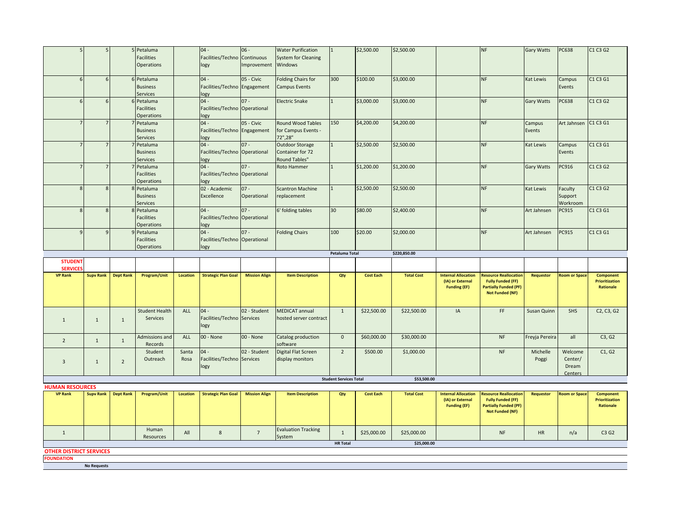|                                                     | 5                |                  | 5 Petaluma<br>Facilities           |                 | $04 -$<br>Facilities/Techno Continuous  | $06 -$               | <b>Water Purification</b><br><b>System for Cleaning</b> | $\mathbf{1}$                  | \$2,500.00       | \$2,500.00        |                                         | <b>NF</b>                                                | <b>Gary Watts</b> | PC638                | C1 C3 G2                           |
|-----------------------------------------------------|------------------|------------------|------------------------------------|-----------------|-----------------------------------------|----------------------|---------------------------------------------------------|-------------------------------|------------------|-------------------|-----------------------------------------|----------------------------------------------------------|-------------------|----------------------|------------------------------------|
|                                                     |                  |                  | <b>Operations</b>                  |                 | logy                                    | Improvement          | Windows                                                 |                               |                  |                   |                                         |                                                          |                   |                      |                                    |
|                                                     |                  |                  |                                    |                 |                                         |                      |                                                         |                               |                  |                   |                                         |                                                          |                   |                      |                                    |
| 6                                                   | 6                |                  | 6 Petaluma                         |                 | $04 -$                                  | 05 - Civic           | <b>Folding Chairs for</b>                               | 300                           | \$100.00         | \$3,000.00        |                                         | <b>NF</b>                                                | Kat Lewis         | Campus               | C1 C3 G1                           |
|                                                     |                  |                  | <b>Business</b><br><b>Services</b> |                 | Facilities/Techno Engagement<br>logy    |                      | <b>Campus Events</b>                                    |                               |                  |                   |                                         |                                                          |                   | Events               |                                    |
|                                                     | $\sqrt{2}$       |                  | 6 Petaluma                         |                 | $04 -$                                  | $07 -$               | <b>Electric Snake</b>                                   | $\mathbf{1}$                  | \$3,000.00       | \$3,000.00        |                                         | <b>NF</b>                                                | <b>Gary Watts</b> | PC638                | C1 C3 G2                           |
|                                                     |                  |                  | <b>Facilities</b>                  |                 | Facilities/Techno Operational           |                      |                                                         |                               |                  |                   |                                         |                                                          |                   |                      |                                    |
|                                                     |                  |                  | Operations                         |                 | logy                                    |                      |                                                         |                               |                  |                   |                                         |                                                          |                   |                      |                                    |
|                                                     |                  |                  | 7 Petaluma                         |                 | $04 -$                                  | 05 - Civic           | Round Wood Tables                                       | 150                           | \$4,200.00       | \$4,200.00        |                                         | <b>NF</b>                                                | Campus            | Art Jahnsen          | C1 C3 G1                           |
|                                                     |                  |                  | <b>Business</b>                    |                 | Facilities/Techno Engagement            |                      | for Campus Events -                                     |                               |                  |                   |                                         |                                                          | Events            |                      |                                    |
|                                                     |                  |                  | <b>Services</b>                    |                 | logy                                    |                      | 72",28"                                                 |                               |                  |                   |                                         |                                                          |                   |                      |                                    |
|                                                     |                  |                  | 7 Petaluma                         |                 | $04 -$                                  | $07 -$               | Outdoor Storage                                         |                               | \$2,500.00       | \$2,500.00        |                                         | <b>NF</b>                                                | Kat Lewis         | Campus               | C1 C3 G1                           |
|                                                     |                  |                  | <b>Business</b><br>Services        |                 | Facilities/Techno Operational<br>logy   |                      | Container for 72<br>Round Tables"                       |                               |                  |                   |                                         |                                                          |                   | Events               |                                    |
|                                                     |                  |                  | Petaluma                           |                 | $04 -$                                  | $07 -$               | <b>Roto Hammer</b>                                      | $\mathbf{1}$                  | \$1,200.00       | \$1,200.00        |                                         | <b>NF</b>                                                | <b>Gary Watts</b> | PC916                | C1 C3 G2                           |
|                                                     |                  |                  | <b>Facilities</b>                  |                 | Facilities/Techno Operational           |                      |                                                         |                               |                  |                   |                                         |                                                          |                   |                      |                                    |
|                                                     |                  |                  | Operations                         |                 | logy                                    |                      |                                                         |                               |                  |                   |                                         |                                                          |                   |                      |                                    |
| $\mathbf{R}$                                        | $\overline{8}$   |                  | 8 Petaluma                         |                 | 02 - Academic                           | $07 -$               | <b>Scantron Machine</b>                                 | $\mathbf{1}$                  | \$2,500.00       | \$2,500.00        |                                         | <b>NF</b>                                                | Kat Lewis         | Faculty              | C1 C3 G2                           |
|                                                     |                  |                  | <b>Business</b>                    |                 | Excellence                              | Operational          | replacement                                             |                               |                  |                   |                                         |                                                          |                   | Support              |                                    |
|                                                     |                  |                  | Services                           |                 |                                         |                      |                                                         |                               |                  |                   |                                         |                                                          |                   | Workroom             |                                    |
| 8                                                   | 8                |                  | 8 Petaluma<br><b>Facilities</b>    |                 | $04 -$<br>Facilities/Techno Operational | $07 -$               | 6' folding tables                                       | 30                            | \$80.00          | \$2,400.00        |                                         | <b>NF</b>                                                | Art Jahnsen       | PC915                | C1 C3 G1                           |
|                                                     |                  |                  | Operations                         |                 | logy                                    |                      |                                                         |                               |                  |                   |                                         |                                                          |                   |                      |                                    |
| 9                                                   |                  |                  | 9 Petaluma                         |                 | $04 -$                                  | $07 -$               | <b>Folding Chairs</b>                                   | 100                           | \$20.00          | \$2,000.00        |                                         | <b>NF</b>                                                | Art Jahnsen       | PC915                | C1 C3 G1                           |
|                                                     |                  |                  | <b>Facilities</b>                  |                 | Facilities/Techno Operational           |                      |                                                         |                               |                  |                   |                                         |                                                          |                   |                      |                                    |
|                                                     |                  |                  | <b>Operations</b>                  |                 | logy                                    |                      |                                                         |                               |                  |                   |                                         |                                                          |                   |                      |                                    |
|                                                     |                  |                  |                                    |                 |                                         |                      |                                                         | Petaluma Total                |                  | \$220,850.00      |                                         |                                                          |                   |                      |                                    |
|                                                     |                  |                  |                                    |                 |                                         |                      |                                                         |                               |                  |                   |                                         |                                                          |                   |                      |                                    |
| <b>STUDENT</b><br><b>SERVICE:</b>                   |                  |                  |                                    |                 |                                         |                      |                                                         |                               |                  |                   |                                         |                                                          |                   |                      |                                    |
| <b>VP Rank</b>                                      | <b>Supv Rank</b> | <b>Dept Rank</b> | Program/Unit                       | <b>Location</b> | <b>Strategic Plan Goal</b>              | <b>Mission Align</b> | <b>Item Description</b>                                 | Qty                           | <b>Cost Each</b> | <b>Total Cost</b> | <b>Internal Allocation</b>              | <b>Resource Reallocation</b>                             | Requestor         | <b>Room or Space</b> | <b>Component</b>                   |
|                                                     |                  |                  |                                    |                 |                                         |                      |                                                         |                               |                  |                   | (IA) or External<br><b>Funding (EF)</b> | <b>Fully Funded (FF)</b><br><b>Partially Funded (PF)</b> |                   |                      | <b>Prioritization</b><br>Rationale |
|                                                     |                  |                  |                                    |                 |                                         |                      |                                                         |                               |                  |                   |                                         | <b>Not Funded (NF)</b>                                   |                   |                      |                                    |
|                                                     |                  |                  |                                    |                 |                                         |                      |                                                         |                               |                  |                   |                                         |                                                          |                   |                      |                                    |
|                                                     |                  |                  | <b>Student Health</b>              | ALL             | $04 -$                                  | 02 - Student         | <b>MEDICAT annual</b>                                   | $\mathbf{1}$                  | \$22,500.00      | \$22,500.00       | IA                                      | FF.                                                      | Susan Quinn       | SHS                  | C2, C3, G2                         |
| $\overline{1}$                                      | $\mathbf{1}$     | $\mathbf{1}$     | Services                           |                 | Facilities/Techno Services              |                      | hosted server contract                                  |                               |                  |                   |                                         |                                                          |                   |                      |                                    |
|                                                     |                  |                  |                                    |                 | logy                                    |                      |                                                         |                               |                  |                   |                                         |                                                          |                   |                      |                                    |
|                                                     |                  |                  | Admissions and                     | ALL             | 00 - None                               | 00 - None            | Catalog production                                      | $\mathbf 0$                   | \$60,000.00      | \$30,000.00       |                                         | <b>NF</b>                                                | Freyja Pereira    | all                  | C3, G2                             |
| $\overline{2}$                                      | $\mathbf{1}$     | $\mathbf{1}$     | Records                            |                 |                                         |                      | software                                                |                               |                  |                   |                                         |                                                          |                   |                      |                                    |
|                                                     |                  |                  | Student                            | Santa           | $04 -$                                  | 02 - Student         | Digital Flat Screen                                     | $\overline{2}$                | \$500.00         | \$1,000.00        |                                         | <b>NF</b>                                                | Michelle          | Welcome              | C1, G2                             |
| $\overline{3}$                                      | 1                | $\overline{2}$   | Outreach                           | Rosa            | Facilities/Techno Services              |                      | display monitors                                        |                               |                  |                   |                                         |                                                          | Poggi             | Center/              |                                    |
|                                                     |                  |                  |                                    |                 | logy                                    |                      |                                                         |                               |                  |                   |                                         |                                                          |                   | Dream                |                                    |
|                                                     |                  |                  |                                    |                 |                                         |                      |                                                         | <b>Student Services Total</b> |                  | \$53,500.00       |                                         |                                                          |                   | Centers              |                                    |
| <b>HUMAN RESOURCES</b>                              |                  |                  |                                    |                 |                                         |                      |                                                         |                               |                  |                   |                                         |                                                          |                   |                      |                                    |
| <b>VP Rank</b>                                      | <b>Supv Rank</b> | <b>Dept Rank</b> | Program/Unit                       | Location        | <b>Strategic Plan Goal</b>              | <b>Mission Align</b> | <b>Item Description</b>                                 | Qty                           | <b>Cost Each</b> | <b>Total Cost</b> | <b>Internal Allocation</b>              | <b>Resource Reallocation</b>                             | Requestor         | <b>Room or Space</b> | <b>Component</b>                   |
|                                                     |                  |                  |                                    |                 |                                         |                      |                                                         |                               |                  |                   | (IA) or External<br><b>Funding (EF)</b> | <b>Fully Funded (FF)</b><br><b>Partially Funded (PF)</b> |                   |                      | <b>Prioritization</b><br>Rationale |
|                                                     |                  |                  |                                    |                 |                                         |                      |                                                         |                               |                  |                   |                                         | <b>Not Funded (NF)</b>                                   |                   |                      |                                    |
|                                                     |                  |                  |                                    |                 |                                         |                      |                                                         |                               |                  |                   |                                         |                                                          |                   |                      |                                    |
| $\mathbf{1}$                                        |                  |                  | Human                              | All             | 8                                       | $7\overline{ }$      | <b>Evaluation Tracking</b>                              | $\mathbf{1}$                  | \$25,000.00      | \$25,000.00       |                                         | <b>NF</b>                                                | <b>HR</b>         | n/a                  | C3 G2                              |
|                                                     |                  |                  | Resources                          |                 |                                         |                      | System                                                  |                               |                  |                   |                                         |                                                          |                   |                      |                                    |
|                                                     |                  |                  |                                    |                 |                                         |                      |                                                         | <b>HR Total</b>               |                  | \$25,000.00       |                                         |                                                          |                   |                      |                                    |
| <b>OTHER DISTRICT SERVICES</b><br><b>FOUNDATION</b> |                  |                  |                                    |                 |                                         |                      |                                                         |                               |                  |                   |                                         |                                                          |                   |                      |                                    |